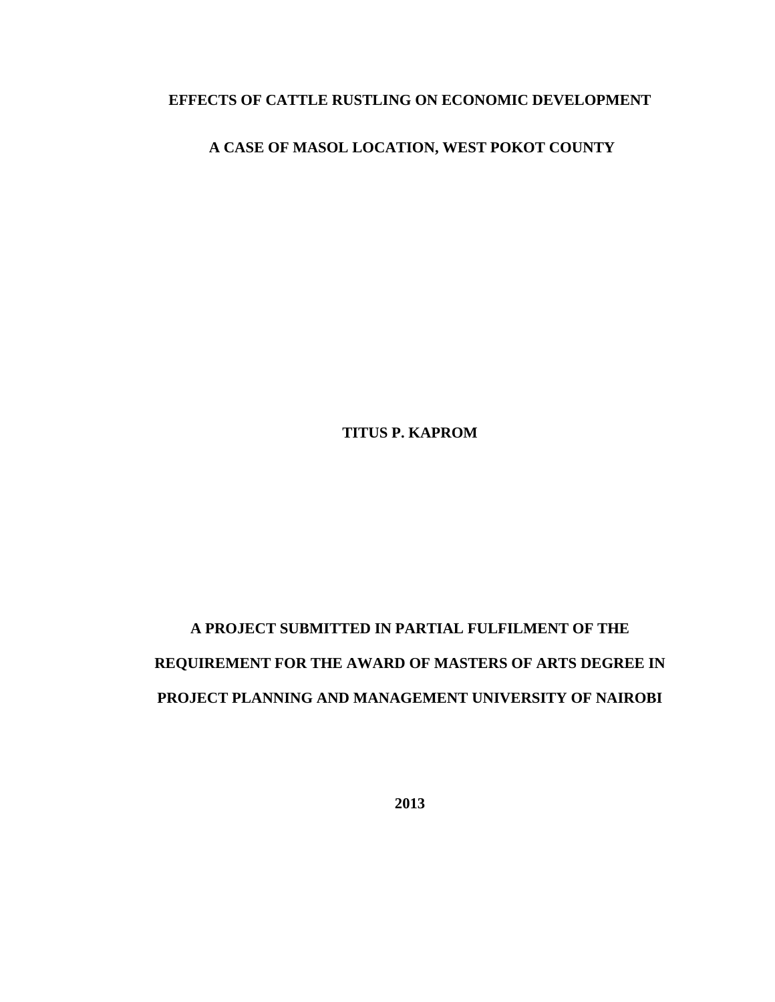# **EFFECTS OF CATTLE RUSTLING ON ECONOMIC DEVELOPMENT**

## **A CASE OF MASOL LOCATION, WEST POKOT COUNTY**

**TITUS P. KAPROM** 

# **A PROJECT SUBMITTED IN PARTIAL FULFILMENT OF THE REQUIREMENT FOR THE AWARD OF MASTERS OF ARTS DEGREE IN PROJECT PLANNING AND MANAGEMENT UNIVERSITY OF NAIROBI**

**2013**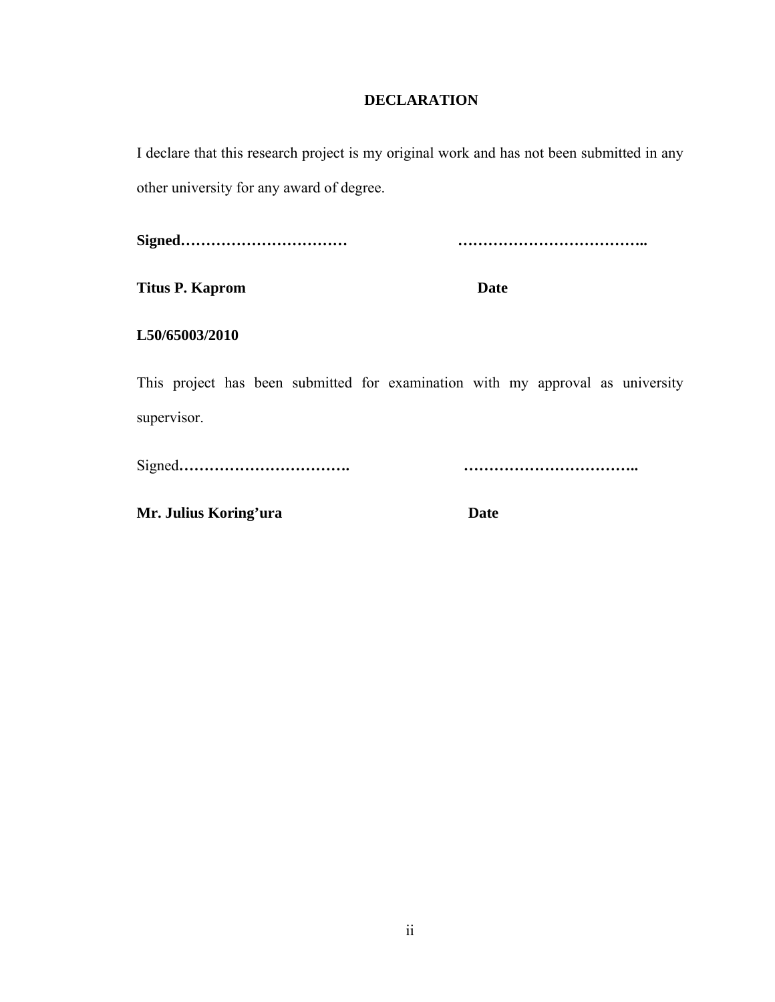## **DECLARATION**

I declare that this research project is my original work and has not been submitted in any other university for any award of degree.

**Signed…………………………… ………………………………..** 

**Titus P. Kaprom Date** 

**L50/65003/2010** 

This project has been submitted for examination with my approval as university supervisor.

Signed**……………………………. ……………………………..** 

**Mr. Julius Koring'ura Date**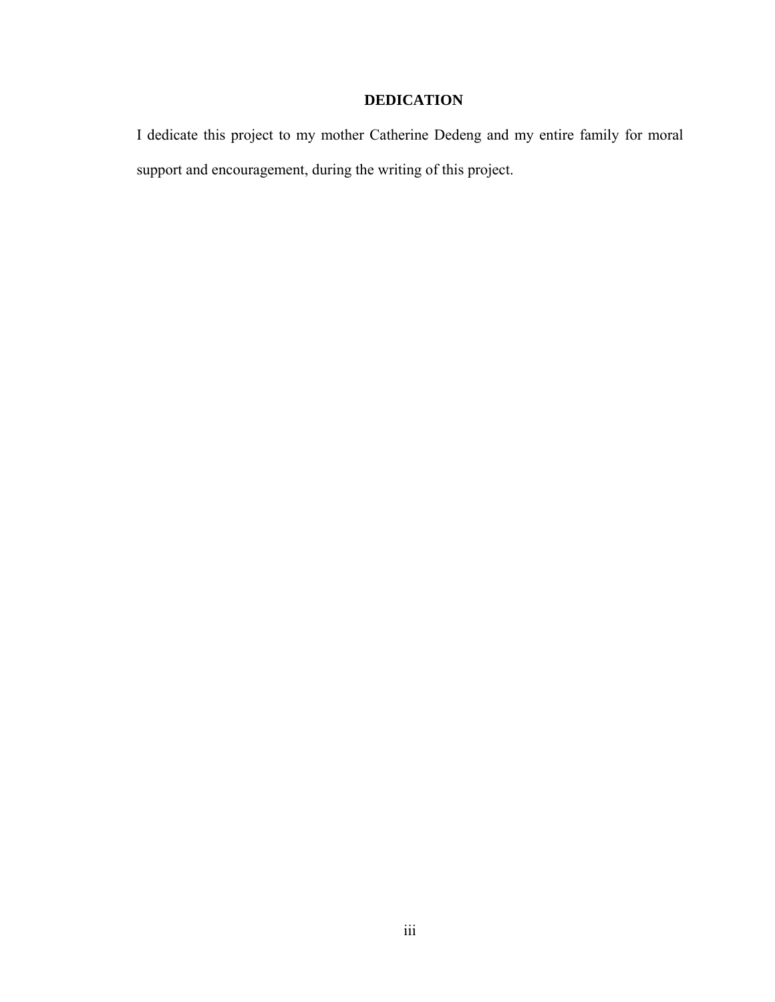## **DEDICATION**

I dedicate this project to my mother Catherine Dedeng and my entire family for moral support and encouragement, during the writing of this project.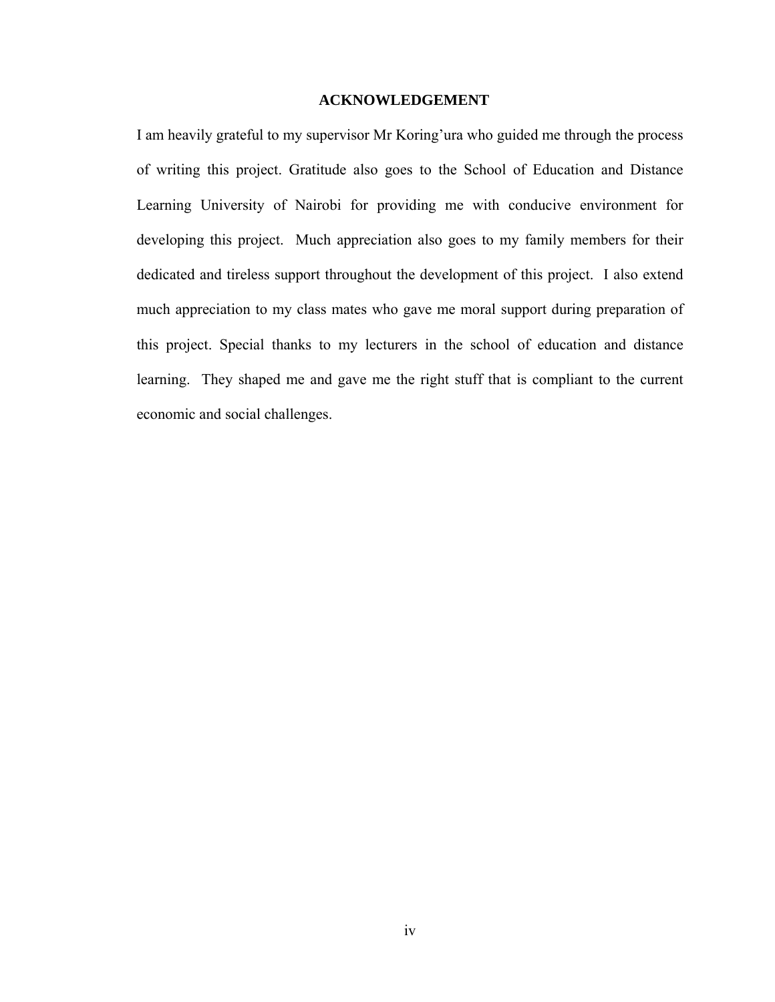### **ACKNOWLEDGEMENT**

I am heavily grateful to my supervisor Mr Koring'ura who guided me through the process of writing this project. Gratitude also goes to the School of Education and Distance Learning University of Nairobi for providing me with conducive environment for developing this project. Much appreciation also goes to my family members for their dedicated and tireless support throughout the development of this project. I also extend much appreciation to my class mates who gave me moral support during preparation of this project. Special thanks to my lecturers in the school of education and distance learning. They shaped me and gave me the right stuff that is compliant to the current economic and social challenges.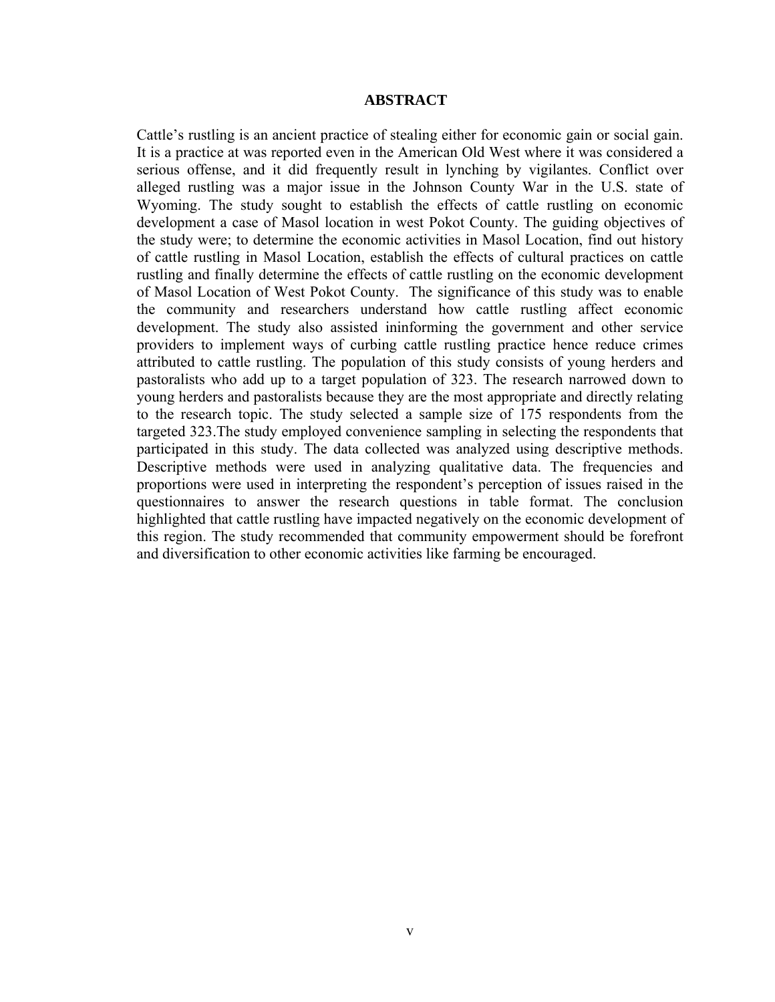#### **ABSTRACT**

Cattle's rustling is an ancient practice of stealing either for economic gain or social gain. It is a practice at was reported even in the American Old West where it was considered a serious offense, and it did frequently result in lynching by vigilantes. Conflict over alleged rustling was a major issue in the Johnson County War in the U.S. state of Wyoming. The study sought to establish the effects of cattle rustling on economic development a case of Masol location in west Pokot County. The guiding objectives of the study were; to determine the economic activities in Masol Location, find out history of cattle rustling in Masol Location, establish the effects of cultural practices on cattle rustling and finally determine the effects of cattle rustling on the economic development of Masol Location of West Pokot County. The significance of this study was to enable the community and researchers understand how cattle rustling affect economic development. The study also assisted ininforming the government and other service providers to implement ways of curbing cattle rustling practice hence reduce crimes attributed to cattle rustling. The population of this study consists of young herders and pastoralists who add up to a target population of 323. The research narrowed down to young herders and pastoralists because they are the most appropriate and directly relating to the research topic. The study selected a sample size of 175 respondents from the targeted 323.The study employed convenience sampling in selecting the respondents that participated in this study. The data collected was analyzed using descriptive methods. Descriptive methods were used in analyzing qualitative data. The frequencies and proportions were used in interpreting the respondent's perception of issues raised in the questionnaires to answer the research questions in table format. The conclusion highlighted that cattle rustling have impacted negatively on the economic development of this region. The study recommended that community empowerment should be forefront and diversification to other economic activities like farming be encouraged.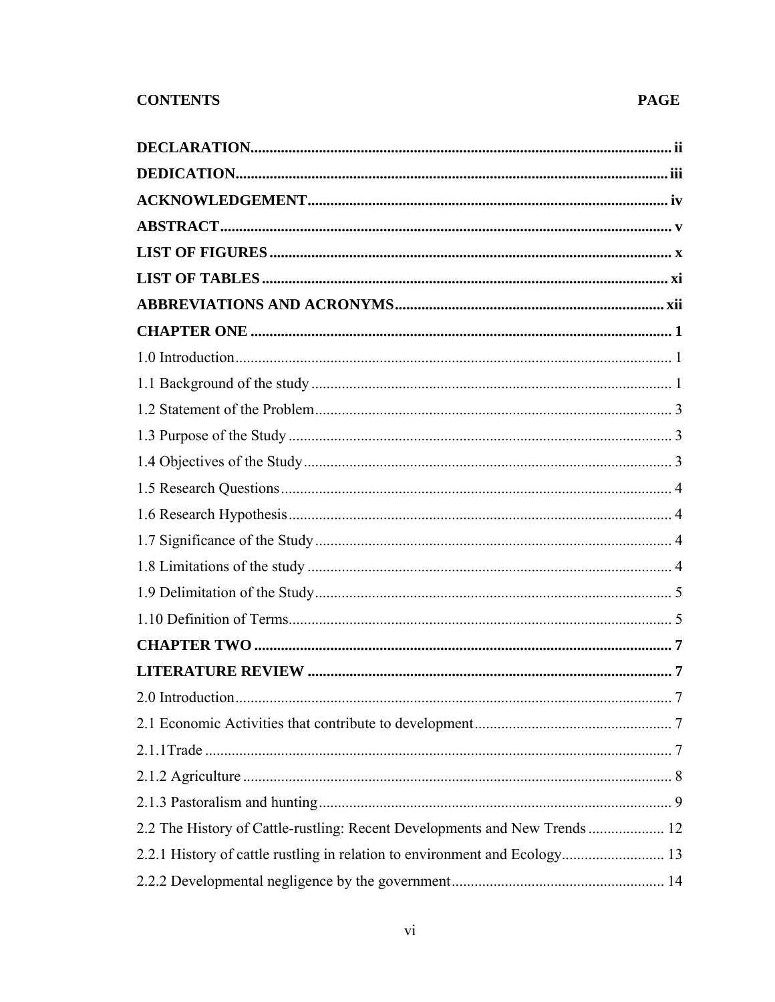| 2.2 The History of Cattle-rustling: Recent Developments and New Trends  12 |  |
|----------------------------------------------------------------------------|--|
| 2.2.1 History of cattle rustling in relation to environment and Ecology 13 |  |
|                                                                            |  |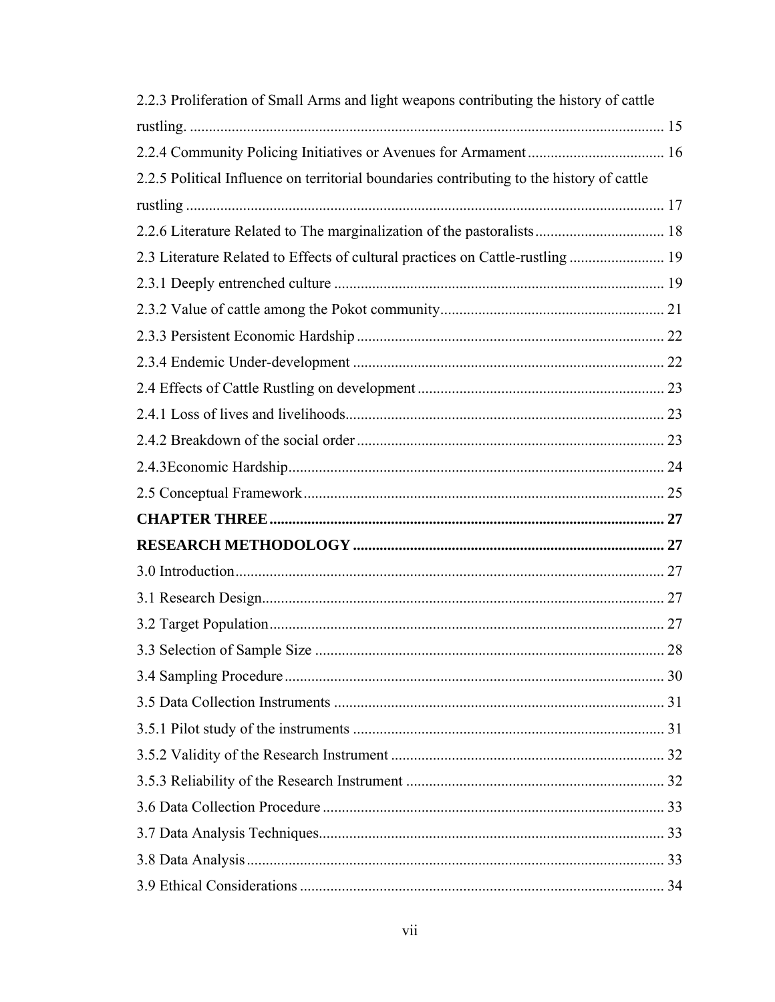| 2.2.3 Proliferation of Small Arms and light weapons contributing the history of cattle    |  |
|-------------------------------------------------------------------------------------------|--|
|                                                                                           |  |
|                                                                                           |  |
| 2.2.5 Political Influence on territorial boundaries contributing to the history of cattle |  |
|                                                                                           |  |
| 2.2.6 Literature Related to The marginalization of the pastoralists 18                    |  |
| 2.3 Literature Related to Effects of cultural practices on Cattle-rustling  19            |  |
|                                                                                           |  |
|                                                                                           |  |
|                                                                                           |  |
|                                                                                           |  |
|                                                                                           |  |
|                                                                                           |  |
|                                                                                           |  |
|                                                                                           |  |
|                                                                                           |  |
|                                                                                           |  |
|                                                                                           |  |
|                                                                                           |  |
|                                                                                           |  |
|                                                                                           |  |
|                                                                                           |  |
|                                                                                           |  |
|                                                                                           |  |
|                                                                                           |  |
|                                                                                           |  |
|                                                                                           |  |
|                                                                                           |  |
|                                                                                           |  |
|                                                                                           |  |
|                                                                                           |  |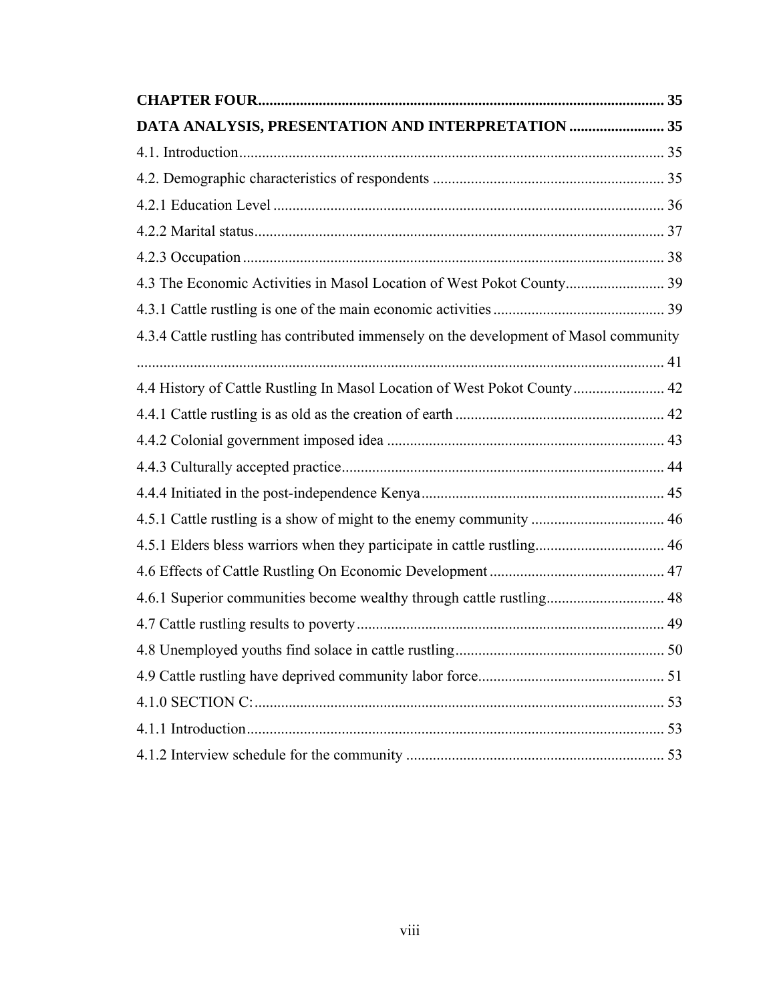| DATA ANALYSIS, PRESENTATION AND INTERPRETATION  35                                    |  |
|---------------------------------------------------------------------------------------|--|
|                                                                                       |  |
|                                                                                       |  |
|                                                                                       |  |
|                                                                                       |  |
|                                                                                       |  |
| 4.3 The Economic Activities in Masol Location of West Pokot County 39                 |  |
|                                                                                       |  |
| 4.3.4 Cattle rustling has contributed immensely on the development of Masol community |  |
|                                                                                       |  |
| 4.4 History of Cattle Rustling In Masol Location of West Pokot County 42              |  |
|                                                                                       |  |
|                                                                                       |  |
|                                                                                       |  |
|                                                                                       |  |
|                                                                                       |  |
|                                                                                       |  |
|                                                                                       |  |
| 4.6.1 Superior communities become wealthy through cattle rustling 48                  |  |
|                                                                                       |  |
|                                                                                       |  |
|                                                                                       |  |
|                                                                                       |  |
|                                                                                       |  |
|                                                                                       |  |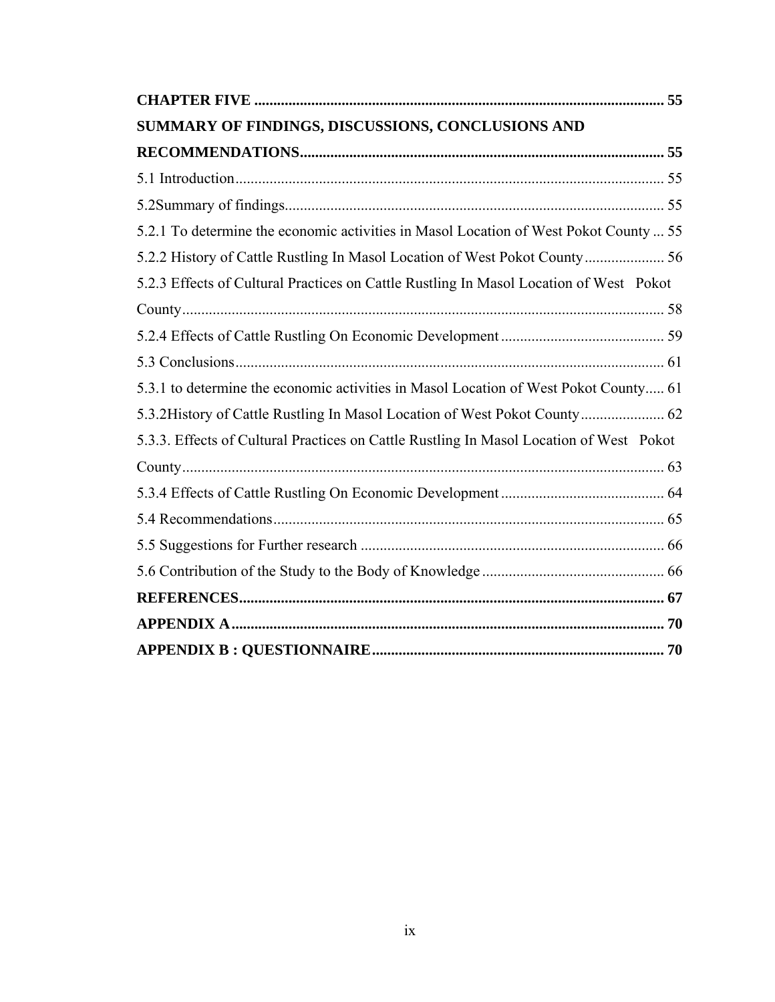| SUMMARY OF FINDINGS, DISCUSSIONS, CONCLUSIONS AND                                       |  |
|-----------------------------------------------------------------------------------------|--|
|                                                                                         |  |
|                                                                                         |  |
|                                                                                         |  |
| 5.2.1 To determine the economic activities in Masol Location of West Pokot County  55   |  |
|                                                                                         |  |
| 5.2.3 Effects of Cultural Practices on Cattle Rustling In Masol Location of West Pokot  |  |
|                                                                                         |  |
|                                                                                         |  |
|                                                                                         |  |
| 5.3.1 to determine the economic activities in Masol Location of West Pokot County 61    |  |
|                                                                                         |  |
| 5.3.3. Effects of Cultural Practices on Cattle Rustling In Masol Location of West Pokot |  |
|                                                                                         |  |
|                                                                                         |  |
|                                                                                         |  |
|                                                                                         |  |
|                                                                                         |  |
|                                                                                         |  |
|                                                                                         |  |
|                                                                                         |  |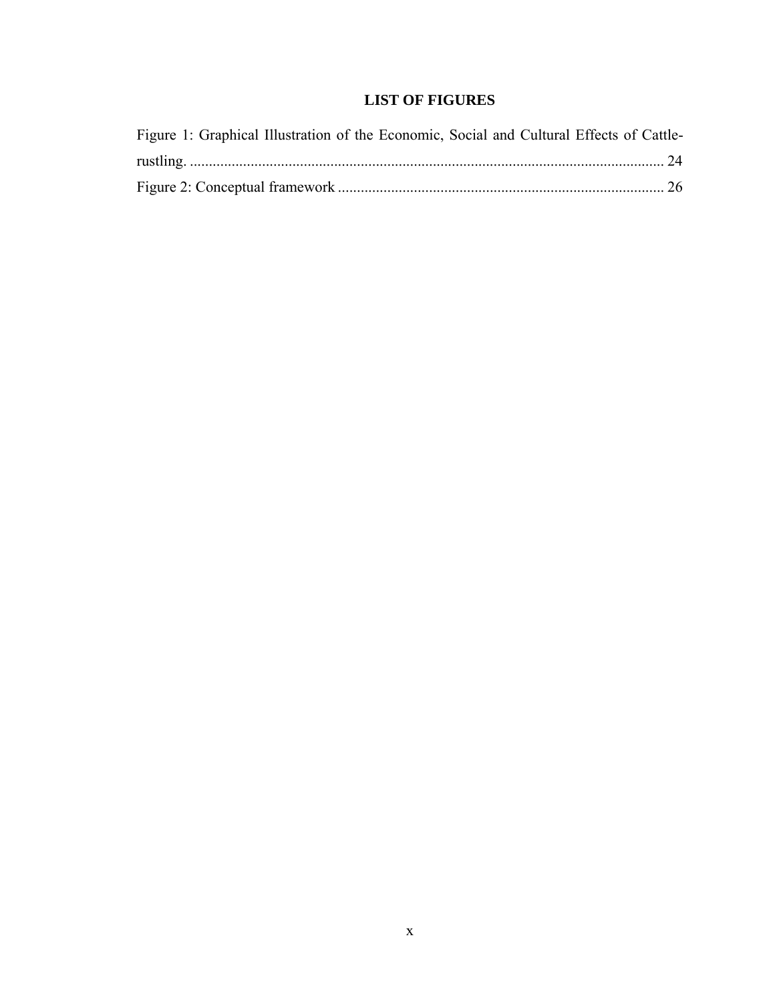# **LIST OF FIGURES**

| Figure 1: Graphical Illustration of the Economic, Social and Cultural Effects of Cattle- |  |
|------------------------------------------------------------------------------------------|--|
|                                                                                          |  |
|                                                                                          |  |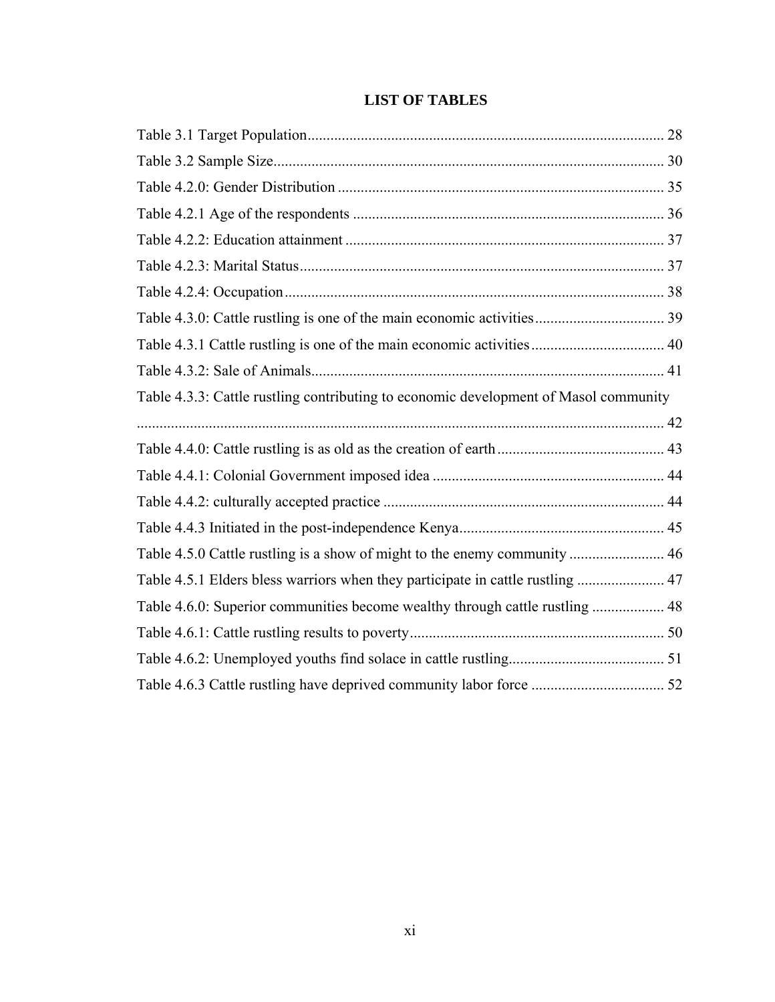|  | <b>LIST OF TABLES</b> |
|--|-----------------------|
|--|-----------------------|

| Table 4.3.1 Cattle rustling is one of the main economic activities 40                |  |
|--------------------------------------------------------------------------------------|--|
|                                                                                      |  |
| Table 4.3.3: Cattle rustling contributing to economic development of Masol community |  |
|                                                                                      |  |
|                                                                                      |  |
|                                                                                      |  |
|                                                                                      |  |
|                                                                                      |  |
| Table 4.5.0 Cattle rustling is a show of might to the enemy community  46            |  |
| Table 4.5.1 Elders bless warriors when they participate in cattle rustling  47       |  |
| Table 4.6.0: Superior communities become wealthy through cattle rustling  48         |  |
|                                                                                      |  |
|                                                                                      |  |
|                                                                                      |  |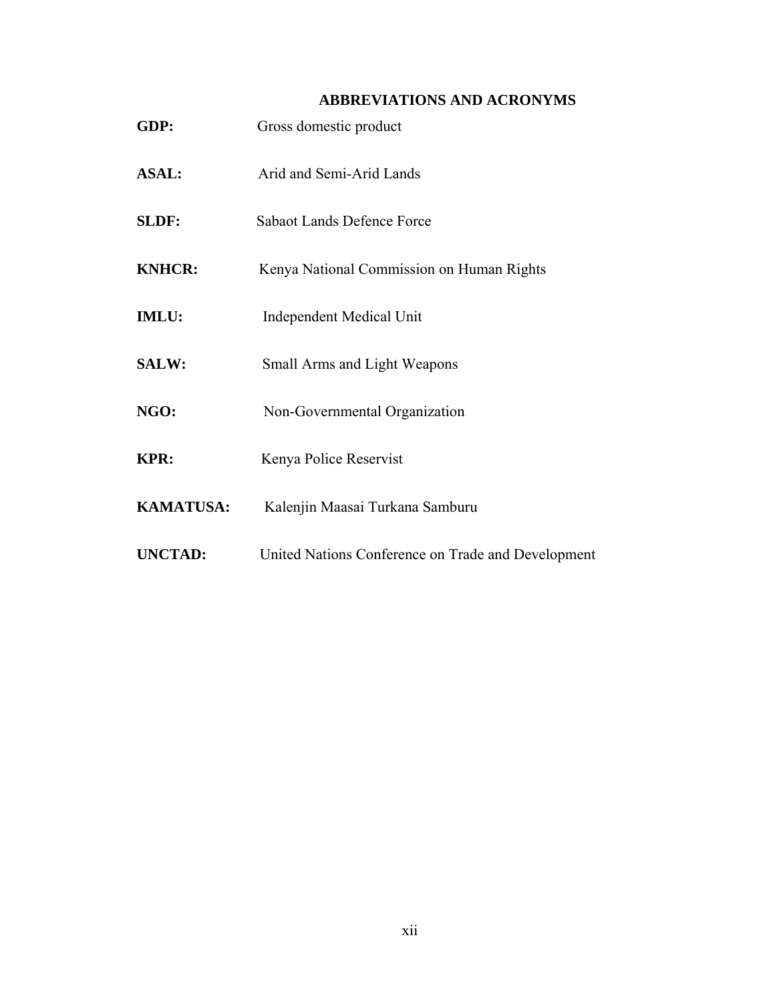# **ABBREVIATIONS AND ACRONYMS**

| GDP:             | Gross domestic product                             |
|------------------|----------------------------------------------------|
| <b>ASAL:</b>     | Arid and Semi-Arid Lands                           |
| SLDF:            | <b>Sabaot Lands Defence Force</b>                  |
| <b>KNHCR:</b>    | Kenya National Commission on Human Rights          |
| <b>IMLU:</b>     | <b>Independent Medical Unit</b>                    |
| <b>SALW:</b>     | Small Arms and Light Weapons                       |
| NGO:             | Non-Governmental Organization                      |
| <b>KPR:</b>      | Kenya Police Reservist                             |
| <b>KAMATUSA:</b> | Kalenjin Maasai Turkana Samburu                    |
| <b>UNCTAD:</b>   | United Nations Conference on Trade and Development |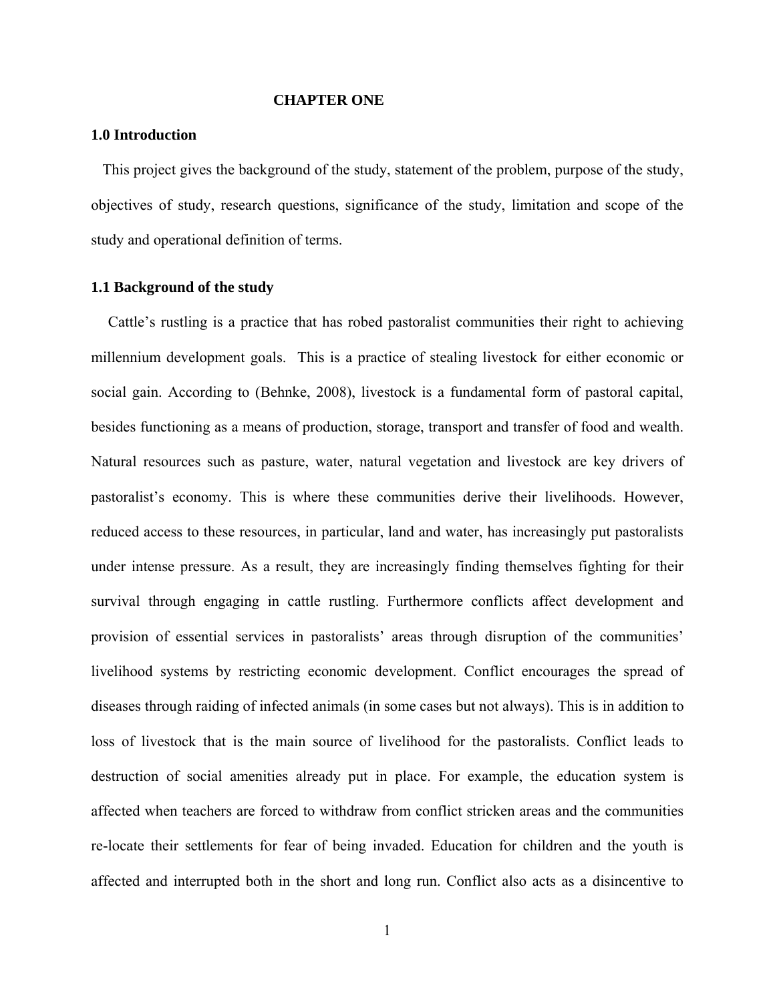#### **CHAPTER ONE**

#### **1.0 Introduction**

This project gives the background of the study, statement of the problem, purpose of the study, objectives of study, research questions, significance of the study, limitation and scope of the study and operational definition of terms.

#### **1.1 Background of the study**

Cattle's rustling is a practice that has robed pastoralist communities their right to achieving millennium development goals. This is a practice of stealing livestock for either economic or social gain. According to (Behnke, 2008), livestock is a fundamental form of pastoral capital, besides functioning as a means of production, storage, transport and transfer of food and wealth. Natural resources such as pasture, water, natural vegetation and livestock are key drivers of pastoralist's economy. This is where these communities derive their livelihoods. However, reduced access to these resources, in particular, land and water, has increasingly put pastoralists under intense pressure. As a result, they are increasingly finding themselves fighting for their survival through engaging in cattle rustling. Furthermore conflicts affect development and provision of essential services in pastoralists' areas through disruption of the communities' livelihood systems by restricting economic development. Conflict encourages the spread of diseases through raiding of infected animals (in some cases but not always). This is in addition to loss of livestock that is the main source of livelihood for the pastoralists. Conflict leads to destruction of social amenities already put in place. For example, the education system is affected when teachers are forced to withdraw from conflict stricken areas and the communities re-locate their settlements for fear of being invaded. Education for children and the youth is affected and interrupted both in the short and long run. Conflict also acts as a disincentive to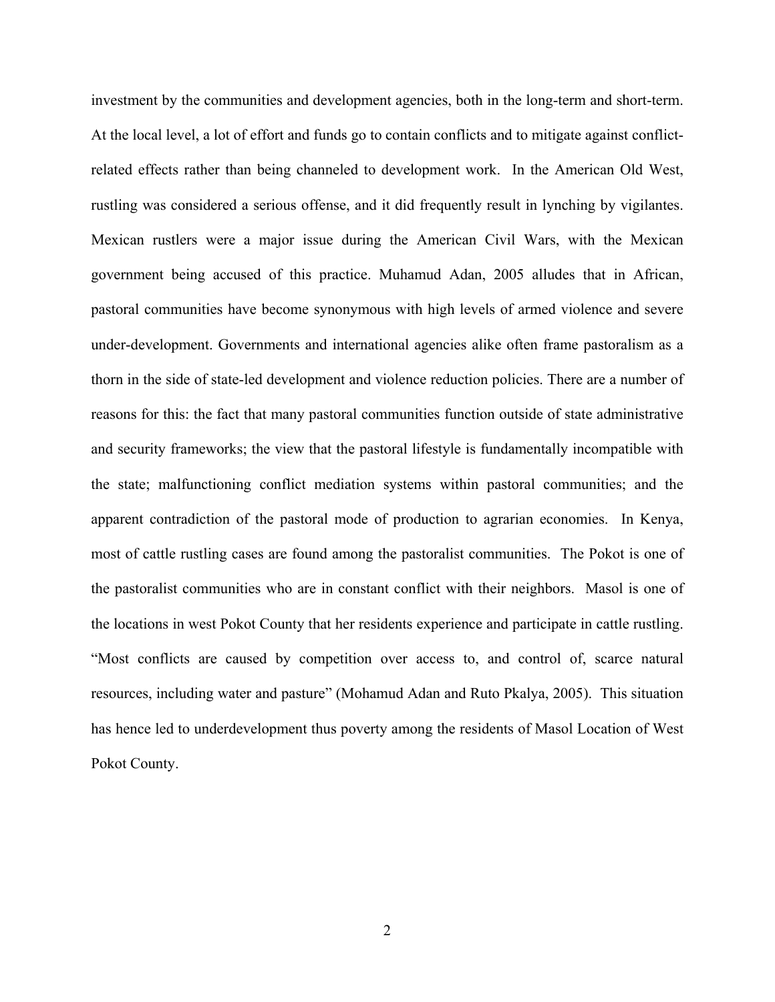investment by the communities and development agencies, both in the long-term and short-term. At the local level, a lot of effort and funds go to contain conflicts and to mitigate against conflictrelated effects rather than being channeled to development work. In the American Old West, rustling was considered a serious offense, and it did frequently result in lynching by vigilantes. Mexican rustlers were a major issue during the American Civil Wars, with the Mexican government being accused of this practice. Muhamud Adan, 2005 alludes that in African, pastoral communities have become synonymous with high levels of armed violence and severe under-development. Governments and international agencies alike often frame pastoralism as a thorn in the side of state-led development and violence reduction policies. There are a number of reasons for this: the fact that many pastoral communities function outside of state administrative and security frameworks; the view that the pastoral lifestyle is fundamentally incompatible with the state; malfunctioning conflict mediation systems within pastoral communities; and the apparent contradiction of the pastoral mode of production to agrarian economies. In Kenya, most of cattle rustling cases are found among the pastoralist communities. The Pokot is one of the pastoralist communities who are in constant conflict with their neighbors. Masol is one of the locations in west Pokot County that her residents experience and participate in cattle rustling. "Most conflicts are caused by competition over access to, and control of, scarce natural resources, including water and pasture" (Mohamud Adan and Ruto Pkalya, 2005). This situation has hence led to underdevelopment thus poverty among the residents of Masol Location of West Pokot County.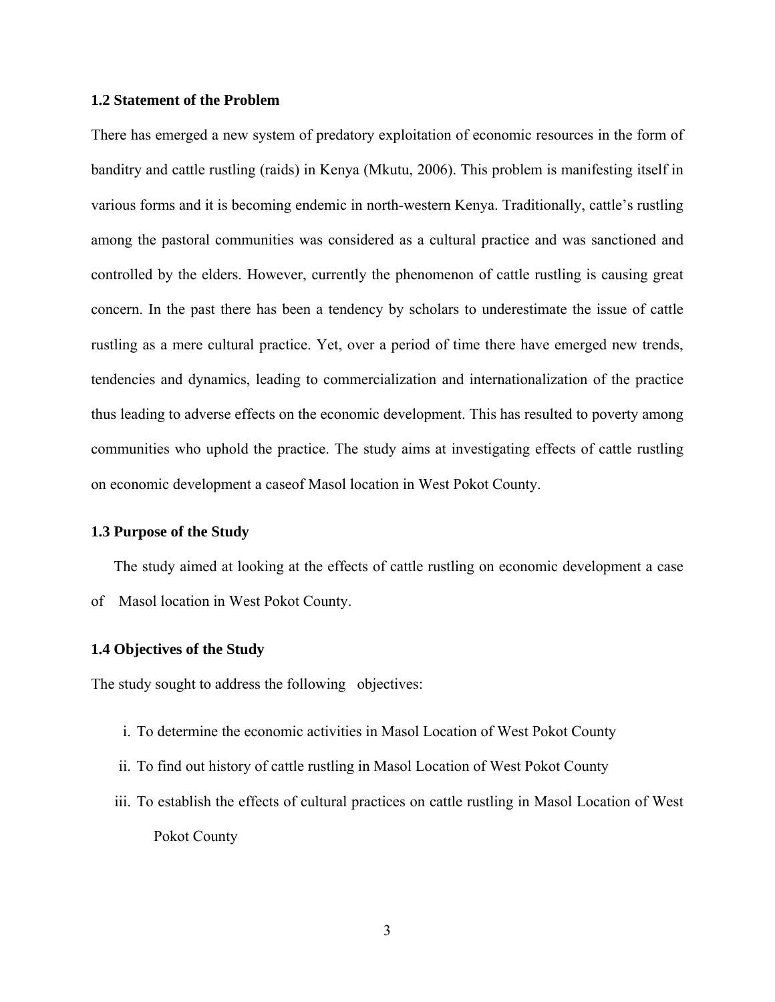#### **1.2 Statement of the Problem**

There has emerged a new system of predatory exploitation of economic resources in the form of banditry and cattle rustling (raids) in Kenya (Mkutu, 2006). This problem is manifesting itself in various forms and it is becoming endemic in north-western Kenya. Traditionally, cattle's rustling among the pastoral communities was considered as a cultural practice and was sanctioned and controlled by the elders. However, currently the phenomenon of cattle rustling is causing great concern. In the past there has been a tendency by scholars to underestimate the issue of cattle rustling as a mere cultural practice. Yet, over a period of time there have emerged new trends, tendencies and dynamics, leading to commercialization and internationalization of the practice thus leading to adverse effects on the economic development. This has resulted to poverty among communities who uphold the practice. The study aims at investigating effects of cattle rustling on economic development a caseof Masol location in West Pokot County.

#### **1.3 Purpose of the Study**

The study aimed at looking at the effects of cattle rustling on economic development a case of Masol location in West Pokot County.

## **1.4 Objectives of the Study**

The study sought to address the following objectives:

- i. To determine the economic activities in Masol Location of West Pokot County
- ii. To find out history of cattle rustling in Masol Location of West Pokot County
- iii. To establish the effects of cultural practices on cattle rustling in Masol Location of West Pokot County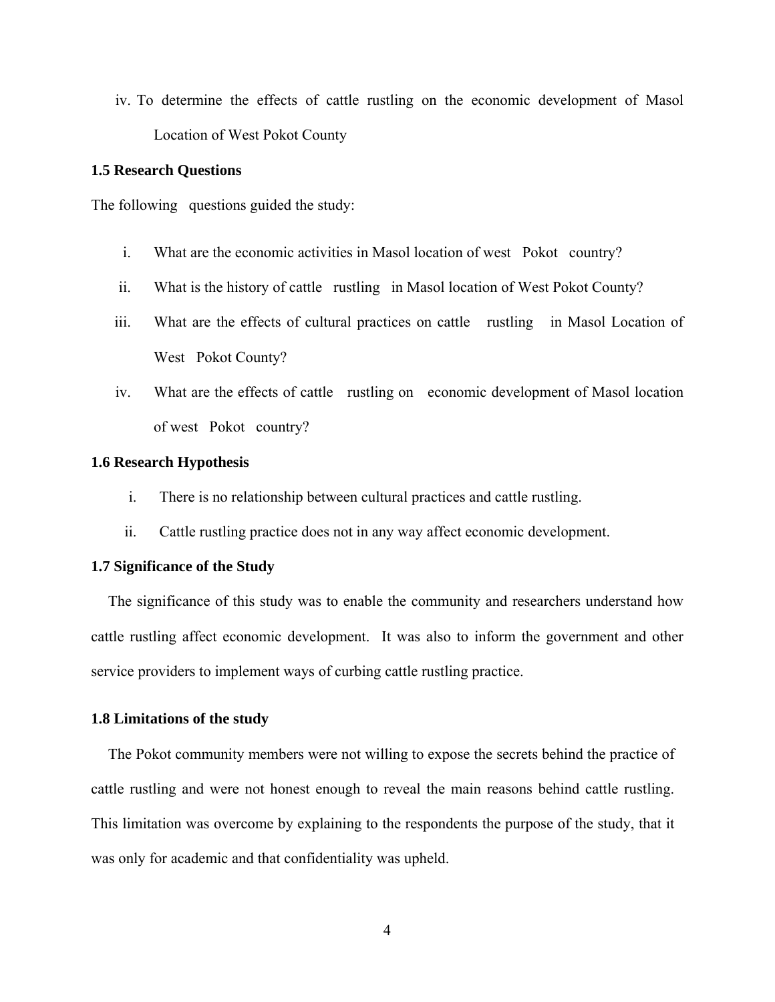iv. To determine the effects of cattle rustling on the economic development of Masol Location of West Pokot County

#### **1.5 Research Questions**

The following questions guided the study:

- i. What are the economic activities in Masol location of west Pokot country?
- ii. What is the history of cattle rustling in Masol location of West Pokot County?
- iii. What are the effects of cultural practices on cattle rustling in Masol Location of West Pokot County?
- iv. What are the effects of cattle rustling on economic development of Masol location of west Pokot country?

#### **1.6 Research Hypothesis**

- i. There is no relationship between cultural practices and cattle rustling.
- ii. Cattle rustling practice does not in any way affect economic development.

## **1.7 Significance of the Study**

The significance of this study was to enable the community and researchers understand how cattle rustling affect economic development. It was also to inform the government and other service providers to implement ways of curbing cattle rustling practice.

#### **1.8 Limitations of the study**

The Pokot community members were not willing to expose the secrets behind the practice of cattle rustling and were not honest enough to reveal the main reasons behind cattle rustling. This limitation was overcome by explaining to the respondents the purpose of the study, that it was only for academic and that confidentiality was upheld.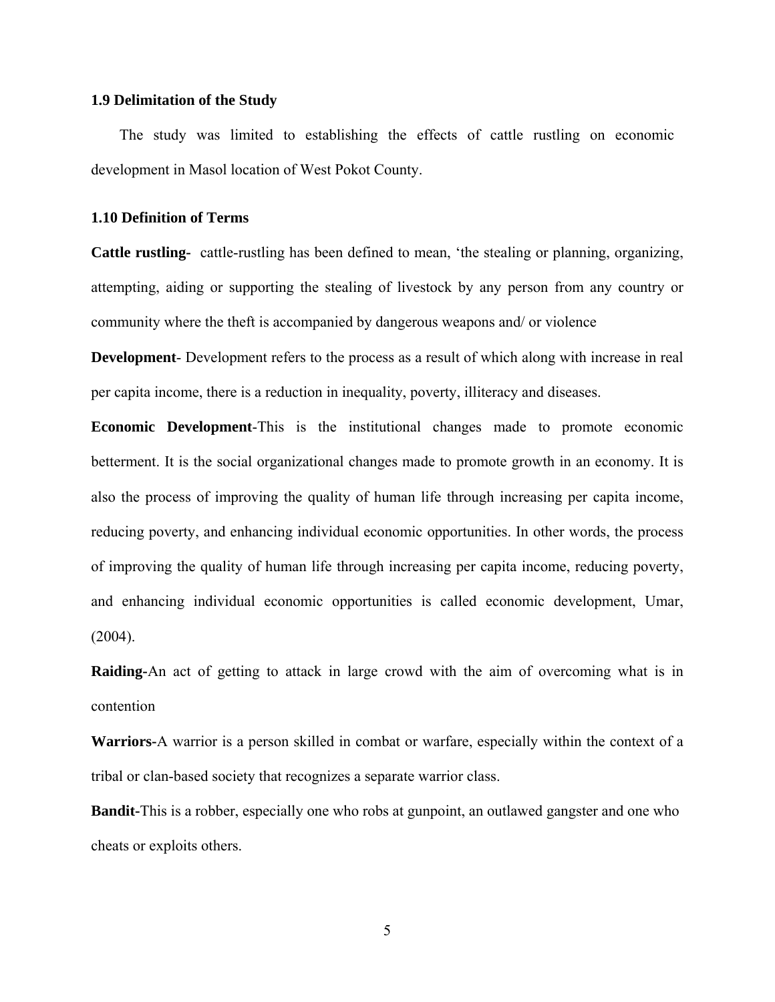#### **1.9 Delimitation of the Study**

The study was limited to establishing the effects of cattle rustling on economic development in Masol location of West Pokot County.

## **1.10 Definition of Terms**

**Cattle rustling-** cattle-rustling has been defined to mean, 'the stealing or planning, organizing, attempting, aiding or supporting the stealing of livestock by any person from any country or community where the theft is accompanied by dangerous weapons and/ or violence

**Development**- Development refers to the process as a result of which along with increase in real per capita income, there is a reduction in inequality, poverty, illiteracy and diseases.

**Economic Development**-This is the institutional changes made to promote economic betterment. It is the social organizational changes made to promote growth in an economy. It is also the process of improving the quality of human life through increasing per capita income, reducing poverty, and enhancing individual economic opportunities. In other words, the process of improving the quality of human life through increasing per capita income, reducing poverty, and enhancing individual economic opportunities is called economic development, Umar,  $(2004)$ .

**Raiding-**An act of getting to attack in large crowd with the aim of overcoming what is in contention

**Warriors-**A warrior is a person skilled in combat or warfare, especially within the context of a tribal or clan-based society that recognizes a separate warrior class.

**Bandit-**This is a robber, especially one who robs at gunpoint, an outlawed gangster and one who cheats or exploits others.

5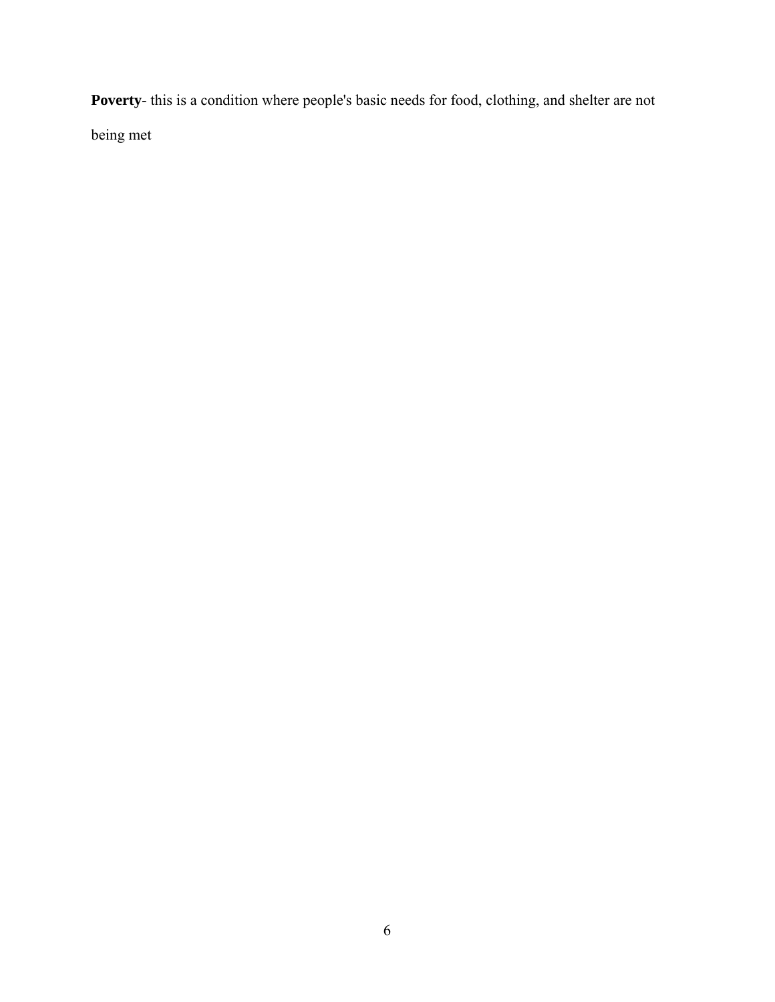**Poverty**- this is a condition where people's basic needs for food, clothing, and shelter are not being met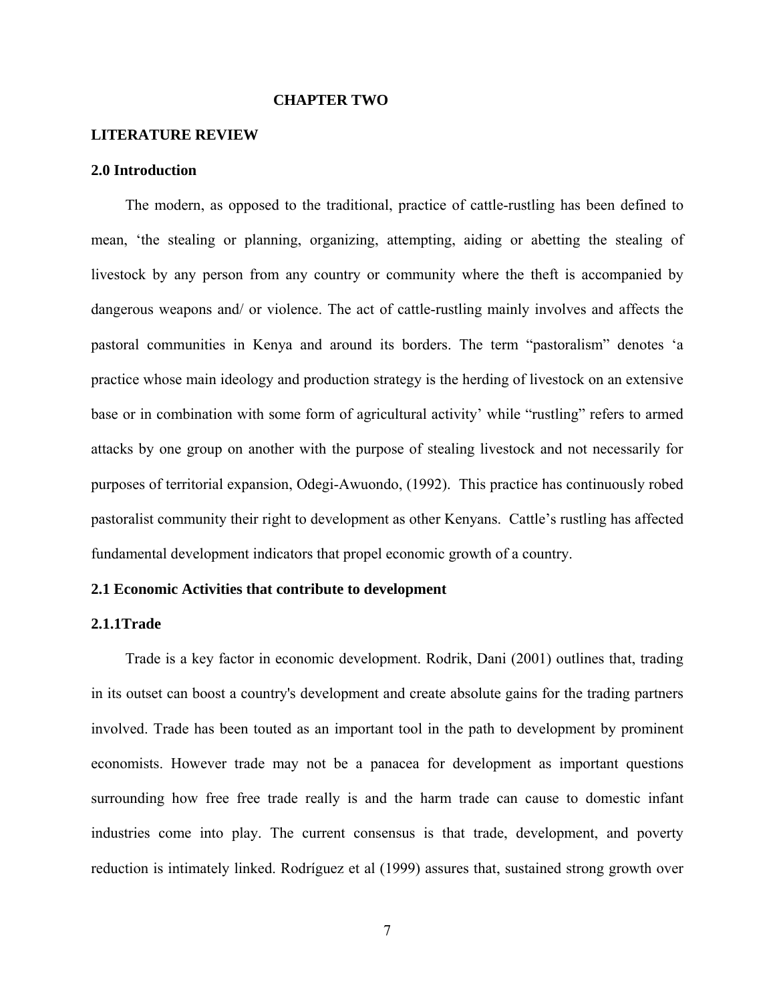#### **CHAPTER TWO**

#### **LITERATURE REVIEW**

#### **2.0 Introduction**

The modern, as opposed to the traditional, practice of cattle-rustling has been defined to mean, 'the stealing or planning, organizing, attempting, aiding or abetting the stealing of livestock by any person from any country or community where the theft is accompanied by dangerous weapons and/ or violence. The act of cattle-rustling mainly involves and affects the pastoral communities in Kenya and around its borders. The term "pastoralism" denotes 'a practice whose main ideology and production strategy is the herding of livestock on an extensive base or in combination with some form of agricultural activity' while "rustling" refers to armed attacks by one group on another with the purpose of stealing livestock and not necessarily for purposes of territorial expansion, Odegi-Awuondo, (1992). This practice has continuously robed pastoralist community their right to development as other Kenyans. Cattle's rustling has affected fundamental development indicators that propel economic growth of a country.

#### **2.1 Economic Activities that contribute to development**

#### **2.1.1Trade**

Trade is a key factor in economic development. Rodrik, Dani (2001) outlines that, trading in its outset can boost a country's development and create absolute gains for the trading partners involved. Trade has been touted as an important tool in the path to development by prominent economists. However trade may not be a panacea for development as important questions surrounding how free free trade really is and the harm trade can cause to domestic infant industries come into play. The current consensus is that trade, development, and poverty reduction is intimately linked. Rodríguez et al (1999) assures that, sustained strong growth over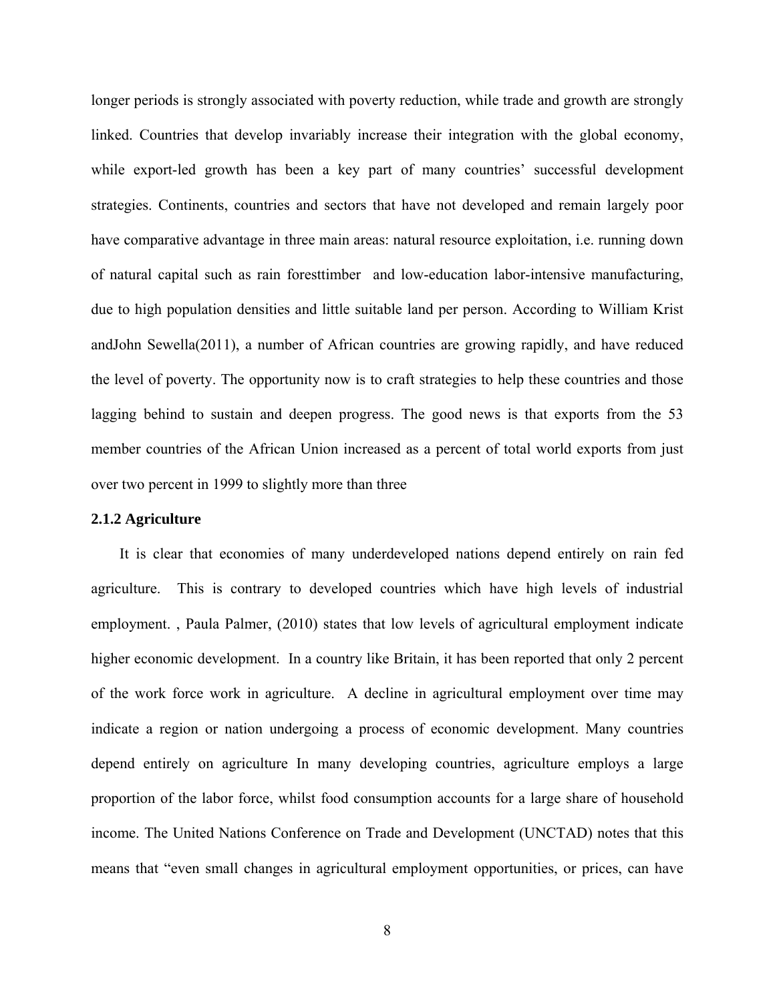longer periods is strongly associated with poverty reduction, while trade and growth are strongly linked. Countries that develop invariably increase their integration with the global economy, while export-led growth has been a key part of many countries' successful development strategies. Continents, countries and sectors that have not developed and remain largely poor have comparative advantage in three main areas: natural resource exploitation, i.e. running down of natural capital such as rain foresttimber and low-education labor-intensive manufacturing, due to high population densities and little suitable land per person. According to William Krist andJohn Sewella(2011), a number of African countries are growing rapidly, and have reduced the level of poverty. The opportunity now is to craft strategies to help these countries and those lagging behind to sustain and deepen progress. The good news is that exports from the 53 member countries of the African Union increased as a percent of total world exports from just over two percent in 1999 to slightly more than three

#### **2.1.2 Agriculture**

It is clear that economies of many underdeveloped nations depend entirely on rain fed agriculture. This is contrary to developed countries which have high levels of industrial employment. , Paula Palmer, (2010) states that low levels of agricultural employment indicate higher economic development. In a country like Britain, it has been reported that only 2 percent of the work force work in agriculture. A decline in agricultural employment over time may indicate a region or nation undergoing a process of economic development. Many countries depend entirely on agriculture In many developing countries, agriculture employs a large proportion of the labor force, whilst food consumption accounts for a large share of household income. The United Nations Conference on Trade and Development (UNCTAD) notes that this means that "even small changes in agricultural employment opportunities, or prices, can have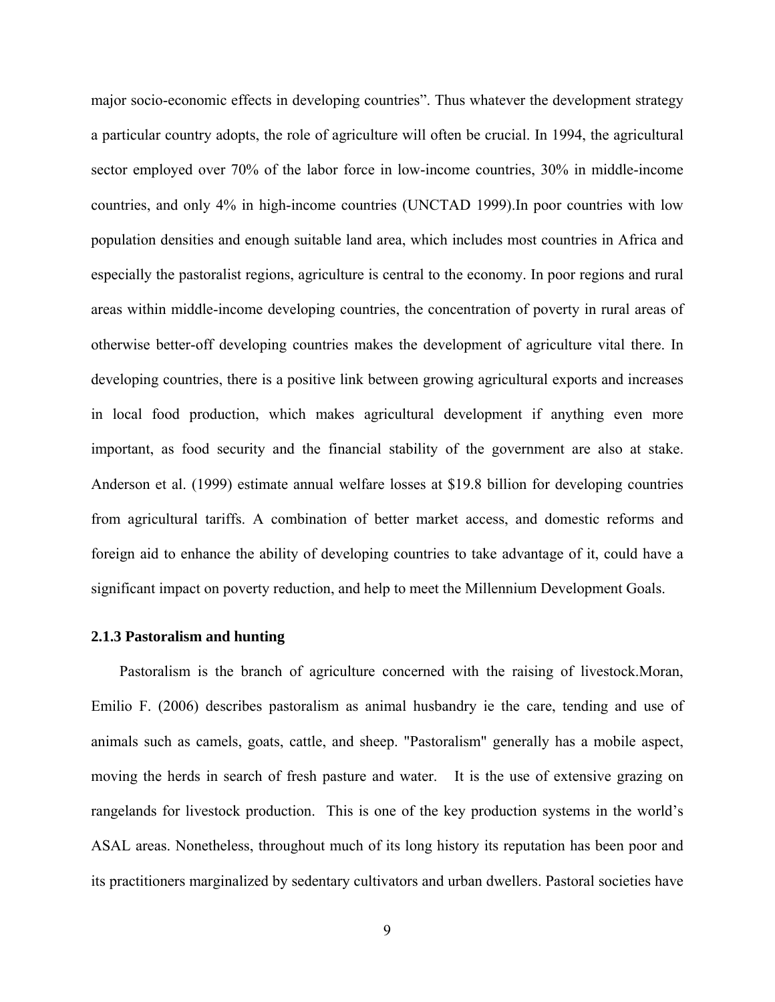major socio-economic effects in developing countries". Thus whatever the development strategy a particular country adopts, the role of agriculture will often be crucial. In 1994, the agricultural sector employed over 70% of the labor force in low-income countries, 30% in middle-income countries, and only 4% in high-income countries (UNCTAD 1999).In poor countries with low population densities and enough suitable land area, which includes most countries in Africa and especially the pastoralist regions, agriculture is central to the economy. In poor regions and rural areas within middle-income developing countries, the concentration of poverty in rural areas of otherwise better-off developing countries makes the development of agriculture vital there. In developing countries, there is a positive link between growing agricultural exports and increases in local food production, which makes agricultural development if anything even more important, as food security and the financial stability of the government are also at stake. Anderson et al. (1999) estimate annual welfare losses at \$19.8 billion for developing countries from agricultural tariffs. A combination of better market access, and domestic reforms and foreign aid to enhance the ability of developing countries to take advantage of it, could have a significant impact on poverty reduction, and help to meet the Millennium Development Goals.

#### **2.1.3 Pastoralism and hunting**

Pastoralism is the branch of agriculture concerned with the raising of livestock.Moran, Emilio F. (2006) describes pastoralism as animal husbandry ie the care, tending and use of animals such as camels, goats, cattle, and sheep. "Pastoralism" generally has a mobile aspect, moving the herds in search of fresh pasture and water. It is the use of extensive grazing on rangelands for livestock production. This is one of the key production systems in the world's ASAL areas. Nonetheless, throughout much of its long history its reputation has been poor and its practitioners marginalized by sedentary cultivators and urban dwellers. Pastoral societies have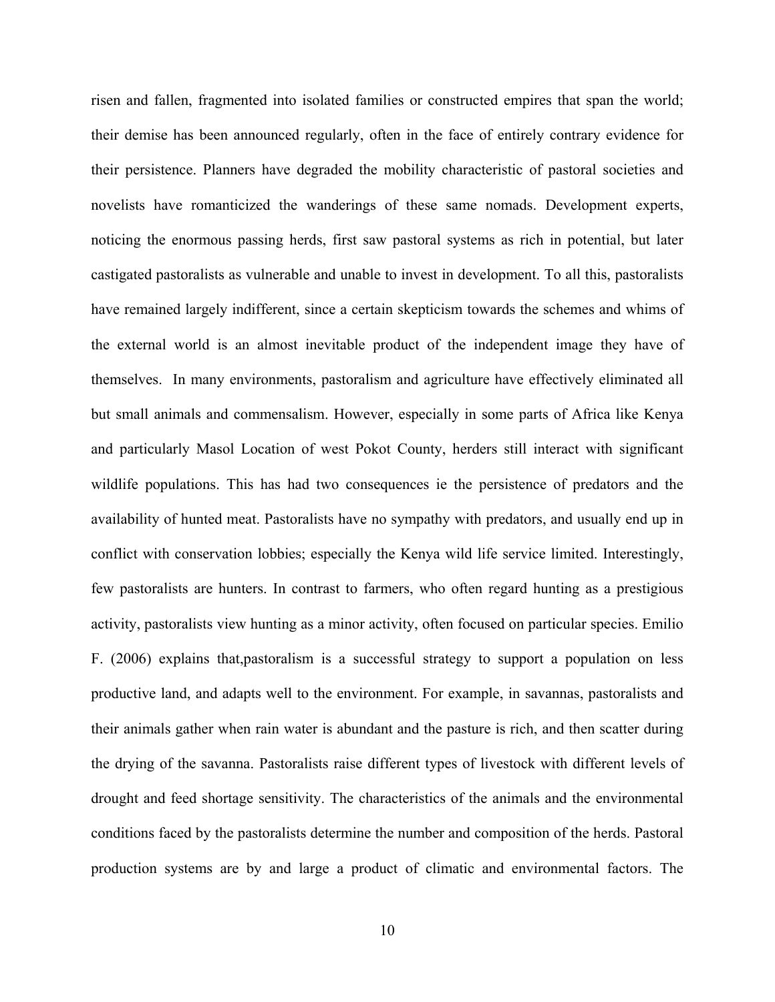risen and fallen, fragmented into isolated families or constructed empires that span the world; their demise has been announced regularly, often in the face of entirely contrary evidence for their persistence. Planners have degraded the mobility characteristic of pastoral societies and novelists have romanticized the wanderings of these same nomads. Development experts, noticing the enormous passing herds, first saw pastoral systems as rich in potential, but later castigated pastoralists as vulnerable and unable to invest in development. To all this, pastoralists have remained largely indifferent, since a certain skepticism towards the schemes and whims of the external world is an almost inevitable product of the independent image they have of themselves. In many environments, pastoralism and agriculture have effectively eliminated all but small animals and commensalism. However, especially in some parts of Africa like Kenya and particularly Masol Location of west Pokot County, herders still interact with significant wildlife populations. This has had two consequences ie the persistence of predators and the availability of hunted meat. Pastoralists have no sympathy with predators, and usually end up in conflict with conservation lobbies; especially the Kenya wild life service limited. Interestingly, few pastoralists are hunters. In contrast to farmers, who often regard hunting as a prestigious activity, pastoralists view hunting as a minor activity, often focused on particular species. Emilio F. (2006) explains that,pastoralism is a successful strategy to support a population on less productive land, and adapts well to the environment. For example, in savannas, pastoralists and their animals gather when rain water is abundant and the pasture is rich, and then scatter during the drying of the savanna. Pastoralists raise different types of livestock with different levels of drought and feed shortage sensitivity. The characteristics of the animals and the environmental conditions faced by the pastoralists determine the number and composition of the herds. Pastoral production systems are by and large a product of climatic and environmental factors. The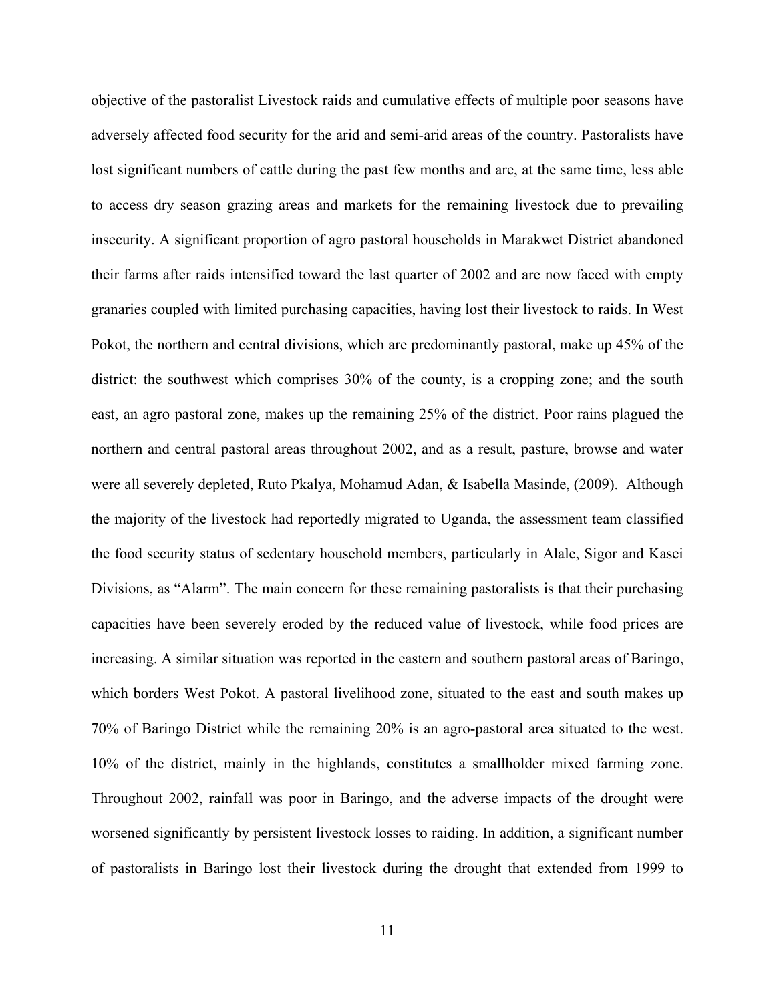objective of the pastoralist Livestock raids and cumulative effects of multiple poor seasons have adversely affected food security for the arid and semi-arid areas of the country. Pastoralists have lost significant numbers of cattle during the past few months and are, at the same time, less able to access dry season grazing areas and markets for the remaining livestock due to prevailing insecurity. A significant proportion of agro pastoral households in Marakwet District abandoned their farms after raids intensified toward the last quarter of 2002 and are now faced with empty granaries coupled with limited purchasing capacities, having lost their livestock to raids. In West Pokot, the northern and central divisions, which are predominantly pastoral, make up 45% of the district: the southwest which comprises 30% of the county, is a cropping zone; and the south east, an agro pastoral zone, makes up the remaining 25% of the district. Poor rains plagued the northern and central pastoral areas throughout 2002, and as a result, pasture, browse and water were all severely depleted, Ruto Pkalya, Mohamud Adan, & Isabella Masinde, (2009). Although the majority of the livestock had reportedly migrated to Uganda, the assessment team classified the food security status of sedentary household members, particularly in Alale, Sigor and Kasei Divisions, as "Alarm". The main concern for these remaining pastoralists is that their purchasing capacities have been severely eroded by the reduced value of livestock, while food prices are increasing. A similar situation was reported in the eastern and southern pastoral areas of Baringo, which borders West Pokot. A pastoral livelihood zone, situated to the east and south makes up 70% of Baringo District while the remaining 20% is an agro-pastoral area situated to the west. 10% of the district, mainly in the highlands, constitutes a smallholder mixed farming zone. Throughout 2002, rainfall was poor in Baringo, and the adverse impacts of the drought were worsened significantly by persistent livestock losses to raiding. In addition, a significant number of pastoralists in Baringo lost their livestock during the drought that extended from 1999 to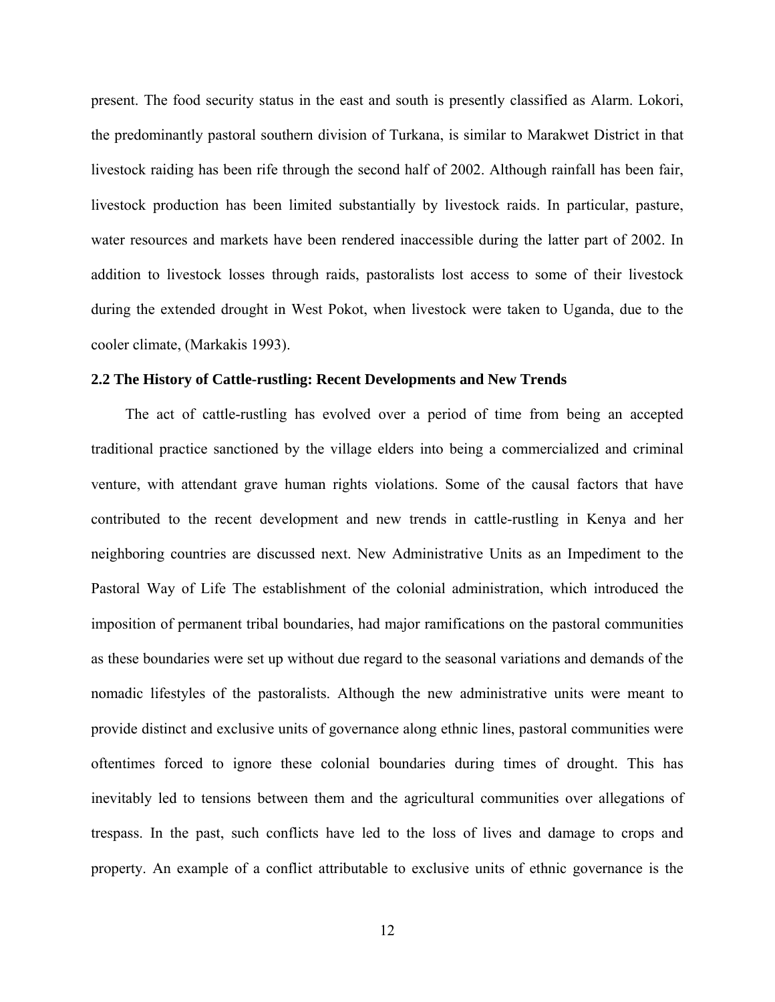present. The food security status in the east and south is presently classified as Alarm. Lokori, the predominantly pastoral southern division of Turkana, is similar to Marakwet District in that livestock raiding has been rife through the second half of 2002. Although rainfall has been fair, livestock production has been limited substantially by livestock raids. In particular, pasture, water resources and markets have been rendered inaccessible during the latter part of 2002. In addition to livestock losses through raids, pastoralists lost access to some of their livestock during the extended drought in West Pokot, when livestock were taken to Uganda, due to the cooler climate, (Markakis 1993).

#### **2.2 The History of Cattle-rustling: Recent Developments and New Trends**

The act of cattle-rustling has evolved over a period of time from being an accepted traditional practice sanctioned by the village elders into being a commercialized and criminal venture, with attendant grave human rights violations. Some of the causal factors that have contributed to the recent development and new trends in cattle-rustling in Kenya and her neighboring countries are discussed next. New Administrative Units as an Impediment to the Pastoral Way of Life The establishment of the colonial administration, which introduced the imposition of permanent tribal boundaries, had major ramifications on the pastoral communities as these boundaries were set up without due regard to the seasonal variations and demands of the nomadic lifestyles of the pastoralists. Although the new administrative units were meant to provide distinct and exclusive units of governance along ethnic lines, pastoral communities were oftentimes forced to ignore these colonial boundaries during times of drought. This has inevitably led to tensions between them and the agricultural communities over allegations of trespass. In the past, such conflicts have led to the loss of lives and damage to crops and property. An example of a conflict attributable to exclusive units of ethnic governance is the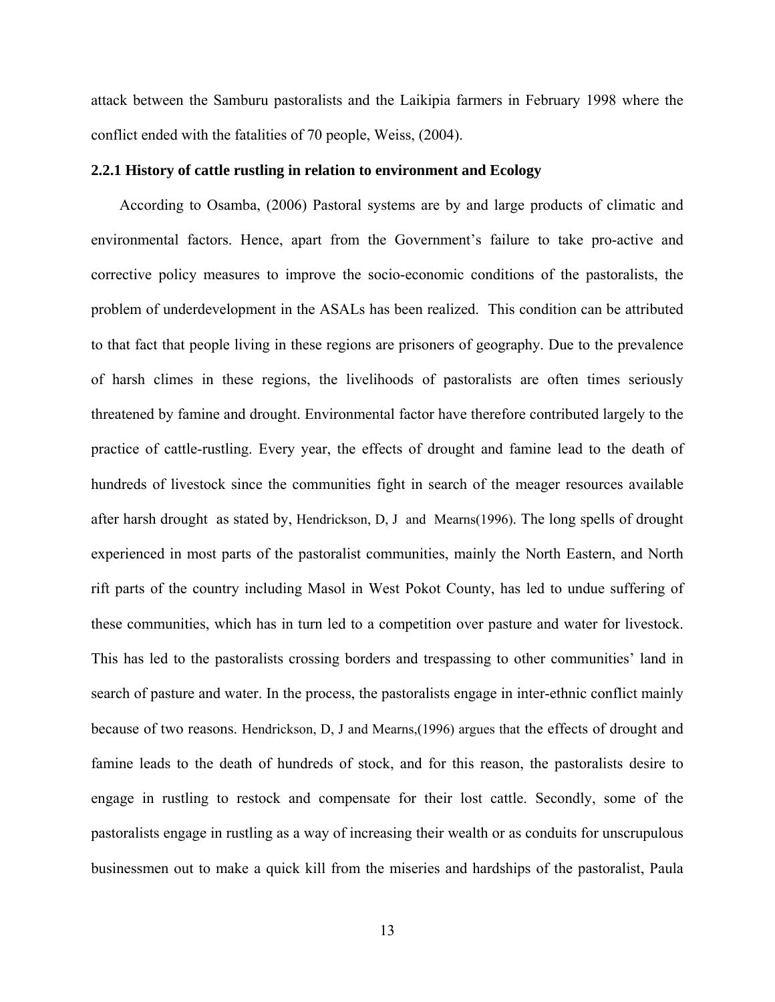attack between the Samburu pastoralists and the Laikipia farmers in February 1998 where the conflict ended with the fatalities of 70 people, Weiss, (2004).

#### **2.2.1 History of cattle rustling in relation to environment and Ecology**

According to Osamba, (2006) Pastoral systems are by and large products of climatic and environmental factors. Hence, apart from the Government's failure to take pro-active and corrective policy measures to improve the socio-economic conditions of the pastoralists, the problem of underdevelopment in the ASALs has been realized. This condition can be attributed to that fact that people living in these regions are prisoners of geography. Due to the prevalence of harsh climes in these regions, the livelihoods of pastoralists are often times seriously threatened by famine and drought. Environmental factor have therefore contributed largely to the practice of cattle-rustling. Every year, the effects of drought and famine lead to the death of hundreds of livestock since the communities fight in search of the meager resources available after harsh drought as stated by, Hendrickson, D, J and Mearns(1996). The long spells of drought experienced in most parts of the pastoralist communities, mainly the North Eastern, and North rift parts of the country including Masol in West Pokot County, has led to undue suffering of these communities, which has in turn led to a competition over pasture and water for livestock. This has led to the pastoralists crossing borders and trespassing to other communities' land in search of pasture and water. In the process, the pastoralists engage in inter-ethnic conflict mainly because of two reasons. Hendrickson, D, J and Mearns,(1996) argues that the effects of drought and famine leads to the death of hundreds of stock, and for this reason, the pastoralists desire to engage in rustling to restock and compensate for their lost cattle. Secondly, some of the pastoralists engage in rustling as a way of increasing their wealth or as conduits for unscrupulous businessmen out to make a quick kill from the miseries and hardships of the pastoralist, Paula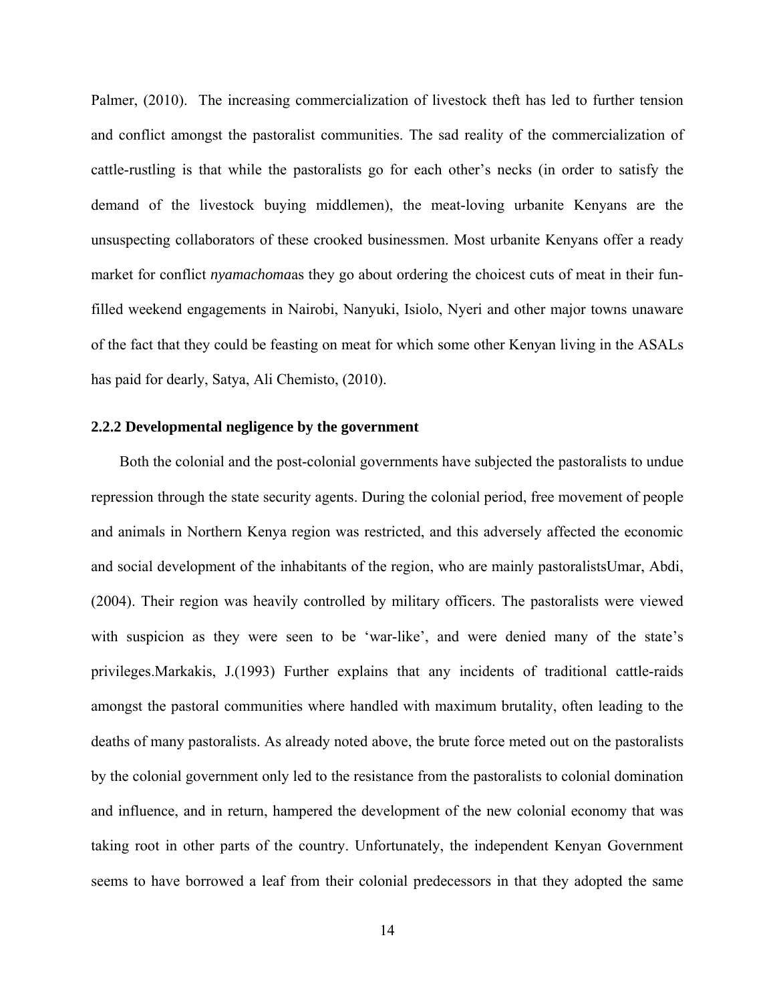Palmer, (2010). The increasing commercialization of livestock theft has led to further tension and conflict amongst the pastoralist communities. The sad reality of the commercialization of cattle-rustling is that while the pastoralists go for each other's necks (in order to satisfy the demand of the livestock buying middlemen), the meat-loving urbanite Kenyans are the unsuspecting collaborators of these crooked businessmen. Most urbanite Kenyans offer a ready market for conflict *nyamachoma*as they go about ordering the choicest cuts of meat in their funfilled weekend engagements in Nairobi, Nanyuki, Isiolo, Nyeri and other major towns unaware of the fact that they could be feasting on meat for which some other Kenyan living in the ASALs has paid for dearly, Satya, Ali Chemisto, (2010).

#### **2.2.2 Developmental negligence by the government**

Both the colonial and the post-colonial governments have subjected the pastoralists to undue repression through the state security agents. During the colonial period, free movement of people and animals in Northern Kenya region was restricted, and this adversely affected the economic and social development of the inhabitants of the region, who are mainly pastoralistsUmar, Abdi, (2004). Their region was heavily controlled by military officers. The pastoralists were viewed with suspicion as they were seen to be 'war-like', and were denied many of the state's privileges.Markakis, J.(1993) Further explains that any incidents of traditional cattle-raids amongst the pastoral communities where handled with maximum brutality, often leading to the deaths of many pastoralists. As already noted above, the brute force meted out on the pastoralists by the colonial government only led to the resistance from the pastoralists to colonial domination and influence, and in return, hampered the development of the new colonial economy that was taking root in other parts of the country. Unfortunately, the independent Kenyan Government seems to have borrowed a leaf from their colonial predecessors in that they adopted the same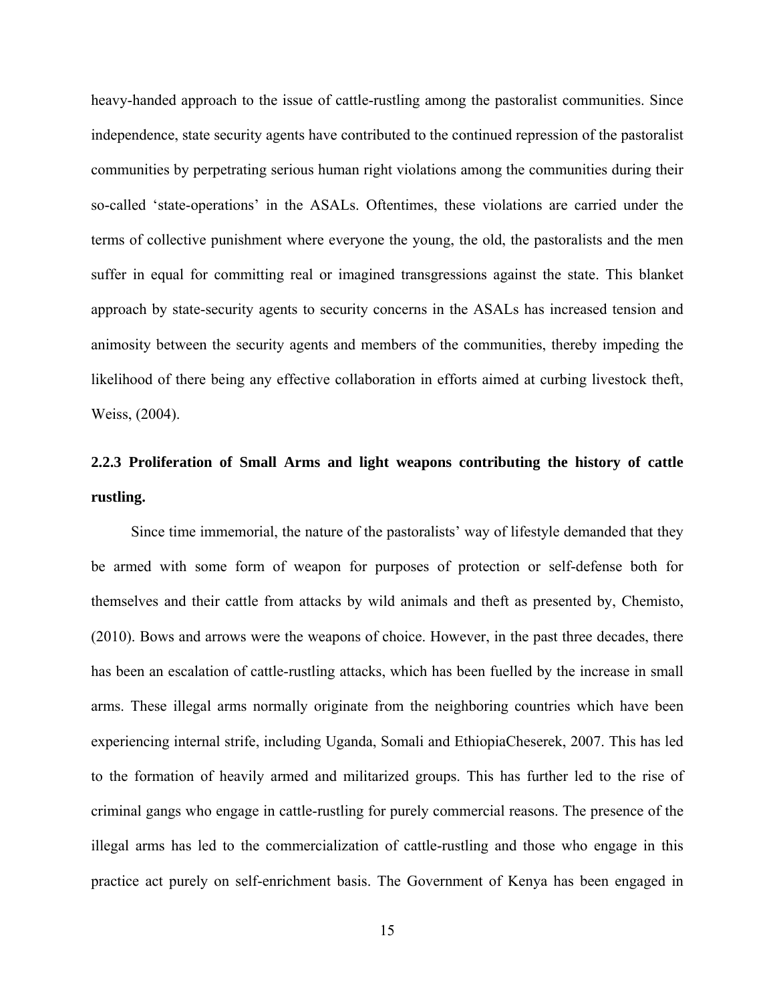heavy-handed approach to the issue of cattle-rustling among the pastoralist communities. Since independence, state security agents have contributed to the continued repression of the pastoralist communities by perpetrating serious human right violations among the communities during their so-called 'state-operations' in the ASALs. Oftentimes, these violations are carried under the terms of collective punishment where everyone the young, the old, the pastoralists and the men suffer in equal for committing real or imagined transgressions against the state. This blanket approach by state-security agents to security concerns in the ASALs has increased tension and animosity between the security agents and members of the communities, thereby impeding the likelihood of there being any effective collaboration in efforts aimed at curbing livestock theft, Weiss, (2004).

# **2.2.3 Proliferation of Small Arms and light weapons contributing the history of cattle rustling.**

Since time immemorial, the nature of the pastoralists' way of lifestyle demanded that they be armed with some form of weapon for purposes of protection or self-defense both for themselves and their cattle from attacks by wild animals and theft as presented by, Chemisto, (2010). Bows and arrows were the weapons of choice. However, in the past three decades, there has been an escalation of cattle-rustling attacks, which has been fuelled by the increase in small arms. These illegal arms normally originate from the neighboring countries which have been experiencing internal strife, including Uganda, Somali and EthiopiaCheserek, 2007. This has led to the formation of heavily armed and militarized groups. This has further led to the rise of criminal gangs who engage in cattle-rustling for purely commercial reasons. The presence of the illegal arms has led to the commercialization of cattle-rustling and those who engage in this practice act purely on self-enrichment basis. The Government of Kenya has been engaged in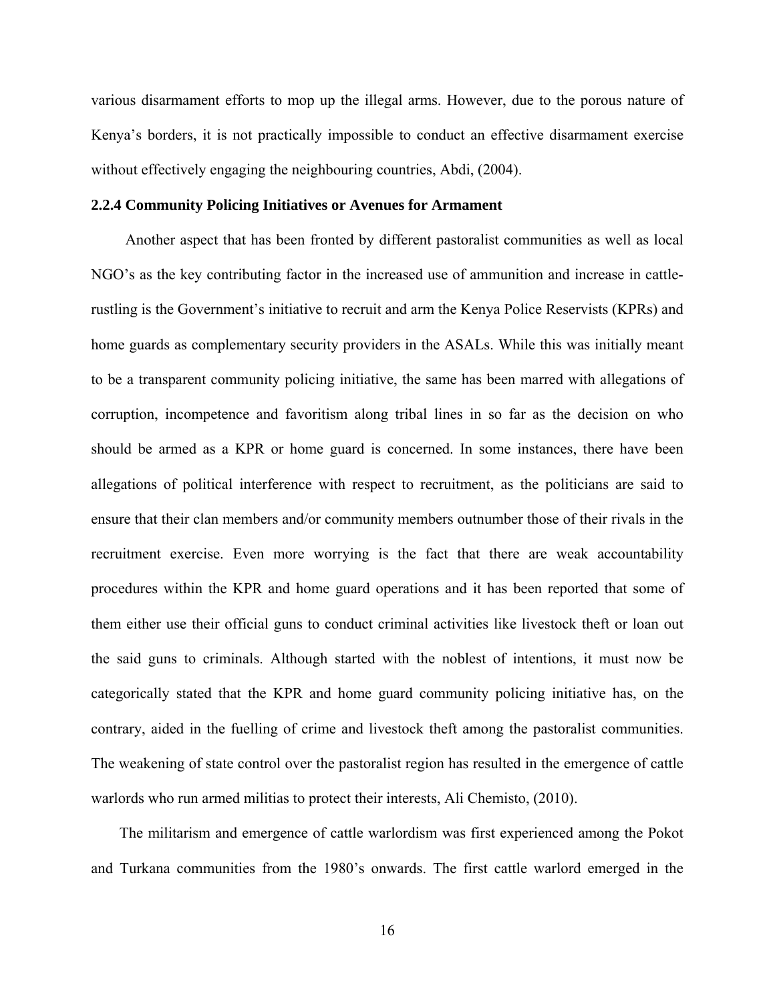various disarmament efforts to mop up the illegal arms. However, due to the porous nature of Kenya's borders, it is not practically impossible to conduct an effective disarmament exercise without effectively engaging the neighbouring countries, Abdi, (2004).

#### **2.2.4 Community Policing Initiatives or Avenues for Armament**

Another aspect that has been fronted by different pastoralist communities as well as local NGO's as the key contributing factor in the increased use of ammunition and increase in cattlerustling is the Government's initiative to recruit and arm the Kenya Police Reservists (KPRs) and home guards as complementary security providers in the ASALs. While this was initially meant to be a transparent community policing initiative, the same has been marred with allegations of corruption, incompetence and favoritism along tribal lines in so far as the decision on who should be armed as a KPR or home guard is concerned. In some instances, there have been allegations of political interference with respect to recruitment, as the politicians are said to ensure that their clan members and/or community members outnumber those of their rivals in the recruitment exercise. Even more worrying is the fact that there are weak accountability procedures within the KPR and home guard operations and it has been reported that some of them either use their official guns to conduct criminal activities like livestock theft or loan out the said guns to criminals. Although started with the noblest of intentions, it must now be categorically stated that the KPR and home guard community policing initiative has, on the contrary, aided in the fuelling of crime and livestock theft among the pastoralist communities. The weakening of state control over the pastoralist region has resulted in the emergence of cattle warlords who run armed militias to protect their interests, Ali Chemisto, (2010).

The militarism and emergence of cattle warlordism was first experienced among the Pokot and Turkana communities from the 1980's onwards. The first cattle warlord emerged in the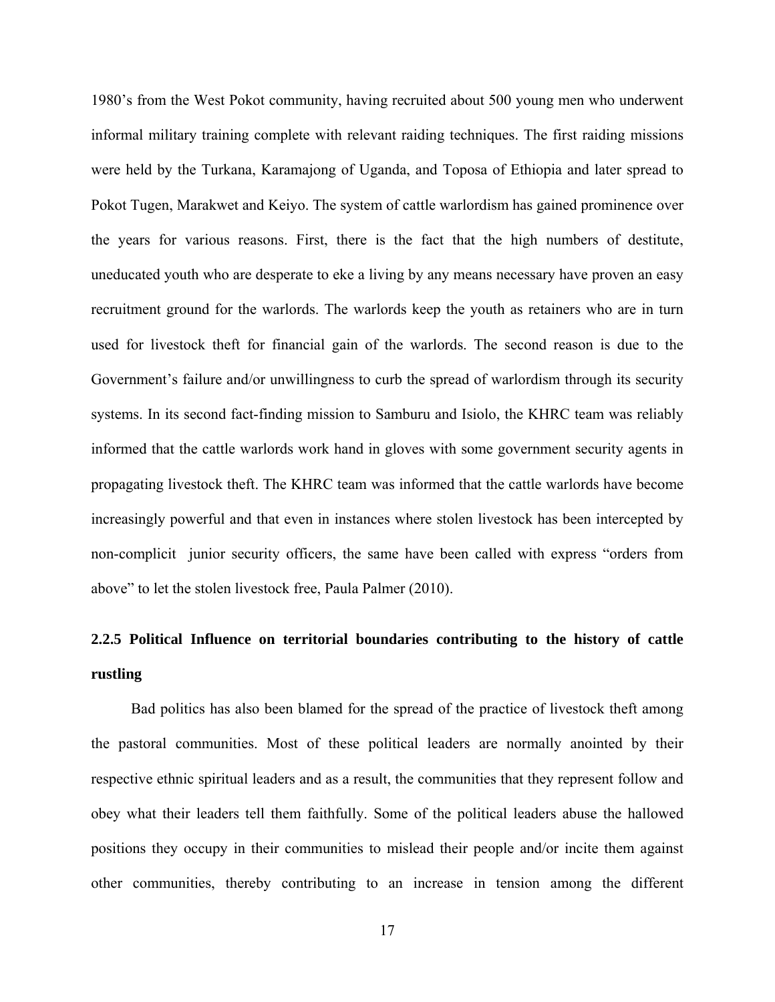1980's from the West Pokot community, having recruited about 500 young men who underwent informal military training complete with relevant raiding techniques. The first raiding missions were held by the Turkana, Karamajong of Uganda, and Toposa of Ethiopia and later spread to Pokot Tugen, Marakwet and Keiyo. The system of cattle warlordism has gained prominence over the years for various reasons. First, there is the fact that the high numbers of destitute, uneducated youth who are desperate to eke a living by any means necessary have proven an easy recruitment ground for the warlords. The warlords keep the youth as retainers who are in turn used for livestock theft for financial gain of the warlords. The second reason is due to the Government's failure and/or unwillingness to curb the spread of warlordism through its security systems. In its second fact-finding mission to Samburu and Isiolo, the KHRC team was reliably informed that the cattle warlords work hand in gloves with some government security agents in propagating livestock theft. The KHRC team was informed that the cattle warlords have become increasingly powerful and that even in instances where stolen livestock has been intercepted by non-complicit junior security officers, the same have been called with express "orders from above" to let the stolen livestock free, Paula Palmer (2010).

# **2.2.5 Political Influence on territorial boundaries contributing to the history of cattle rustling**

Bad politics has also been blamed for the spread of the practice of livestock theft among the pastoral communities. Most of these political leaders are normally anointed by their respective ethnic spiritual leaders and as a result, the communities that they represent follow and obey what their leaders tell them faithfully. Some of the political leaders abuse the hallowed positions they occupy in their communities to mislead their people and/or incite them against other communities, thereby contributing to an increase in tension among the different

17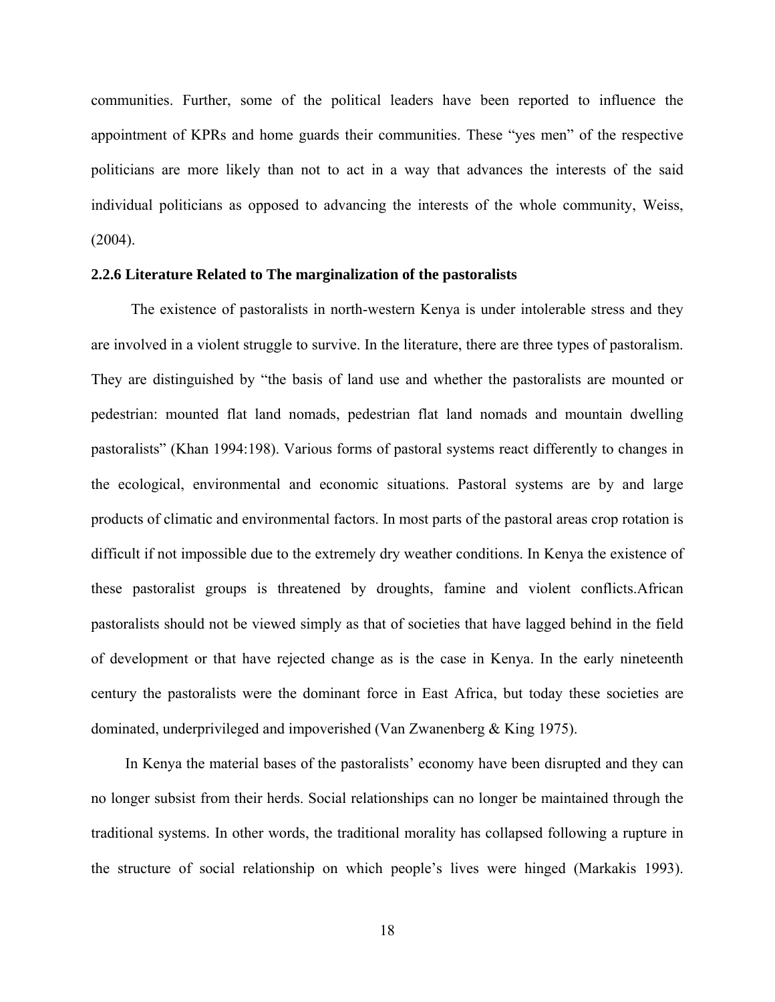communities. Further, some of the political leaders have been reported to influence the appointment of KPRs and home guards their communities. These "yes men" of the respective politicians are more likely than not to act in a way that advances the interests of the said individual politicians as opposed to advancing the interests of the whole community, Weiss,  $(2004)$ .

#### **2.2.6 Literature Related to The marginalization of the pastoralists**

The existence of pastoralists in north-western Kenya is under intolerable stress and they are involved in a violent struggle to survive. In the literature, there are three types of pastoralism. They are distinguished by "the basis of land use and whether the pastoralists are mounted or pedestrian: mounted flat land nomads, pedestrian flat land nomads and mountain dwelling pastoralists" (Khan 1994:198). Various forms of pastoral systems react differently to changes in the ecological, environmental and economic situations. Pastoral systems are by and large products of climatic and environmental factors. In most parts of the pastoral areas crop rotation is difficult if not impossible due to the extremely dry weather conditions. In Kenya the existence of these pastoralist groups is threatened by droughts, famine and violent conflicts.African pastoralists should not be viewed simply as that of societies that have lagged behind in the field of development or that have rejected change as is the case in Kenya. In the early nineteenth century the pastoralists were the dominant force in East Africa, but today these societies are dominated, underprivileged and impoverished (Van Zwanenberg & King 1975).

In Kenya the material bases of the pastoralists' economy have been disrupted and they can no longer subsist from their herds. Social relationships can no longer be maintained through the traditional systems. In other words, the traditional morality has collapsed following a rupture in the structure of social relationship on which people's lives were hinged (Markakis 1993).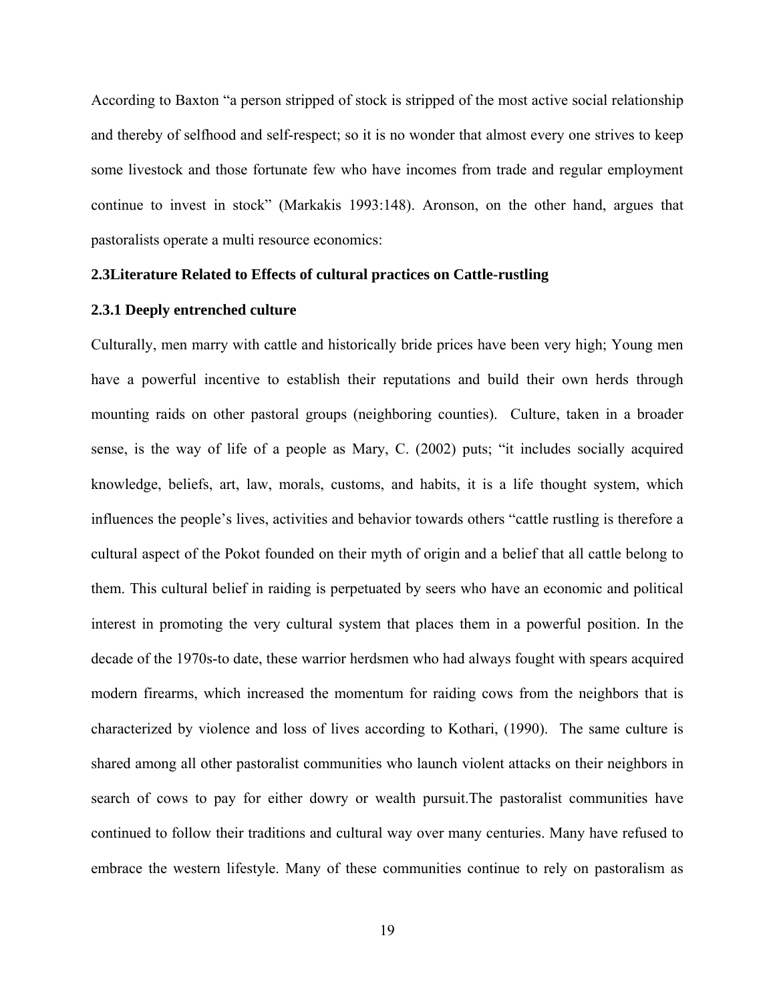According to Baxton "a person stripped of stock is stripped of the most active social relationship and thereby of selfhood and self-respect; so it is no wonder that almost every one strives to keep some livestock and those fortunate few who have incomes from trade and regular employment continue to invest in stock" (Markakis 1993:148). Aronson, on the other hand, argues that pastoralists operate a multi resource economics:

#### **2.3Literature Related to Effects of cultural practices on Cattle-rustling**

#### **2.3.1 Deeply entrenched culture**

Culturally, men marry with cattle and historically bride prices have been very high; Young men have a powerful incentive to establish their reputations and build their own herds through mounting raids on other pastoral groups (neighboring counties). Culture, taken in a broader sense, is the way of life of a people as Mary, C. (2002) puts; "it includes socially acquired knowledge, beliefs, art, law, morals, customs, and habits, it is a life thought system, which influences the people's lives, activities and behavior towards others "cattle rustling is therefore a cultural aspect of the Pokot founded on their myth of origin and a belief that all cattle belong to them. This cultural belief in raiding is perpetuated by seers who have an economic and political interest in promoting the very cultural system that places them in a powerful position. In the decade of the 1970s-to date, these warrior herdsmen who had always fought with spears acquired modern firearms, which increased the momentum for raiding cows from the neighbors that is characterized by violence and loss of lives according to Kothari, (1990). The same culture is shared among all other pastoralist communities who launch violent attacks on their neighbors in search of cows to pay for either dowry or wealth pursuit.The pastoralist communities have continued to follow their traditions and cultural way over many centuries. Many have refused to embrace the western lifestyle. Many of these communities continue to rely on pastoralism as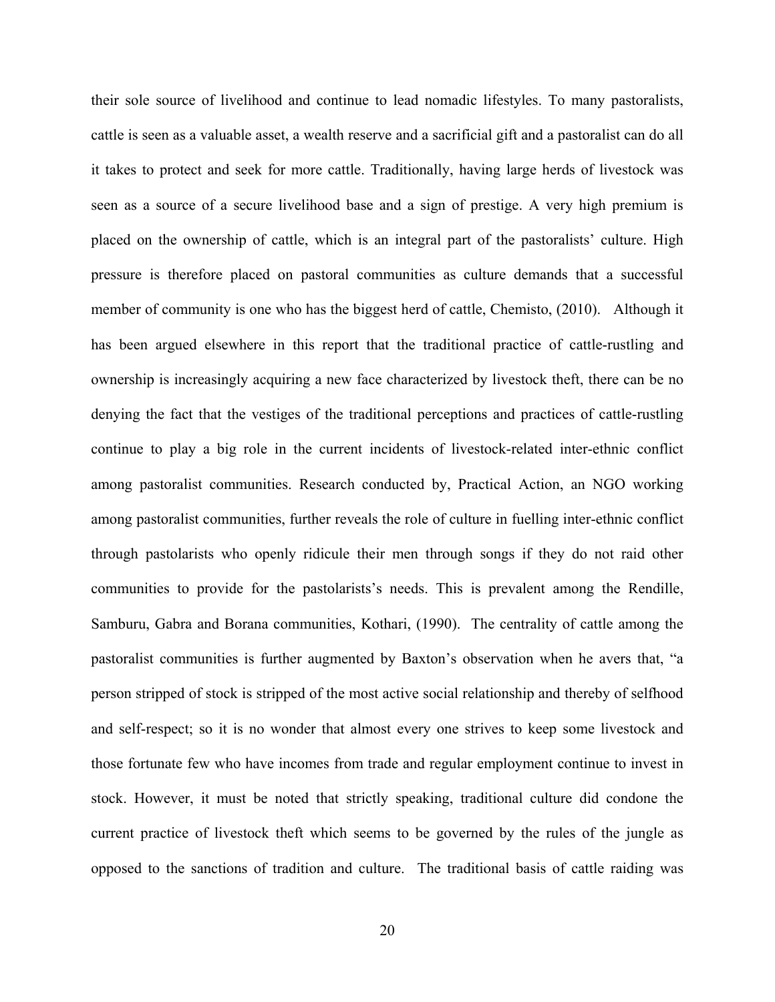their sole source of livelihood and continue to lead nomadic lifestyles. To many pastoralists, cattle is seen as a valuable asset, a wealth reserve and a sacrificial gift and a pastoralist can do all it takes to protect and seek for more cattle. Traditionally, having large herds of livestock was seen as a source of a secure livelihood base and a sign of prestige. A very high premium is placed on the ownership of cattle, which is an integral part of the pastoralists' culture. High pressure is therefore placed on pastoral communities as culture demands that a successful member of community is one who has the biggest herd of cattle, Chemisto, (2010). Although it has been argued elsewhere in this report that the traditional practice of cattle-rustling and ownership is increasingly acquiring a new face characterized by livestock theft, there can be no denying the fact that the vestiges of the traditional perceptions and practices of cattle-rustling continue to play a big role in the current incidents of livestock-related inter-ethnic conflict among pastoralist communities. Research conducted by, Practical Action, an NGO working among pastoralist communities, further reveals the role of culture in fuelling inter-ethnic conflict through pastolarists who openly ridicule their men through songs if they do not raid other communities to provide for the pastolarists's needs. This is prevalent among the Rendille, Samburu, Gabra and Borana communities, Kothari, (1990). The centrality of cattle among the pastoralist communities is further augmented by Baxton's observation when he avers that, "a person stripped of stock is stripped of the most active social relationship and thereby of selfhood and self-respect; so it is no wonder that almost every one strives to keep some livestock and those fortunate few who have incomes from trade and regular employment continue to invest in stock. However, it must be noted that strictly speaking, traditional culture did condone the current practice of livestock theft which seems to be governed by the rules of the jungle as opposed to the sanctions of tradition and culture. The traditional basis of cattle raiding was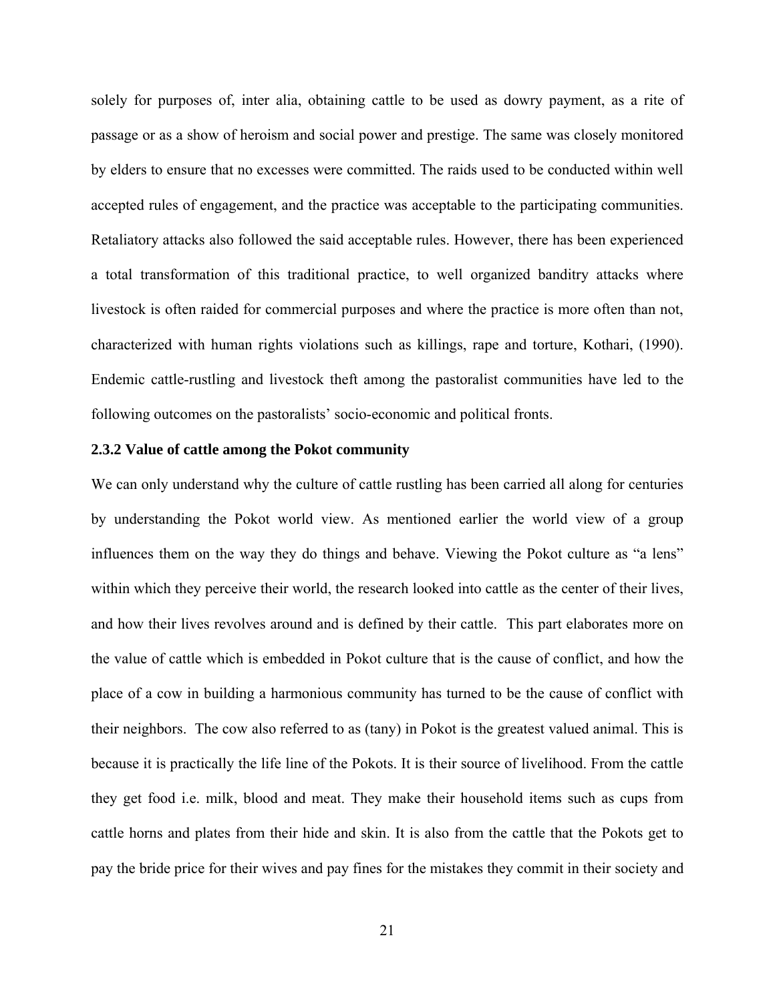solely for purposes of, inter alia, obtaining cattle to be used as dowry payment, as a rite of passage or as a show of heroism and social power and prestige. The same was closely monitored by elders to ensure that no excesses were committed. The raids used to be conducted within well accepted rules of engagement, and the practice was acceptable to the participating communities. Retaliatory attacks also followed the said acceptable rules. However, there has been experienced a total transformation of this traditional practice, to well organized banditry attacks where livestock is often raided for commercial purposes and where the practice is more often than not, characterized with human rights violations such as killings, rape and torture, Kothari, (1990). Endemic cattle-rustling and livestock theft among the pastoralist communities have led to the following outcomes on the pastoralists' socio-economic and political fronts.

#### **2.3.2 Value of cattle among the Pokot community**

We can only understand why the culture of cattle rustling has been carried all along for centuries by understanding the Pokot world view. As mentioned earlier the world view of a group influences them on the way they do things and behave. Viewing the Pokot culture as "a lens" within which they perceive their world, the research looked into cattle as the center of their lives, and how their lives revolves around and is defined by their cattle. This part elaborates more on the value of cattle which is embedded in Pokot culture that is the cause of conflict, and how the place of a cow in building a harmonious community has turned to be the cause of conflict with their neighbors. The cow also referred to as (tany) in Pokot is the greatest valued animal. This is because it is practically the life line of the Pokots. It is their source of livelihood. From the cattle they get food i.e. milk, blood and meat. They make their household items such as cups from cattle horns and plates from their hide and skin. It is also from the cattle that the Pokots get to pay the bride price for their wives and pay fines for the mistakes they commit in their society and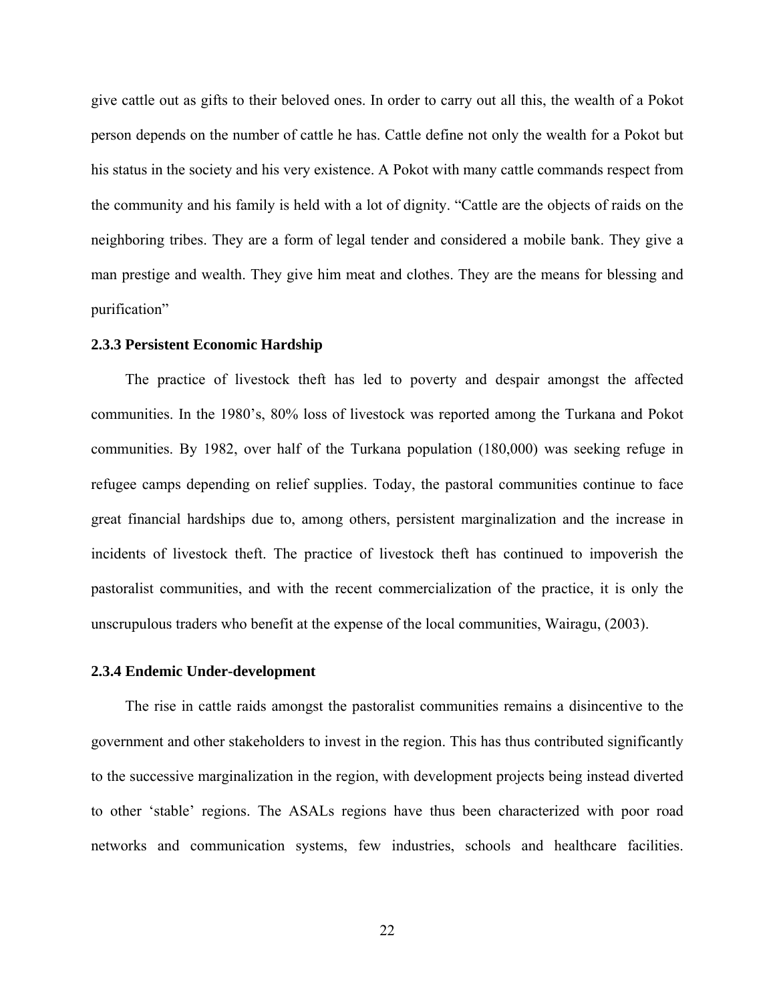give cattle out as gifts to their beloved ones. In order to carry out all this, the wealth of a Pokot person depends on the number of cattle he has. Cattle define not only the wealth for a Pokot but his status in the society and his very existence. A Pokot with many cattle commands respect from the community and his family is held with a lot of dignity. "Cattle are the objects of raids on the neighboring tribes. They are a form of legal tender and considered a mobile bank. They give a man prestige and wealth. They give him meat and clothes. They are the means for blessing and purification"

#### **2.3.3 Persistent Economic Hardship**

The practice of livestock theft has led to poverty and despair amongst the affected communities. In the 1980's, 80% loss of livestock was reported among the Turkana and Pokot communities. By 1982, over half of the Turkana population (180,000) was seeking refuge in refugee camps depending on relief supplies. Today, the pastoral communities continue to face great financial hardships due to, among others, persistent marginalization and the increase in incidents of livestock theft. The practice of livestock theft has continued to impoverish the pastoralist communities, and with the recent commercialization of the practice, it is only the unscrupulous traders who benefit at the expense of the local communities, Wairagu, (2003).

#### **2.3.4 Endemic Under-development**

The rise in cattle raids amongst the pastoralist communities remains a disincentive to the government and other stakeholders to invest in the region. This has thus contributed significantly to the successive marginalization in the region, with development projects being instead diverted to other 'stable' regions. The ASALs regions have thus been characterized with poor road networks and communication systems, few industries, schools and healthcare facilities.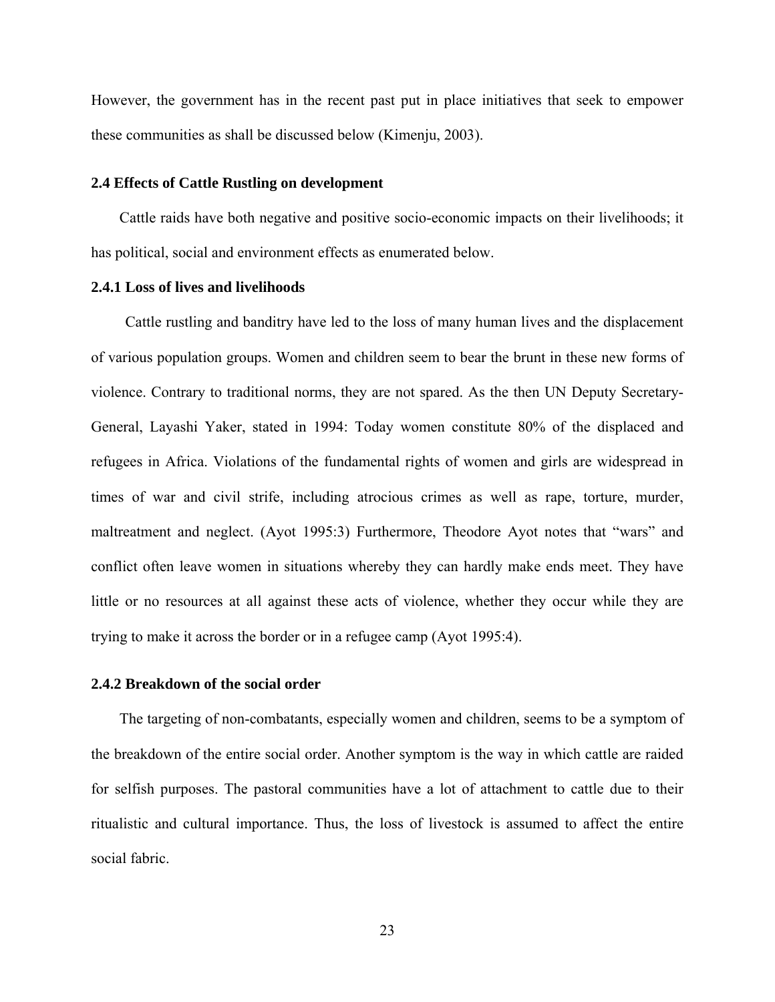However, the government has in the recent past put in place initiatives that seek to empower these communities as shall be discussed below (Kimenju, 2003).

#### **2.4 Effects of Cattle Rustling on development**

Cattle raids have both negative and positive socio-economic impacts on their livelihoods; it has political, social and environment effects as enumerated below.

#### **2.4.1 Loss of lives and livelihoods**

Cattle rustling and banditry have led to the loss of many human lives and the displacement of various population groups. Women and children seem to bear the brunt in these new forms of violence. Contrary to traditional norms, they are not spared. As the then UN Deputy Secretary-General, Layashi Yaker, stated in 1994: Today women constitute 80% of the displaced and refugees in Africa. Violations of the fundamental rights of women and girls are widespread in times of war and civil strife, including atrocious crimes as well as rape, torture, murder, maltreatment and neglect. (Ayot 1995:3) Furthermore, Theodore Ayot notes that "wars" and conflict often leave women in situations whereby they can hardly make ends meet. They have little or no resources at all against these acts of violence, whether they occur while they are trying to make it across the border or in a refugee camp (Ayot 1995:4).

### **2.4.2 Breakdown of the social order**

The targeting of non-combatants, especially women and children, seems to be a symptom of the breakdown of the entire social order. Another symptom is the way in which cattle are raided for selfish purposes. The pastoral communities have a lot of attachment to cattle due to their ritualistic and cultural importance. Thus, the loss of livestock is assumed to affect the entire social fabric.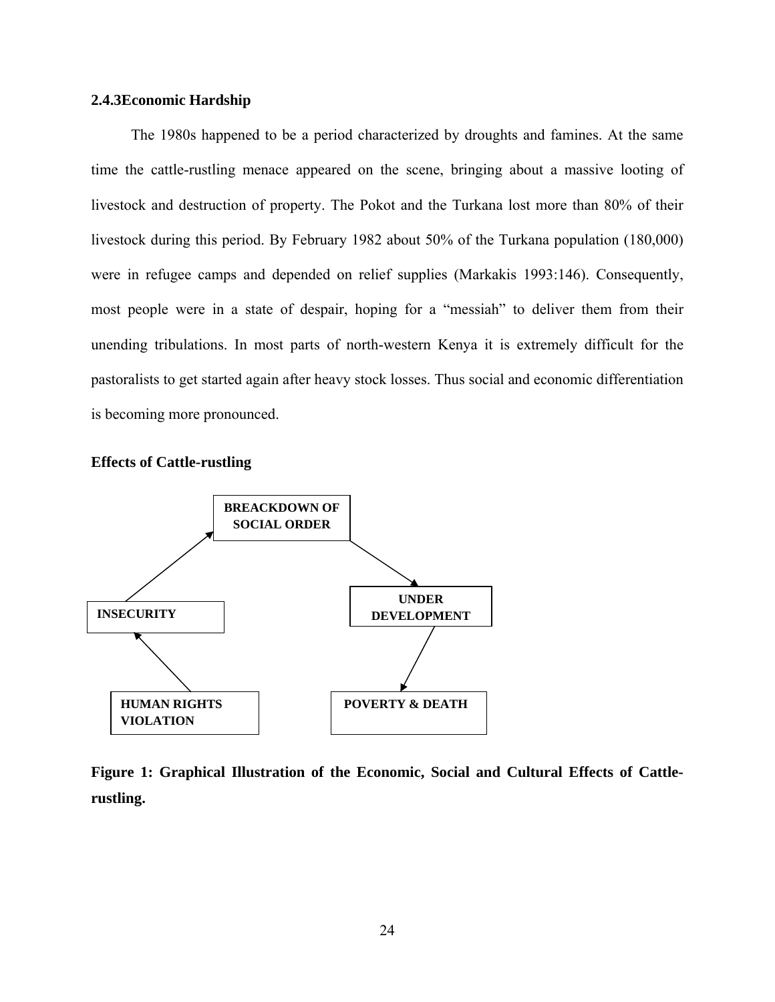### **2.4.3Economic Hardship**

The 1980s happened to be a period characterized by droughts and famines. At the same time the cattle-rustling menace appeared on the scene, bringing about a massive looting of livestock and destruction of property. The Pokot and the Turkana lost more than 80% of their livestock during this period. By February 1982 about 50% of the Turkana population (180,000) were in refugee camps and depended on relief supplies (Markakis 1993:146). Consequently, most people were in a state of despair, hoping for a "messiah" to deliver them from their unending tribulations. In most parts of north-western Kenya it is extremely difficult for the pastoralists to get started again after heavy stock losses. Thus social and economic differentiation is becoming more pronounced.





**Figure 1: Graphical Illustration of the Economic, Social and Cultural Effects of Cattlerustling.**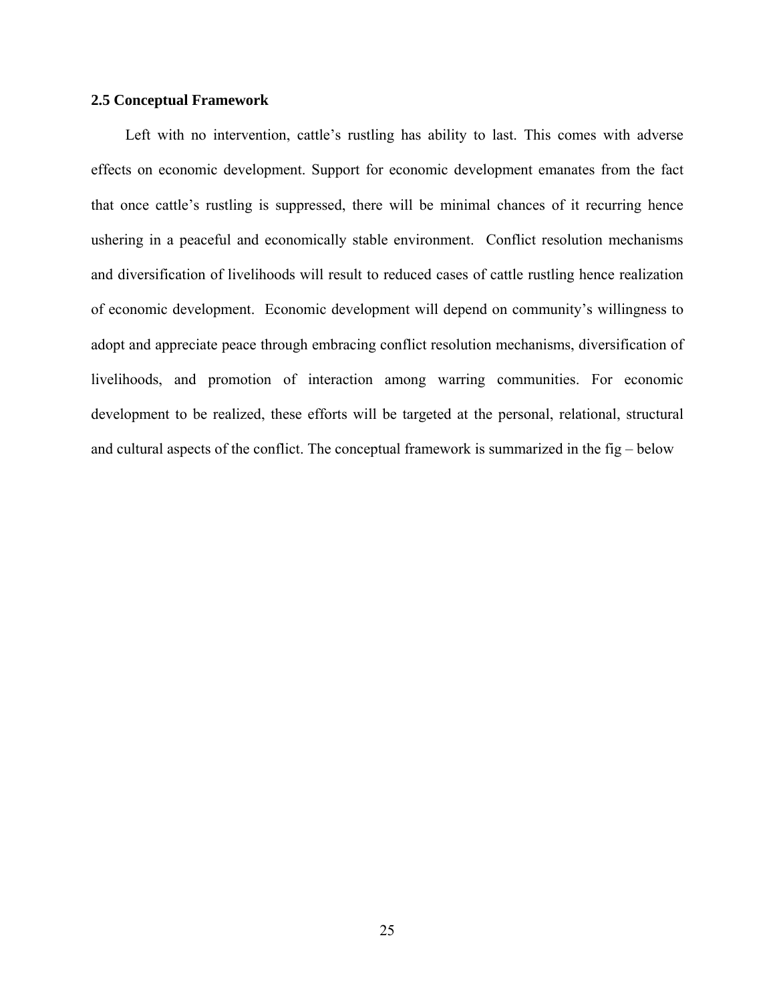#### **2.5 Conceptual Framework**

Left with no intervention, cattle's rustling has ability to last. This comes with adverse effects on economic development. Support for economic development emanates from the fact that once cattle's rustling is suppressed, there will be minimal chances of it recurring hence ushering in a peaceful and economically stable environment. Conflict resolution mechanisms and diversification of livelihoods will result to reduced cases of cattle rustling hence realization of economic development. Economic development will depend on community's willingness to adopt and appreciate peace through embracing conflict resolution mechanisms, diversification of livelihoods, and promotion of interaction among warring communities. For economic development to be realized, these efforts will be targeted at the personal, relational, structural and cultural aspects of the conflict. The conceptual framework is summarized in the fig – below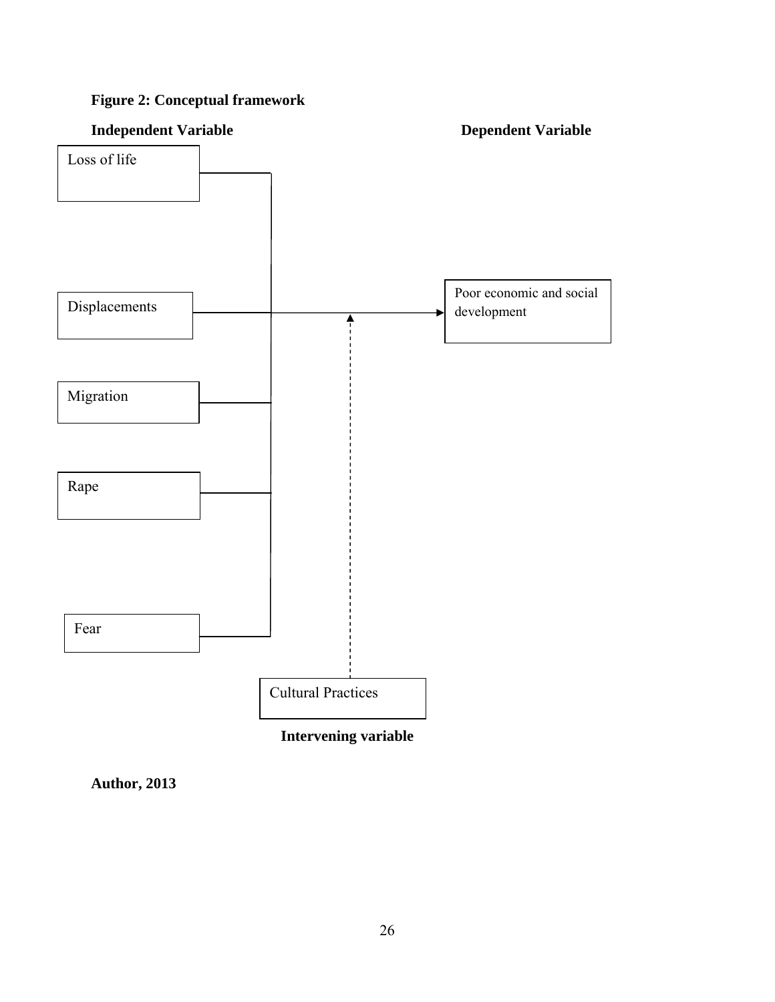# **Figure 2: Conceptual framework**



**Author, 2013**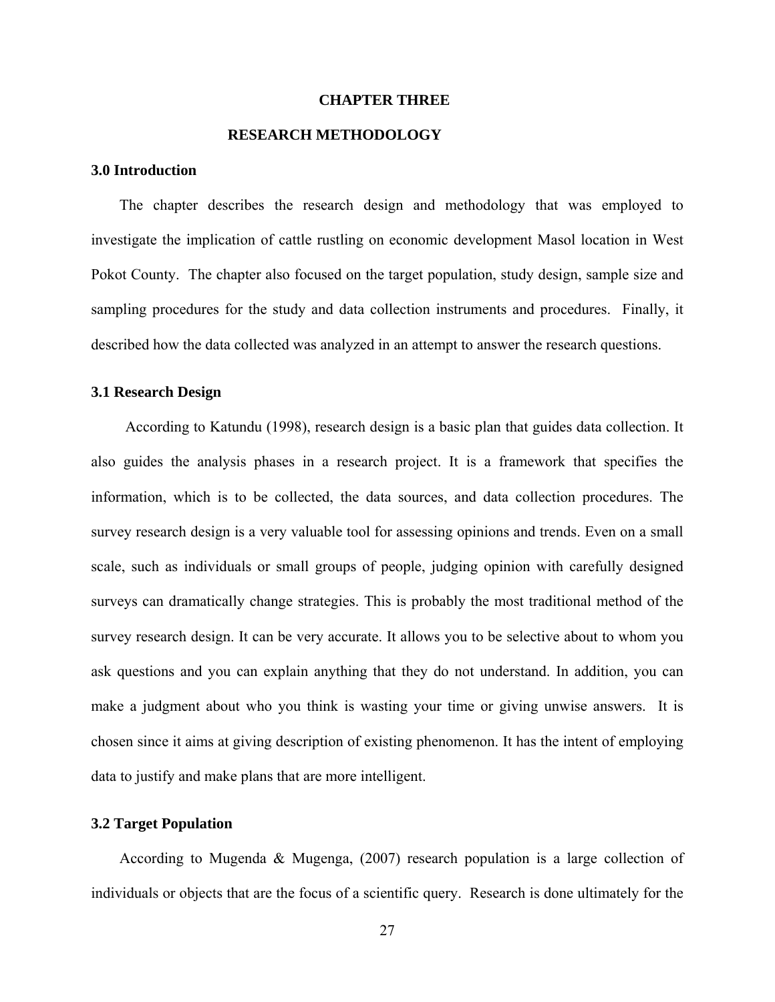#### **CHAPTER THREE**

# **RESEARCH METHODOLOGY**

# **3.0 Introduction**

The chapter describes the research design and methodology that was employed to investigate the implication of cattle rustling on economic development Masol location in West Pokot County. The chapter also focused on the target population, study design, sample size and sampling procedures for the study and data collection instruments and procedures. Finally, it described how the data collected was analyzed in an attempt to answer the research questions.

#### **3.1 Research Design**

According to Katundu (1998), research design is a basic plan that guides data collection. It also guides the analysis phases in a research project. It is a framework that specifies the information, which is to be collected, the data sources, and data collection procedures. The survey research design is a very valuable tool for assessing opinions and trends. Even on a small scale, such as individuals or small groups of people, judging opinion with carefully designed surveys can dramatically change strategies. This is probably the most traditional method of the survey research design. It can be very accurate. It allows you to be selective about to whom you ask questions and you can explain anything that they do not understand. In addition, you can make a judgment about who you think is wasting your time or giving unwise answers. It is chosen since it aims at giving description of existing phenomenon. It has the intent of employing data to justify and make plans that are more intelligent.

# **3.2 Target Population**

According to Mugenda & Mugenga, (2007) research population is a large collection of individuals or objects that are the focus of a scientific query. Research is done ultimately for the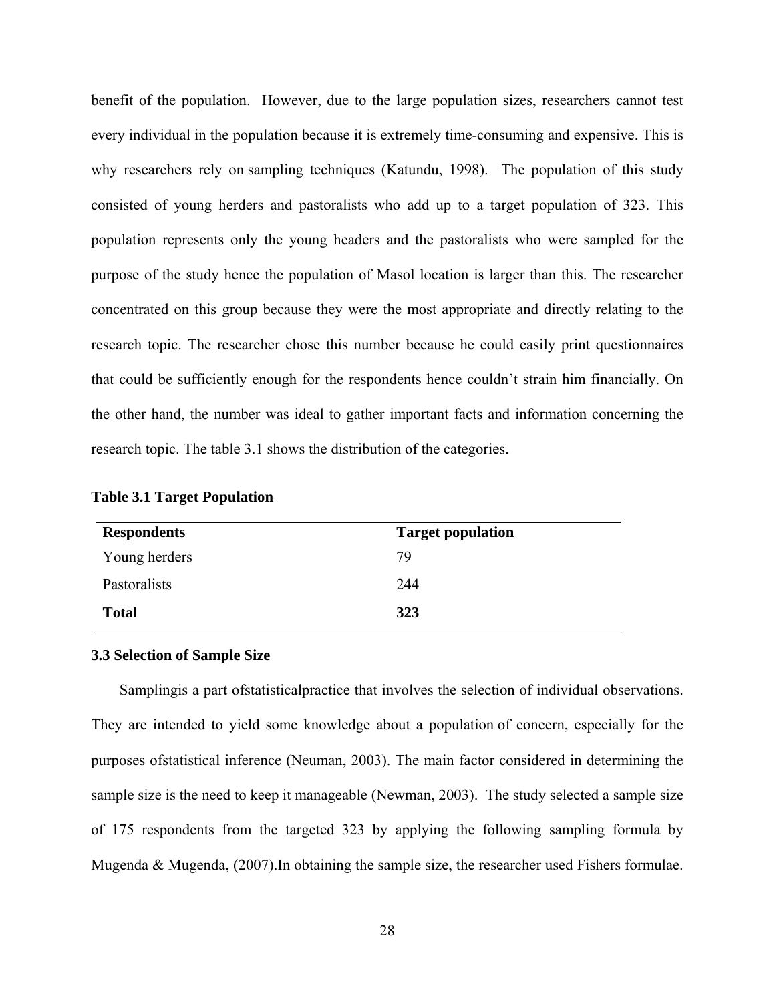benefit of the population. However, due to the large population sizes, researchers cannot test every individual in the population because it is extremely time-consuming and expensive. This is why researchers rely on sampling techniques (Katundu, 1998). The population of this study consisted of young herders and pastoralists who add up to a target population of 323. This population represents only the young headers and the pastoralists who were sampled for the purpose of the study hence the population of Masol location is larger than this. The researcher concentrated on this group because they were the most appropriate and directly relating to the research topic. The researcher chose this number because he could easily print questionnaires that could be sufficiently enough for the respondents hence couldn't strain him financially. On the other hand, the number was ideal to gather important facts and information concerning the research topic. The table 3.1 shows the distribution of the categories.

| <b>Respondents</b> | <b>Target population</b> |
|--------------------|--------------------------|
| Young herders      | 79                       |
| Pastoralists       | 244                      |
| <b>Total</b>       | 323                      |

**Table 3.1 Target Population** 

#### **3.3 Selection of Sample Size**

Samplingis a part ofstatisticalpractice that involves the selection of individual observations. They are intended to yield some knowledge about a population of concern, especially for the purposes ofstatistical inference (Neuman, 2003). The main factor considered in determining the sample size is the need to keep it manageable (Newman, 2003). The study selected a sample size of 175 respondents from the targeted 323 by applying the following sampling formula by Mugenda & Mugenda, (2007).In obtaining the sample size, the researcher used Fishers formulae.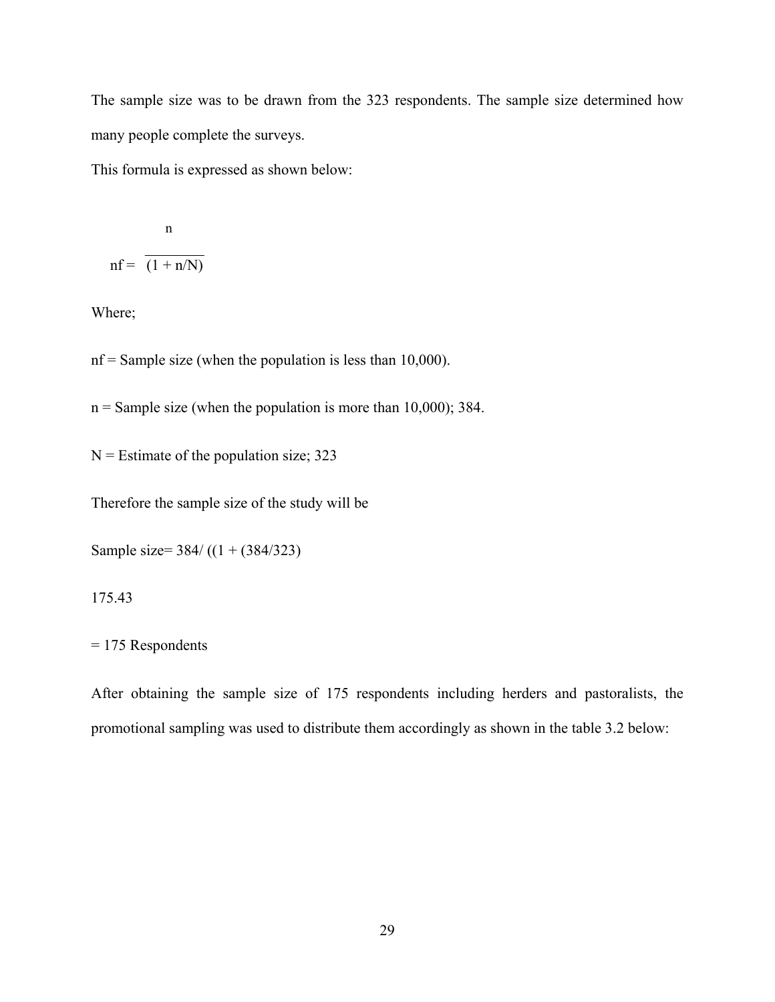The sample size was to be drawn from the 323 respondents. The sample size determined how many people complete the surveys.

This formula is expressed as shown below:

$$
n
$$
  
nf = 
$$
\frac{n}{(1 + n/N)}
$$

Where;

 $nf = Sample size$  (when the population is less than 10,000).

 $n =$  Sample size (when the population is more than 10,000); 384.

 $N =$  Estimate of the population size; 323

Therefore the sample size of the study will be

Sample size= 384/ ((1 + (384/323)

175.43

= 175 Respondents

After obtaining the sample size of 175 respondents including herders and pastoralists, the promotional sampling was used to distribute them accordingly as shown in the table 3.2 below: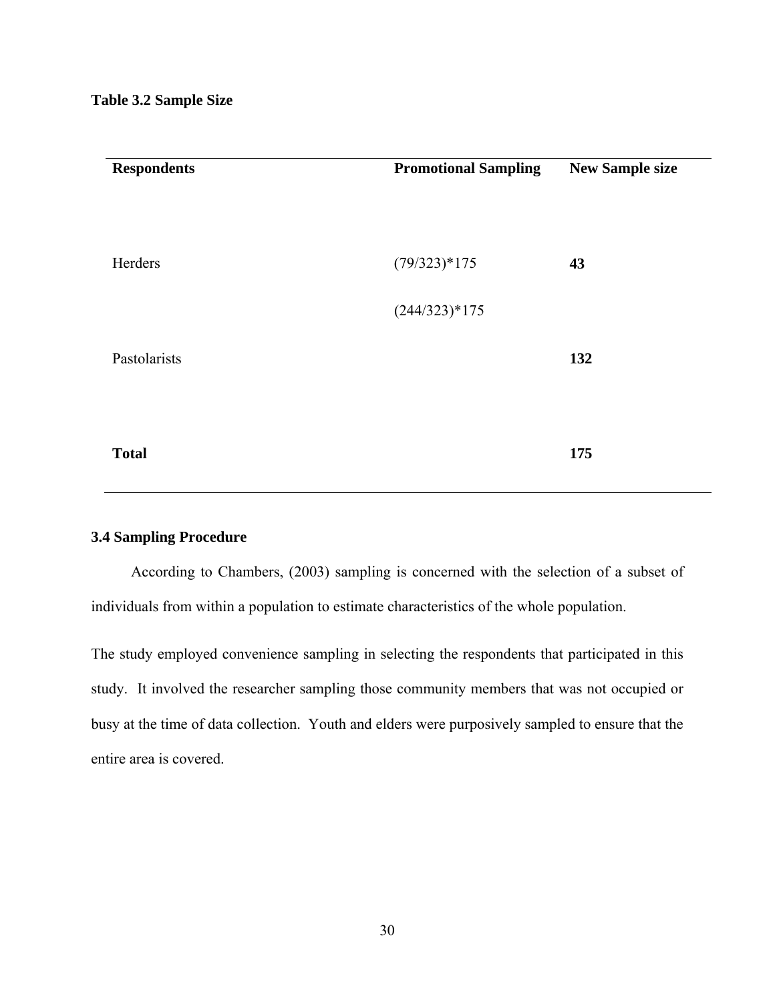| <b>Respondents</b> | <b>Promotional Sampling</b> | <b>New Sample size</b> |
|--------------------|-----------------------------|------------------------|
|                    |                             |                        |
|                    |                             |                        |
| Herders            | $(79/323)*175$              | 43                     |
|                    |                             |                        |
|                    | $(244/323)*175$             |                        |
| Pastolarists       |                             | 132                    |
|                    |                             |                        |
|                    |                             |                        |
| <b>Total</b>       |                             | 175                    |
|                    |                             |                        |

# **3.4 Sampling Procedure**

According to Chambers, (2003) sampling is concerned with the selection of a subset of individuals from within a population to estimate characteristics of the whole population.

The study employed convenience sampling in selecting the respondents that participated in this study. It involved the researcher sampling those community members that was not occupied or busy at the time of data collection. Youth and elders were purposively sampled to ensure that the entire area is covered.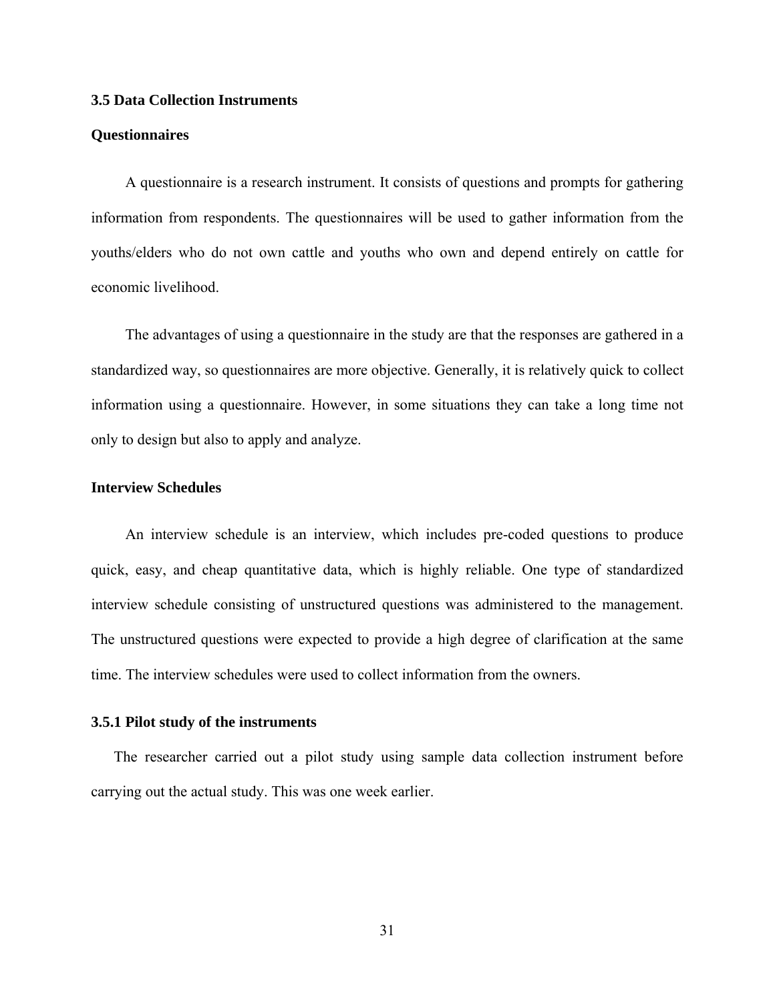#### **3.5 Data Collection Instruments**

#### **Questionnaires**

A questionnaire is a research instrument. It consists of questions and prompts for gathering information from respondents. The questionnaires will be used to gather information from the youths/elders who do not own cattle and youths who own and depend entirely on cattle for economic livelihood.

The advantages of using a questionnaire in the study are that the responses are gathered in a standardized way, so questionnaires are more objective. Generally, it is relatively quick to collect information using a questionnaire. However, in some situations they can take a long time not only to design but also to apply and analyze.

# **Interview Schedules**

An interview schedule is an interview, which includes pre-coded questions to produce quick, easy, and cheap quantitative data, which is highly reliable. One type of standardized interview schedule consisting of unstructured questions was administered to the management. The unstructured questions were expected to provide a high degree of clarification at the same time. The interview schedules were used to collect information from the owners.

#### **3.5.1 Pilot study of the instruments**

The researcher carried out a pilot study using sample data collection instrument before carrying out the actual study. This was one week earlier.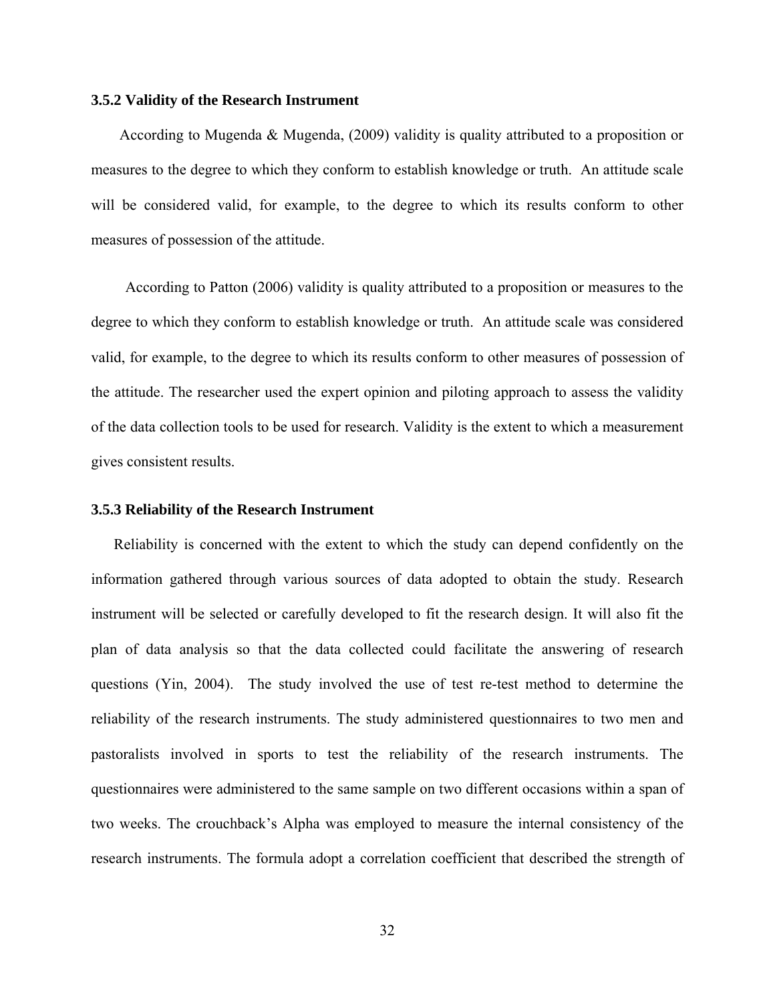#### **3.5.2 Validity of the Research Instrument**

According to Mugenda & Mugenda, (2009) validity is quality attributed to a proposition or measures to the degree to which they conform to establish knowledge or truth. An attitude scale will be considered valid, for example, to the degree to which its results conform to other measures of possession of the attitude.

According to Patton (2006) validity is quality attributed to a proposition or measures to the degree to which they conform to establish knowledge or truth. An attitude scale was considered valid, for example, to the degree to which its results conform to other measures of possession of the attitude. The researcher used the expert opinion and piloting approach to assess the validity of the data collection tools to be used for research. Validity is the extent to which a measurement gives consistent results.

#### **3.5.3 Reliability of the Research Instrument**

Reliability is concerned with the extent to which the study can depend confidently on the information gathered through various sources of data adopted to obtain the study. Research instrument will be selected or carefully developed to fit the research design. It will also fit the plan of data analysis so that the data collected could facilitate the answering of research questions (Yin, 2004). The study involved the use of test re-test method to determine the reliability of the research instruments. The study administered questionnaires to two men and pastoralists involved in sports to test the reliability of the research instruments. The questionnaires were administered to the same sample on two different occasions within a span of two weeks. The crouchback's Alpha was employed to measure the internal consistency of the research instruments. The formula adopt a correlation coefficient that described the strength of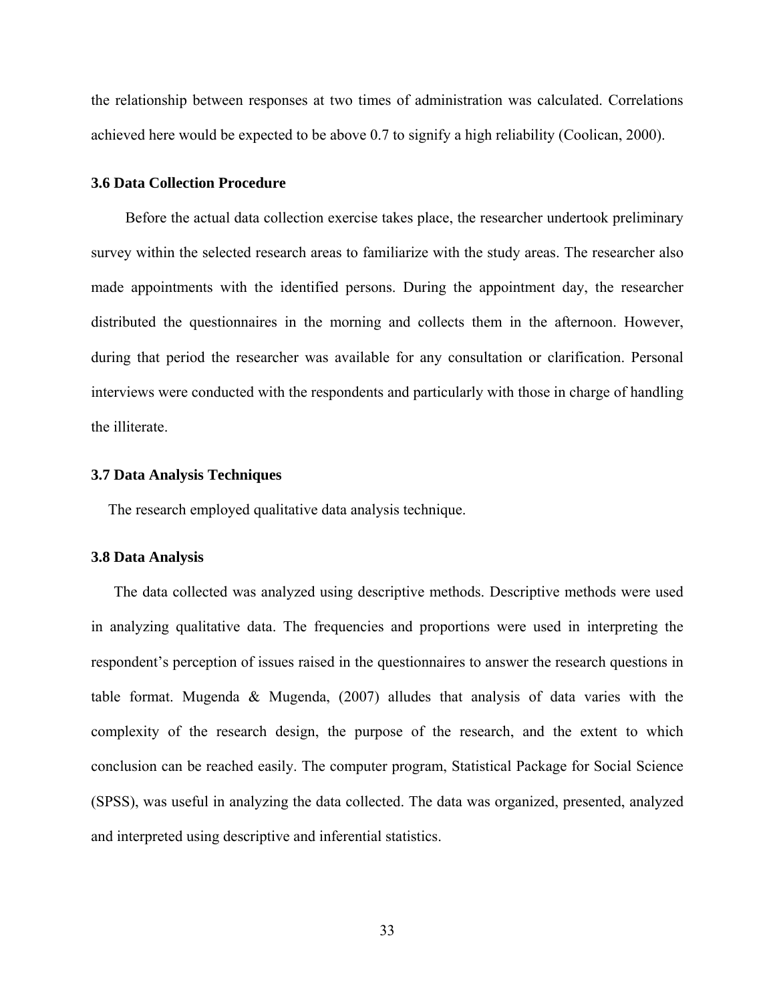the relationship between responses at two times of administration was calculated. Correlations achieved here would be expected to be above 0.7 to signify a high reliability (Coolican, 2000).

#### **3.6 Data Collection Procedure**

Before the actual data collection exercise takes place, the researcher undertook preliminary survey within the selected research areas to familiarize with the study areas. The researcher also made appointments with the identified persons. During the appointment day, the researcher distributed the questionnaires in the morning and collects them in the afternoon. However, during that period the researcher was available for any consultation or clarification. Personal interviews were conducted with the respondents and particularly with those in charge of handling the illiterate.

#### **3.7 Data Analysis Techniques**

The research employed qualitative data analysis technique.

#### **3.8 Data Analysis**

The data collected was analyzed using descriptive methods. Descriptive methods were used in analyzing qualitative data. The frequencies and proportions were used in interpreting the respondent's perception of issues raised in the questionnaires to answer the research questions in table format. Mugenda & Mugenda, (2007) alludes that analysis of data varies with the complexity of the research design, the purpose of the research, and the extent to which conclusion can be reached easily. The computer program, Statistical Package for Social Science (SPSS), was useful in analyzing the data collected. The data was organized, presented, analyzed and interpreted using descriptive and inferential statistics.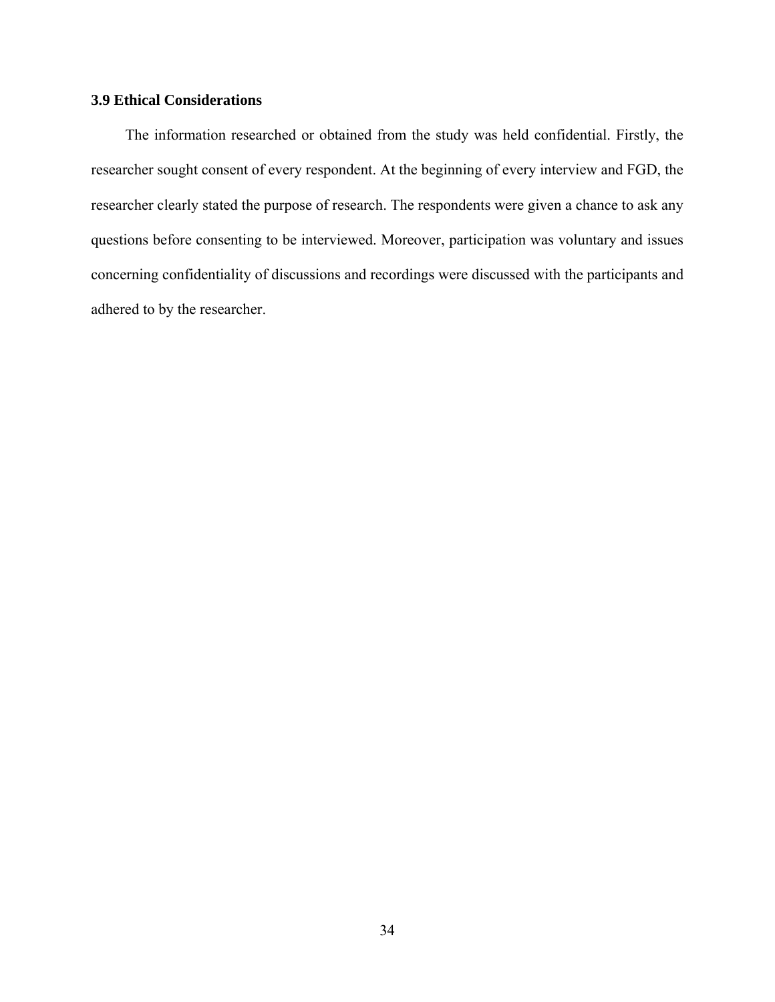# **3.9 Ethical Considerations**

The information researched or obtained from the study was held confidential. Firstly, the researcher sought consent of every respondent. At the beginning of every interview and FGD, the researcher clearly stated the purpose of research. The respondents were given a chance to ask any questions before consenting to be interviewed. Moreover, participation was voluntary and issues concerning confidentiality of discussions and recordings were discussed with the participants and adhered to by the researcher.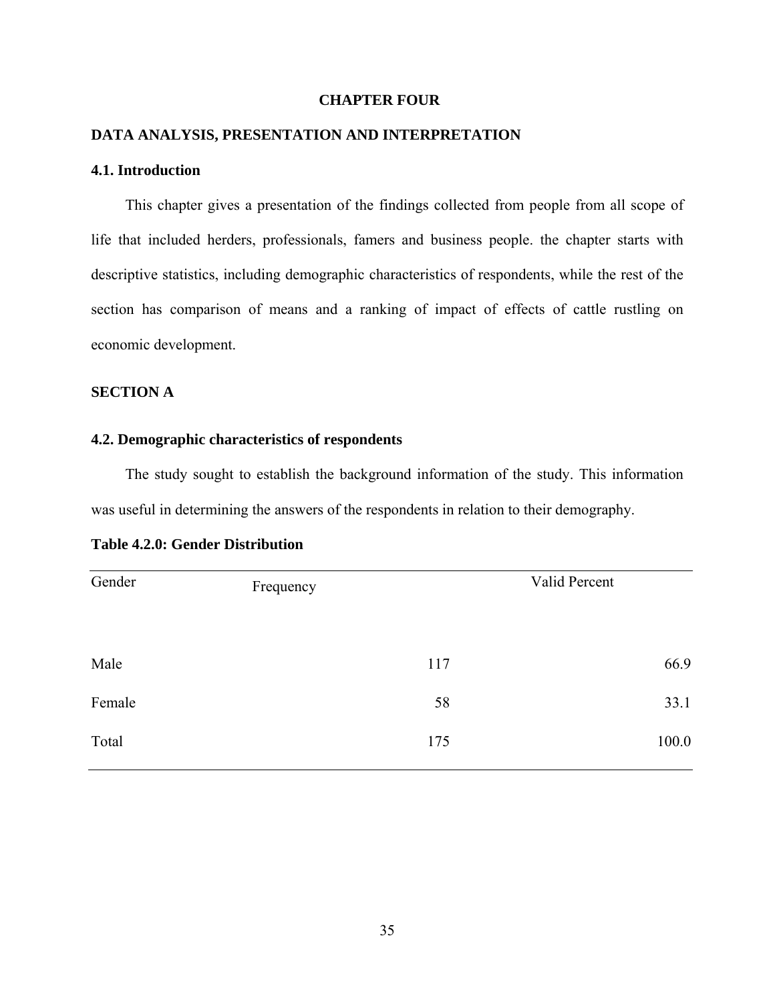# **CHAPTER FOUR**

# **DATA ANALYSIS, PRESENTATION AND INTERPRETATION**

# **4.1. Introduction**

This chapter gives a presentation of the findings collected from people from all scope of life that included herders, professionals, famers and business people. the chapter starts with descriptive statistics, including demographic characteristics of respondents, while the rest of the section has comparison of means and a ranking of impact of effects of cattle rustling on economic development.

# **SECTION A**

#### **4.2. Demographic characteristics of respondents**

The study sought to establish the background information of the study. This information was useful in determining the answers of the respondents in relation to their demography.

| Gender | Frequency |     | Valid Percent |
|--------|-----------|-----|---------------|
| Male   |           | 117 | 66.9          |
| Female |           | 58  | 33.1          |
| Total  |           | 175 | 100.0         |

| <b>Table 4.2.0: Gender Distribution</b> |
|-----------------------------------------|
|-----------------------------------------|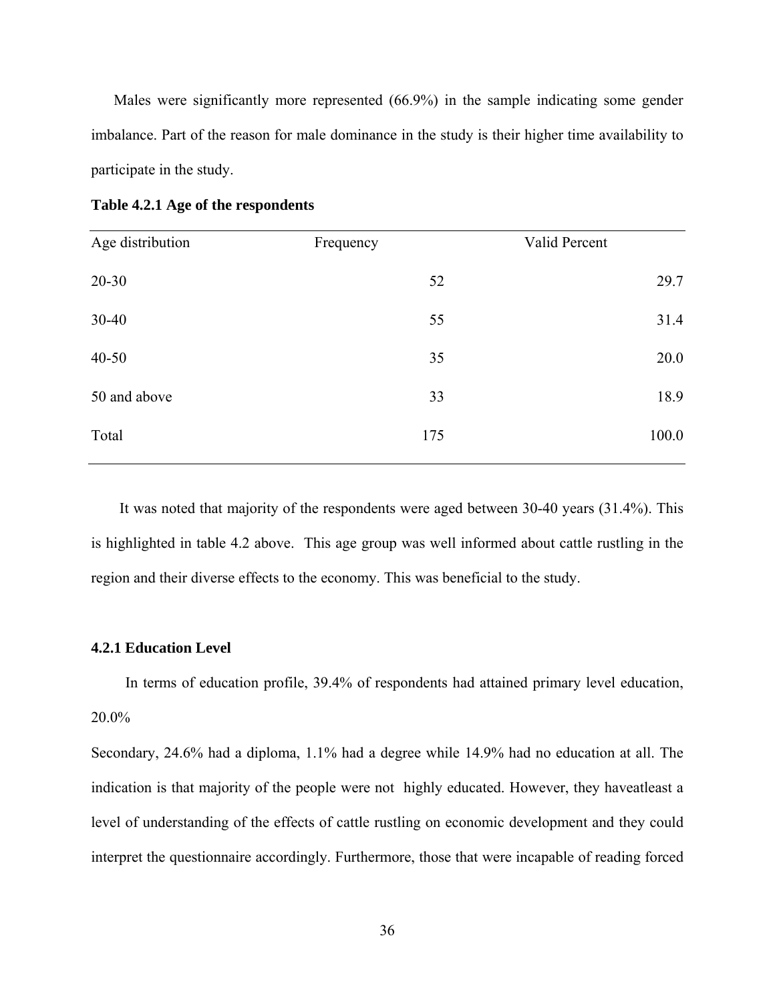Males were significantly more represented (66.9%) in the sample indicating some gender imbalance. Part of the reason for male dominance in the study is their higher time availability to participate in the study.

| Age distribution | Frequency | Valid Percent |
|------------------|-----------|---------------|
| $20 - 30$        | 52        | 29.7          |
| 30-40            | 55        | 31.4          |
| $40 - 50$        | 35        | 20.0          |
| 50 and above     | 33        | 18.9          |
| Total            | 175       | 100.0         |
|                  |           |               |

**Table 4.2.1 Age of the respondents** 

It was noted that majority of the respondents were aged between 30-40 years (31.4%). This is highlighted in table 4.2 above. This age group was well informed about cattle rustling in the region and their diverse effects to the economy. This was beneficial to the study.

## **4.2.1 Education Level**

In terms of education profile, 39.4% of respondents had attained primary level education, 20.0%

Secondary, 24.6% had a diploma, 1.1% had a degree while 14.9% had no education at all. The indication is that majority of the people were not highly educated. However, they haveatleast a level of understanding of the effects of cattle rustling on economic development and they could interpret the questionnaire accordingly. Furthermore, those that were incapable of reading forced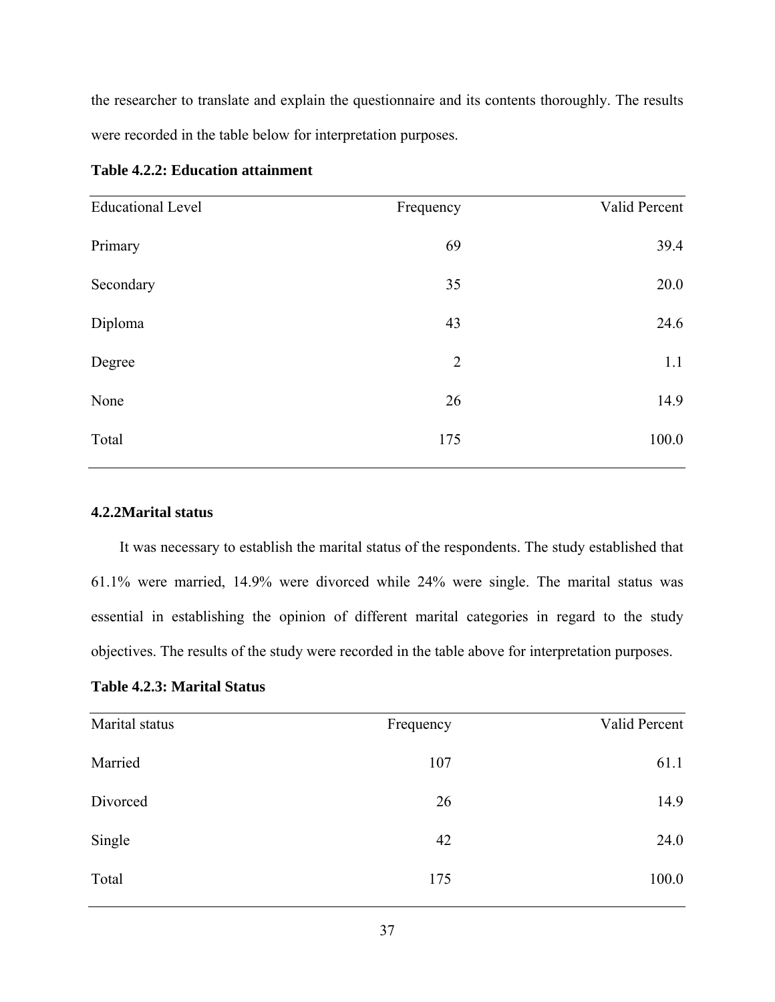the researcher to translate and explain the questionnaire and its contents thoroughly. The results were recorded in the table below for interpretation purposes.

| <b>Educational Level</b> | Frequency      | Valid Percent |
|--------------------------|----------------|---------------|
| Primary                  | 69             | 39.4          |
| Secondary                | 35             | 20.0          |
| Diploma                  | 43             | 24.6          |
| Degree                   | $\overline{2}$ | 1.1           |
| None                     | 26             | 14.9          |
| Total                    | 175            | 100.0         |
|                          |                |               |

| <b>Table 4.2.2: Education attainment</b> |  |  |
|------------------------------------------|--|--|
|------------------------------------------|--|--|

# **4.2.2Marital status**

It was necessary to establish the marital status of the respondents. The study established that 61.1% were married, 14.9% were divorced while 24% were single. The marital status was essential in establishing the opinion of different marital categories in regard to the study objectives. The results of the study were recorded in the table above for interpretation purposes.

**Table 4.2.3: Marital Status** 

| Marital status | Frequency | Valid Percent |
|----------------|-----------|---------------|
| Married        | 107       | 61.1          |
| Divorced       | 26        | 14.9          |
| Single         | 42        | 24.0          |
| Total          | 175       | 100.0         |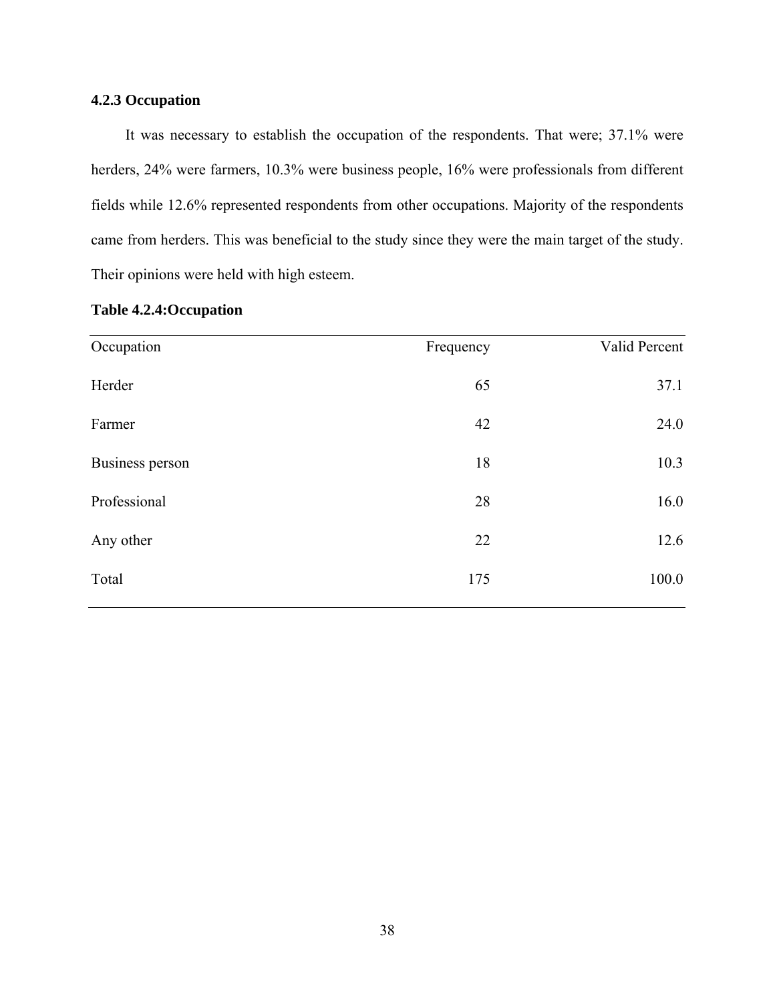# **4.2.3 Occupation**

It was necessary to establish the occupation of the respondents. That were; 37.1% were herders, 24% were farmers, 10.3% were business people, 16% were professionals from different fields while 12.6% represented respondents from other occupations. Majority of the respondents came from herders. This was beneficial to the study since they were the main target of the study. Their opinions were held with high esteem.

| Occupation      | Frequency | Valid Percent |
|-----------------|-----------|---------------|
| Herder          | 65        | 37.1          |
| Farmer          | 42        | 24.0          |
| Business person | 18        | 10.3          |
| Professional    | 28        | 16.0          |
| Any other       | 22        | 12.6          |
| Total           | 175       | 100.0         |

# **Table 4.2.4:Occupation**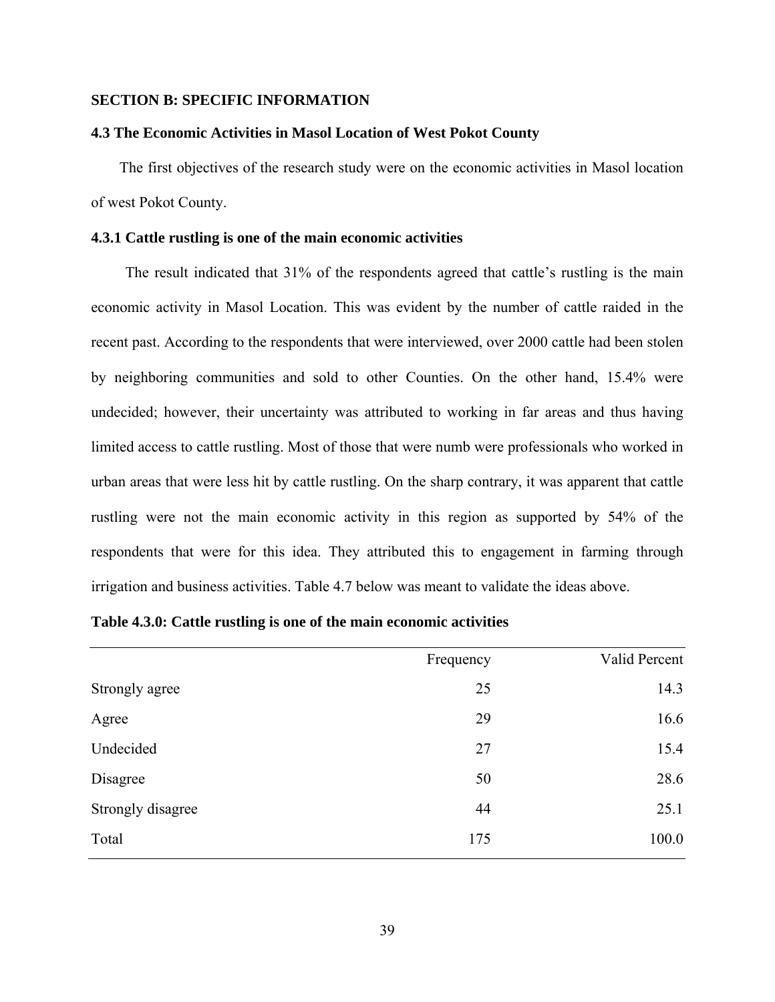# **SECTION B: SPECIFIC INFORMATION**

#### **4.3 The Economic Activities in Masol Location of West Pokot County**

The first objectives of the research study were on the economic activities in Masol location of west Pokot County.

# **4.3.1 Cattle rustling is one of the main economic activities**

The result indicated that 31% of the respondents agreed that cattle's rustling is the main economic activity in Masol Location. This was evident by the number of cattle raided in the recent past. According to the respondents that were interviewed, over 2000 cattle had been stolen by neighboring communities and sold to other Counties. On the other hand, 15.4% were undecided; however, their uncertainty was attributed to working in far areas and thus having limited access to cattle rustling. Most of those that were numb were professionals who worked in urban areas that were less hit by cattle rustling. On the sharp contrary, it was apparent that cattle rustling were not the main economic activity in this region as supported by 54% of the respondents that were for this idea. They attributed this to engagement in farming through irrigation and business activities. Table 4.7 below was meant to validate the ideas above.

| Frequency | Valid Percent |
|-----------|---------------|
| 25        | 14.3          |
| 29        | 16.6          |
| 27        | 15.4          |
| 50        | 28.6          |
| 44        | 25.1          |
| 175       | 100.0         |
|           |               |

**Table 4.3.0: Cattle rustling is one of the main economic activities**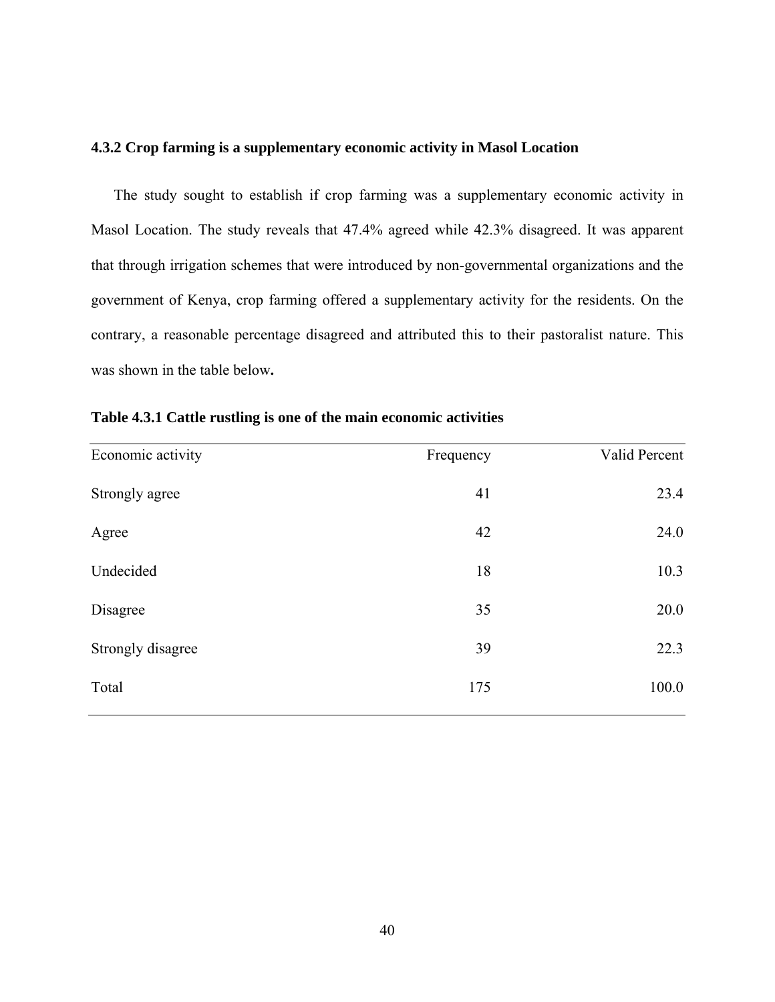## **4.3.2 Crop farming is a supplementary economic activity in Masol Location**

The study sought to establish if crop farming was a supplementary economic activity in Masol Location. The study reveals that 47.4% agreed while 42.3% disagreed. It was apparent that through irrigation schemes that were introduced by non-governmental organizations and the government of Kenya, crop farming offered a supplementary activity for the residents. On the contrary, a reasonable percentage disagreed and attributed this to their pastoralist nature. This was shown in the table below**.** 

| Economic activity | Frequency | Valid Percent |
|-------------------|-----------|---------------|
| Strongly agree    | 41        | 23.4          |
| Agree             | 42        | 24.0          |
| Undecided         | 18        | 10.3          |
| Disagree          | 35        | 20.0          |
| Strongly disagree | 39        | 22.3          |
| Total             | 175       | 100.0         |
|                   |           |               |

**Table 4.3.1 Cattle rustling is one of the main economic activities**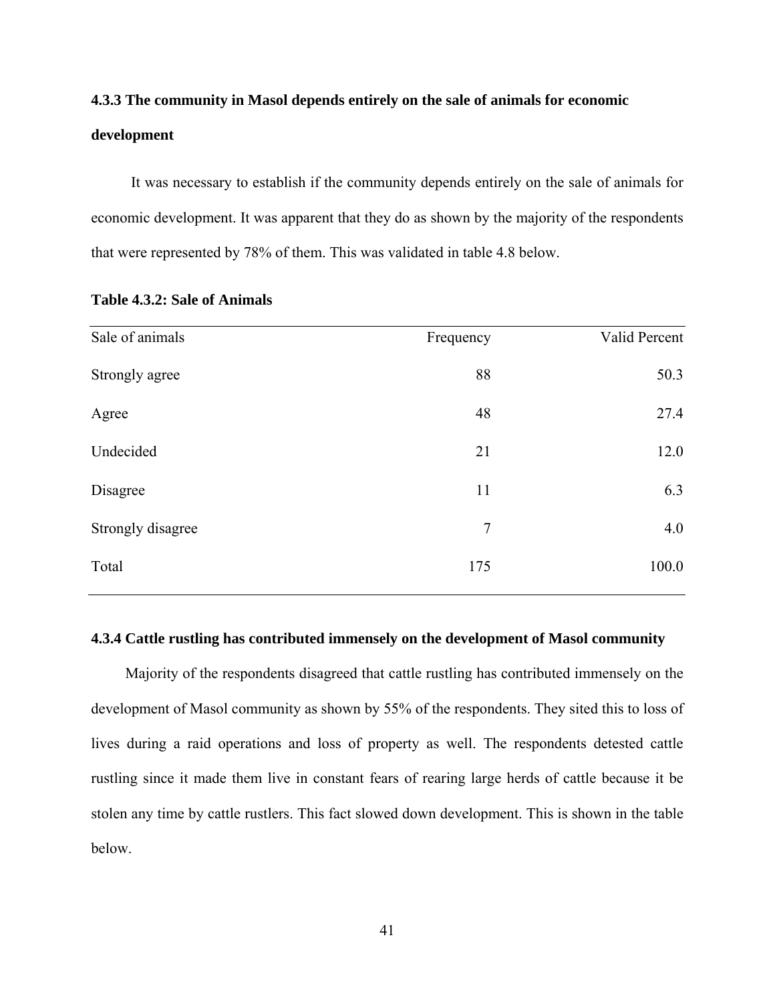# **4.3.3 The community in Masol depends entirely on the sale of animals for economic development**

It was necessary to establish if the community depends entirely on the sale of animals for economic development. It was apparent that they do as shown by the majority of the respondents that were represented by 78% of them. This was validated in table 4.8 below.

| Sale of animals   | Frequency | Valid Percent |
|-------------------|-----------|---------------|
| Strongly agree    | 88        | 50.3          |
| Agree             | 48        | 27.4          |
| Undecided         | 21        | 12.0          |
| Disagree          | 11        | 6.3           |
| Strongly disagree | 7         | 4.0           |
| Total             | 175       | 100.0         |

# **Table 4.3.2: Sale of Animals**

#### **4.3.4 Cattle rustling has contributed immensely on the development of Masol community**

Majority of the respondents disagreed that cattle rustling has contributed immensely on the development of Masol community as shown by 55% of the respondents. They sited this to loss of lives during a raid operations and loss of property as well. The respondents detested cattle rustling since it made them live in constant fears of rearing large herds of cattle because it be stolen any time by cattle rustlers. This fact slowed down development. This is shown in the table below.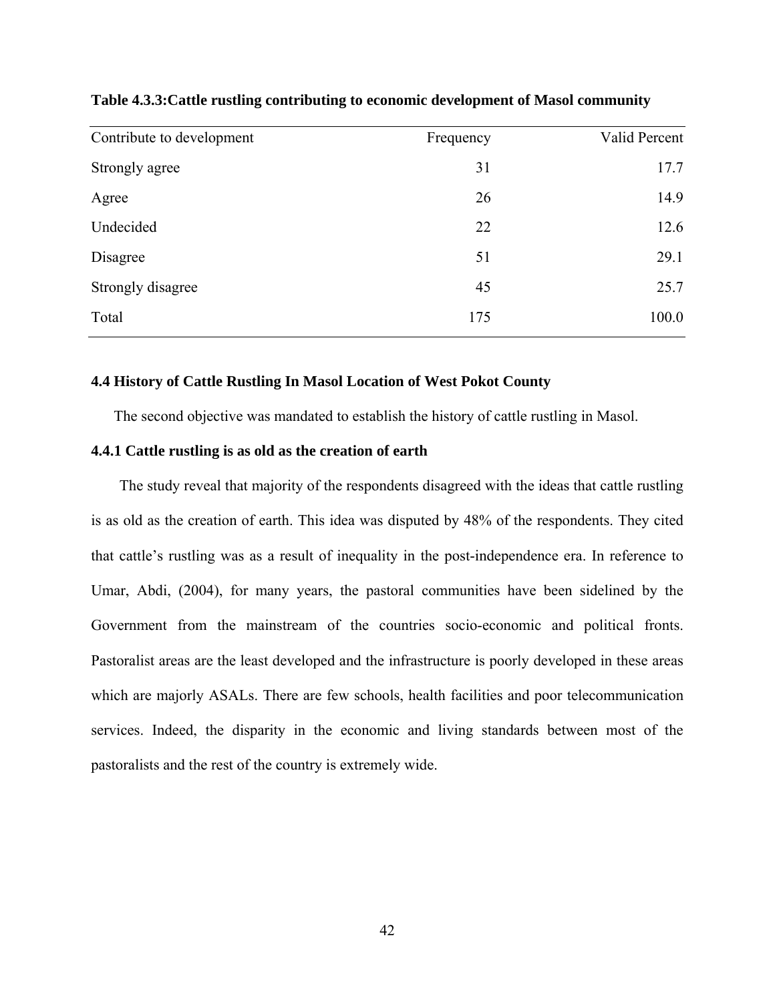| Contribute to development | Frequency | Valid Percent |
|---------------------------|-----------|---------------|
| Strongly agree            | 31        | 17.7          |
| Agree                     | 26        | 14.9          |
| Undecided                 | 22        | 12.6          |
| Disagree                  | 51        | 29.1          |
| Strongly disagree         | 45        | 25.7          |
| Total                     | 175       | 100.0         |

# **Table 4.3.3:Cattle rustling contributing to economic development of Masol community**

#### **4.4 History of Cattle Rustling In Masol Location of West Pokot County**

The second objective was mandated to establish the history of cattle rustling in Masol.

### **4.4.1 Cattle rustling is as old as the creation of earth**

The study reveal that majority of the respondents disagreed with the ideas that cattle rustling is as old as the creation of earth. This idea was disputed by 48% of the respondents. They cited that cattle's rustling was as a result of inequality in the post-independence era. In reference to Umar, Abdi, (2004), for many years, the pastoral communities have been sidelined by the Government from the mainstream of the countries socio-economic and political fronts. Pastoralist areas are the least developed and the infrastructure is poorly developed in these areas which are majorly ASALs. There are few schools, health facilities and poor telecommunication services. Indeed, the disparity in the economic and living standards between most of the pastoralists and the rest of the country is extremely wide.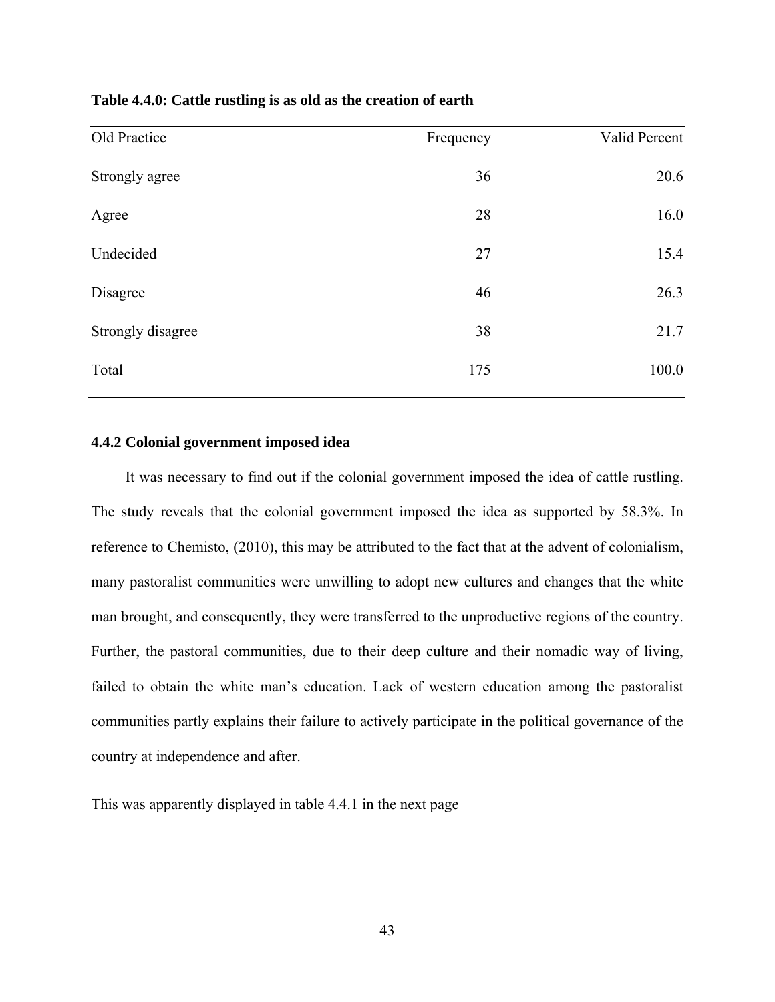| Table 4.4.0: Cattle rustling is as old as the creation of earth |  |  |
|-----------------------------------------------------------------|--|--|
|-----------------------------------------------------------------|--|--|

| Old Practice      | Frequency | Valid Percent |
|-------------------|-----------|---------------|
| Strongly agree    | 36        | 20.6          |
| Agree             | 28        | 16.0          |
| Undecided         | 27        | 15.4          |
| Disagree          | 46        | 26.3          |
| Strongly disagree | 38        | 21.7          |
| Total             | 175       | 100.0         |

### **4.4.2 Colonial government imposed idea**

It was necessary to find out if the colonial government imposed the idea of cattle rustling. The study reveals that the colonial government imposed the idea as supported by 58.3%. In reference to Chemisto, (2010), this may be attributed to the fact that at the advent of colonialism, many pastoralist communities were unwilling to adopt new cultures and changes that the white man brought, and consequently, they were transferred to the unproductive regions of the country. Further, the pastoral communities, due to their deep culture and their nomadic way of living, failed to obtain the white man's education. Lack of western education among the pastoralist communities partly explains their failure to actively participate in the political governance of the country at independence and after.

This was apparently displayed in table 4.4.1 in the next page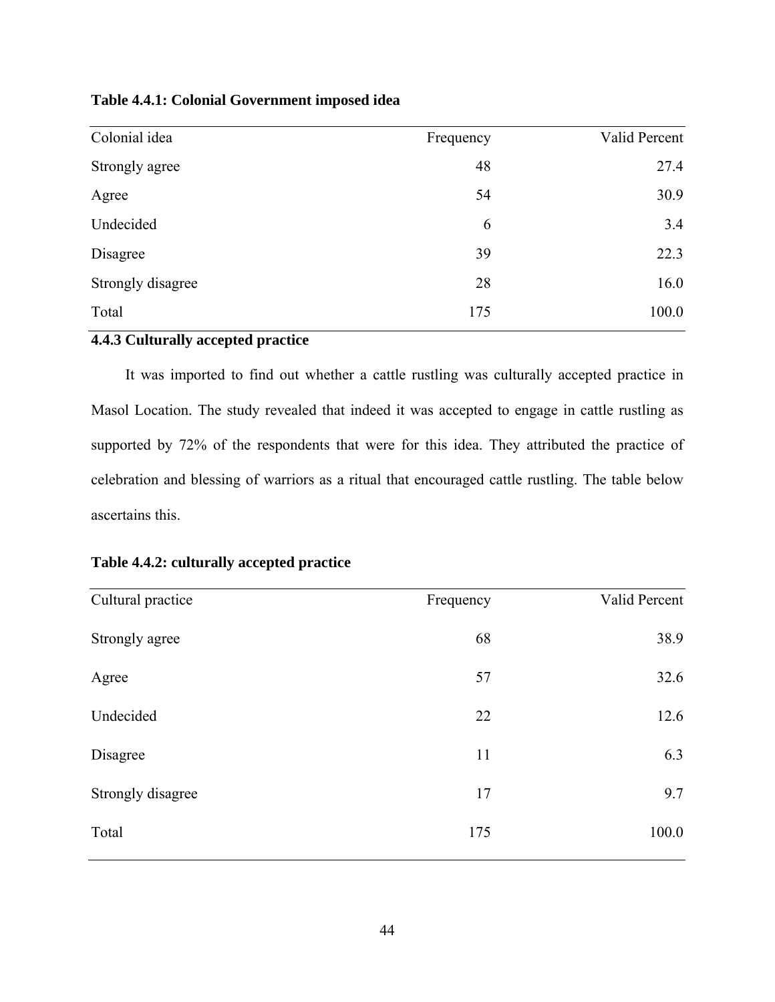| Table 4.4.1: Colonial Government imposed idea |  |
|-----------------------------------------------|--|
|-----------------------------------------------|--|

| Colonial idea     | Frequency | Valid Percent |
|-------------------|-----------|---------------|
| Strongly agree    | 48        | 27.4          |
| Agree             | 54        | 30.9          |
| Undecided         | 6         | 3.4           |
| Disagree          | 39        | 22.3          |
| Strongly disagree | 28        | 16.0          |
| Total             | 175       | 100.0         |

# **4.4.3 Culturally accepted practice**

It was imported to find out whether a cattle rustling was culturally accepted practice in Masol Location. The study revealed that indeed it was accepted to engage in cattle rustling as supported by 72% of the respondents that were for this idea. They attributed the practice of celebration and blessing of warriors as a ritual that encouraged cattle rustling. The table below ascertains this.

| Table 4.4.2: culturally accepted practice |  |  |  |  |
|-------------------------------------------|--|--|--|--|
|-------------------------------------------|--|--|--|--|

| Cultural practice | Frequency | Valid Percent |
|-------------------|-----------|---------------|
| Strongly agree    | 68        | 38.9          |
| Agree             | 57        | 32.6          |
| Undecided         | 22        | 12.6          |
| Disagree          | 11        | 6.3           |
| Strongly disagree | 17        | 9.7           |
| Total             | 175       | 100.0         |
|                   |           |               |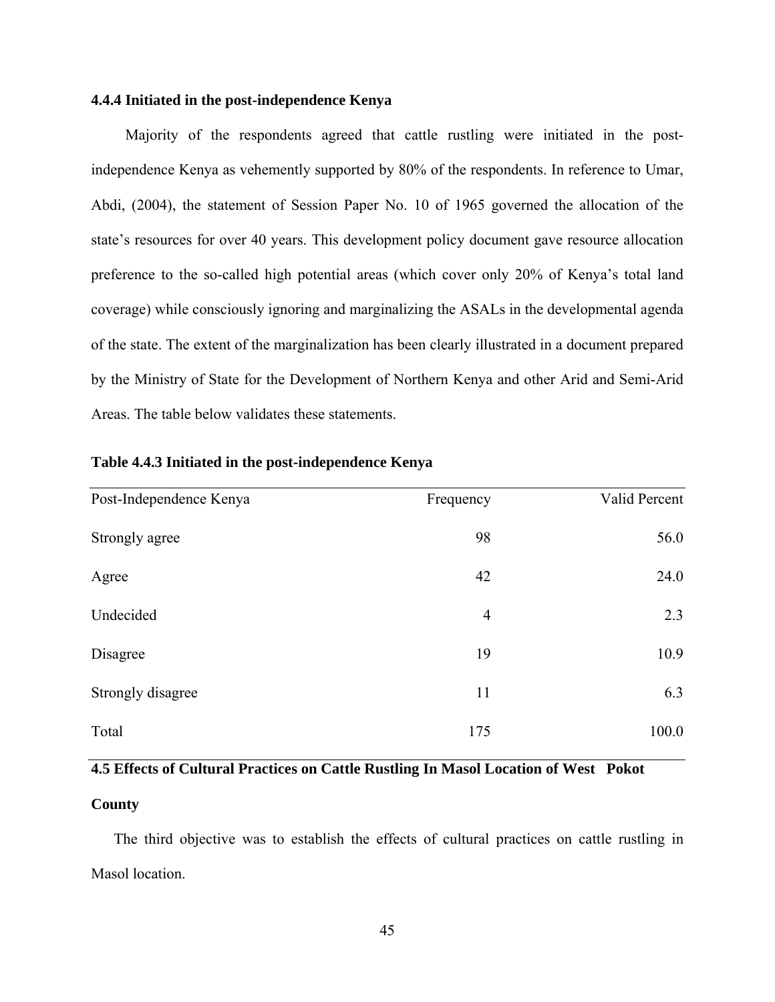## **4.4.4 Initiated in the post-independence Kenya**

Majority of the respondents agreed that cattle rustling were initiated in the postindependence Kenya as vehemently supported by 80% of the respondents. In reference to Umar, Abdi, (2004), the statement of Session Paper No. 10 of 1965 governed the allocation of the state's resources for over 40 years. This development policy document gave resource allocation preference to the so-called high potential areas (which cover only 20% of Kenya's total land coverage) while consciously ignoring and marginalizing the ASALs in the developmental agenda of the state. The extent of the marginalization has been clearly illustrated in a document prepared by the Ministry of State for the Development of Northern Kenya and other Arid and Semi-Arid Areas. The table below validates these statements.

| Post-Independence Kenya | Frequency      | Valid Percent |
|-------------------------|----------------|---------------|
| Strongly agree          | 98             | 56.0          |
| Agree                   | 42             | 24.0          |
| Undecided               | $\overline{4}$ | 2.3           |
| Disagree                | 19             | 10.9          |
| Strongly disagree       | 11             | 6.3           |
| Total                   | 175            | 100.0         |

### **Table 4.4.3 Initiated in the post-independence Kenya**

# **4.5 Effects of Cultural Practices on Cattle Rustling In Masol Location of West Pokot**

## **County**

The third objective was to establish the effects of cultural practices on cattle rustling in Masol location.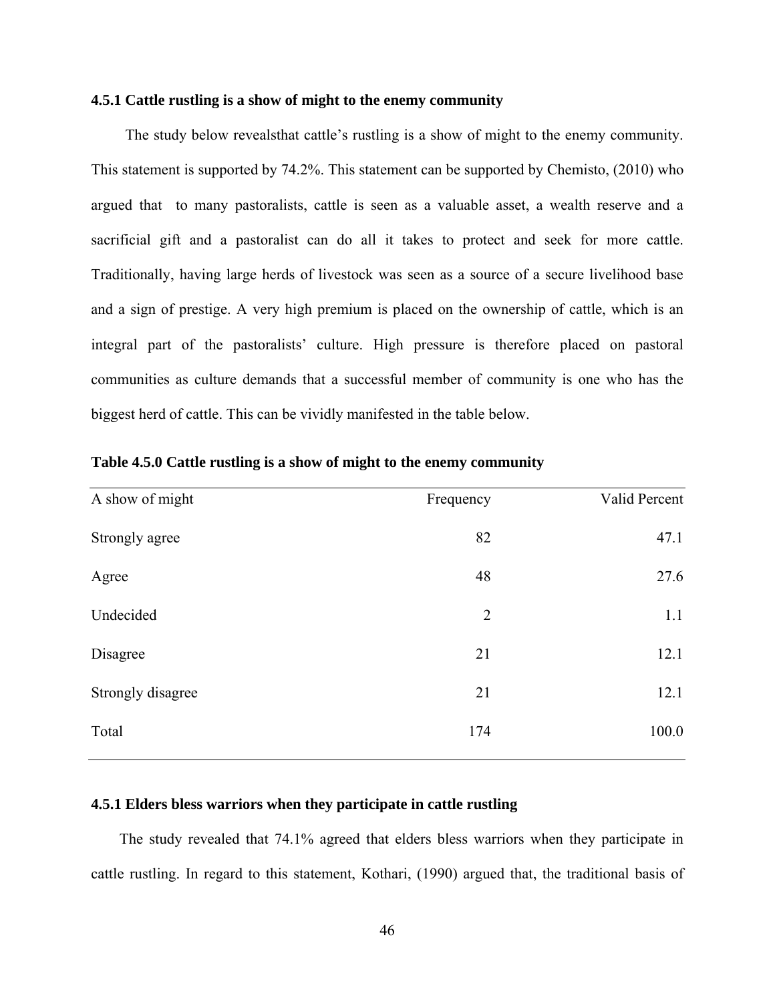#### **4.5.1 Cattle rustling is a show of might to the enemy community**

The study below revealsthat cattle's rustling is a show of might to the enemy community. This statement is supported by 74.2%. This statement can be supported by Chemisto, (2010) who argued that to many pastoralists, cattle is seen as a valuable asset, a wealth reserve and a sacrificial gift and a pastoralist can do all it takes to protect and seek for more cattle. Traditionally, having large herds of livestock was seen as a source of a secure livelihood base and a sign of prestige. A very high premium is placed on the ownership of cattle, which is an integral part of the pastoralists' culture. High pressure is therefore placed on pastoral communities as culture demands that a successful member of community is one who has the biggest herd of cattle. This can be vividly manifested in the table below.

| A show of might   | Frequency      | Valid Percent |
|-------------------|----------------|---------------|
| Strongly agree    | 82             | 47.1          |
| Agree             | 48             | 27.6          |
| Undecided         | $\overline{2}$ | 1.1           |
| Disagree          | 21             | 12.1          |
| Strongly disagree | 21             | 12.1          |
| Total             | 174            | 100.0         |
|                   |                |               |

**Table 4.5.0 Cattle rustling is a show of might to the enemy community** 

## **4.5.1 Elders bless warriors when they participate in cattle rustling**

The study revealed that 74.1% agreed that elders bless warriors when they participate in cattle rustling. In regard to this statement, Kothari, (1990) argued that, the traditional basis of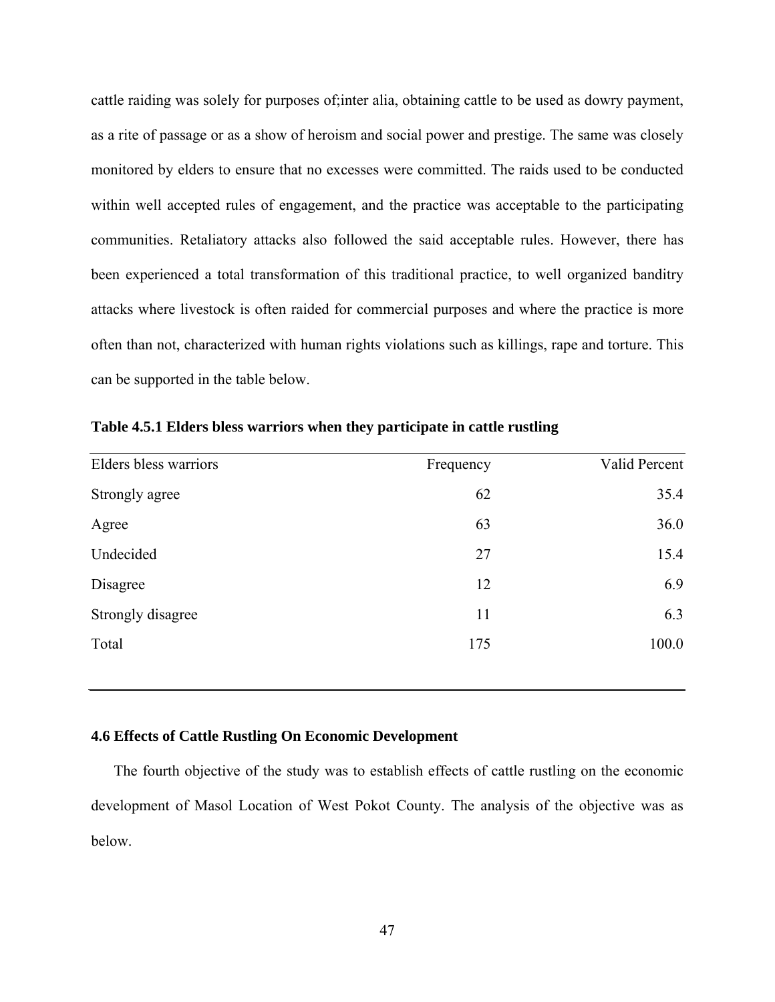cattle raiding was solely for purposes of;inter alia, obtaining cattle to be used as dowry payment, as a rite of passage or as a show of heroism and social power and prestige. The same was closely monitored by elders to ensure that no excesses were committed. The raids used to be conducted within well accepted rules of engagement, and the practice was acceptable to the participating communities. Retaliatory attacks also followed the said acceptable rules. However, there has been experienced a total transformation of this traditional practice, to well organized banditry attacks where livestock is often raided for commercial purposes and where the practice is more often than not, characterized with human rights violations such as killings, rape and torture. This can be supported in the table below.

| Elders bless warriors | Frequency | Valid Percent |
|-----------------------|-----------|---------------|
| Strongly agree        | 62        | 35.4          |
| Agree                 | 63        | 36.0          |
| Undecided             | 27        | 15.4          |
| Disagree              | 12        | 6.9           |
| Strongly disagree     | 11        | 6.3           |
| Total                 | 175       | 100.0         |

**Table 4.5.1 Elders bless warriors when they participate in cattle rustling** 

#### **4.6 Effects of Cattle Rustling On Economic Development**

The fourth objective of the study was to establish effects of cattle rustling on the economic development of Masol Location of West Pokot County. The analysis of the objective was as below.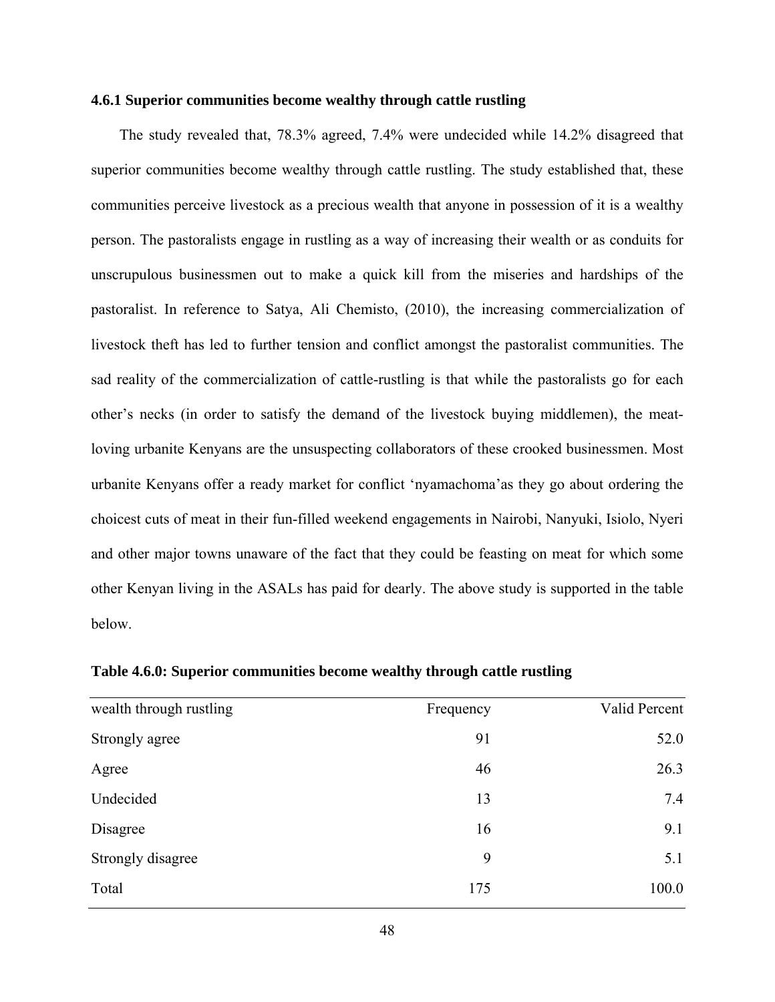#### **4.6.1 Superior communities become wealthy through cattle rustling**

The study revealed that, 78.3% agreed, 7.4% were undecided while 14.2% disagreed that superior communities become wealthy through cattle rustling. The study established that, these communities perceive livestock as a precious wealth that anyone in possession of it is a wealthy person. The pastoralists engage in rustling as a way of increasing their wealth or as conduits for unscrupulous businessmen out to make a quick kill from the miseries and hardships of the pastoralist. In reference to Satya, Ali Chemisto, (2010), the increasing commercialization of livestock theft has led to further tension and conflict amongst the pastoralist communities. The sad reality of the commercialization of cattle-rustling is that while the pastoralists go for each other's necks (in order to satisfy the demand of the livestock buying middlemen), the meatloving urbanite Kenyans are the unsuspecting collaborators of these crooked businessmen. Most urbanite Kenyans offer a ready market for conflict 'nyamachoma'as they go about ordering the choicest cuts of meat in their fun-filled weekend engagements in Nairobi, Nanyuki, Isiolo, Nyeri and other major towns unaware of the fact that they could be feasting on meat for which some other Kenyan living in the ASALs has paid for dearly. The above study is supported in the table below.

| wealth through rustling | Frequency | Valid Percent |
|-------------------------|-----------|---------------|
| Strongly agree          | 91        | 52.0          |
| Agree                   | 46        | 26.3          |
| Undecided               | 13        | 7.4           |
| Disagree                | 16        | 9.1           |
| Strongly disagree       | 9         | 5.1           |
| Total                   | 175       | 100.0         |

**Table 4.6.0: Superior communities become wealthy through cattle rustling**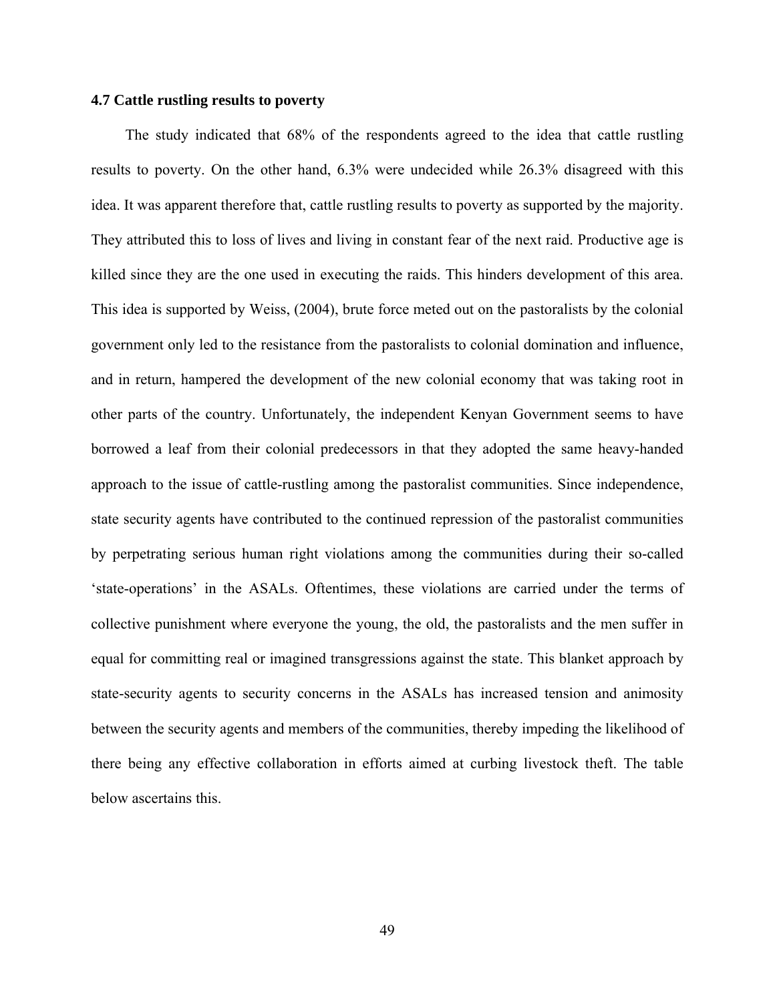#### **4.7 Cattle rustling results to poverty**

The study indicated that 68% of the respondents agreed to the idea that cattle rustling results to poverty. On the other hand, 6.3% were undecided while 26.3% disagreed with this idea. It was apparent therefore that, cattle rustling results to poverty as supported by the majority. They attributed this to loss of lives and living in constant fear of the next raid. Productive age is killed since they are the one used in executing the raids. This hinders development of this area. This idea is supported by Weiss, (2004), brute force meted out on the pastoralists by the colonial government only led to the resistance from the pastoralists to colonial domination and influence, and in return, hampered the development of the new colonial economy that was taking root in other parts of the country. Unfortunately, the independent Kenyan Government seems to have borrowed a leaf from their colonial predecessors in that they adopted the same heavy-handed approach to the issue of cattle-rustling among the pastoralist communities. Since independence, state security agents have contributed to the continued repression of the pastoralist communities by perpetrating serious human right violations among the communities during their so-called 'state-operations' in the ASALs. Oftentimes, these violations are carried under the terms of collective punishment where everyone the young, the old, the pastoralists and the men suffer in equal for committing real or imagined transgressions against the state. This blanket approach by state-security agents to security concerns in the ASALs has increased tension and animosity between the security agents and members of the communities, thereby impeding the likelihood of there being any effective collaboration in efforts aimed at curbing livestock theft. The table below ascertains this.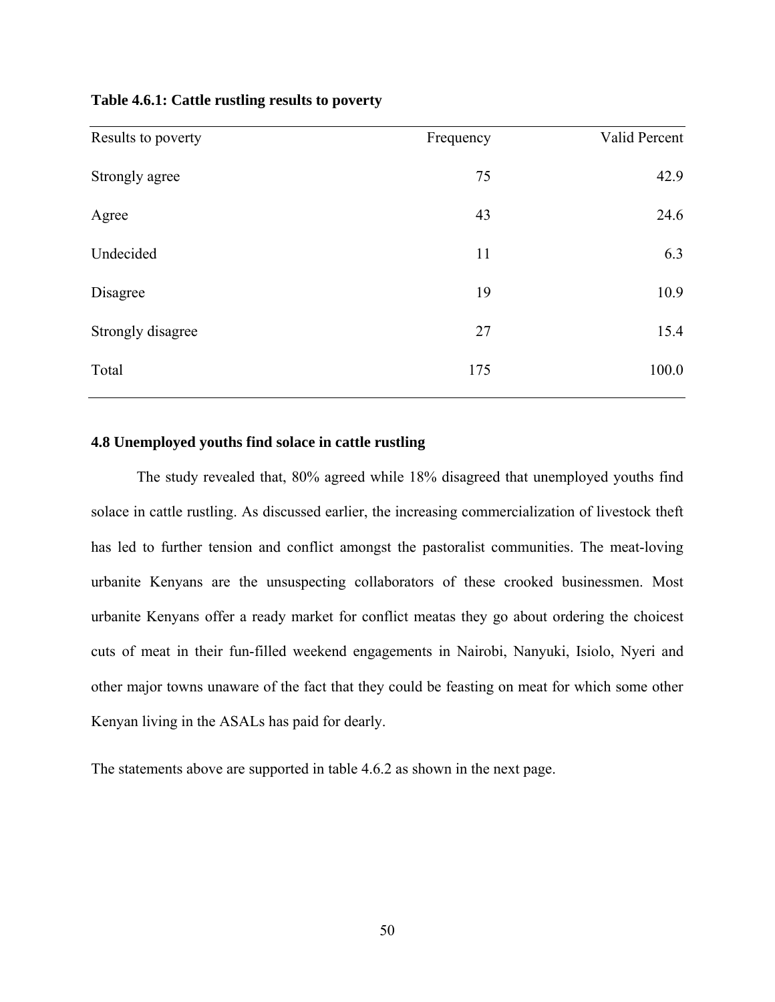| Table 4.6.1: Cattle rustling results to poverty |  |  |  |  |  |
|-------------------------------------------------|--|--|--|--|--|
|-------------------------------------------------|--|--|--|--|--|

| Results to poverty | Frequency | Valid Percent |
|--------------------|-----------|---------------|
| Strongly agree     | 75        | 42.9          |
| Agree              | 43        | 24.6          |
| Undecided          | 11        | 6.3           |
| Disagree           | 19        | 10.9          |
| Strongly disagree  | 27        | 15.4          |
| Total              | 175       | 100.0         |

# **4.8 Unemployed youths find solace in cattle rustling**

The study revealed that, 80% agreed while 18% disagreed that unemployed youths find solace in cattle rustling. As discussed earlier, the increasing commercialization of livestock theft has led to further tension and conflict amongst the pastoralist communities. The meat-loving urbanite Kenyans are the unsuspecting collaborators of these crooked businessmen. Most urbanite Kenyans offer a ready market for conflict meatas they go about ordering the choicest cuts of meat in their fun-filled weekend engagements in Nairobi, Nanyuki, Isiolo, Nyeri and other major towns unaware of the fact that they could be feasting on meat for which some other Kenyan living in the ASALs has paid for dearly.

The statements above are supported in table 4.6.2 as shown in the next page.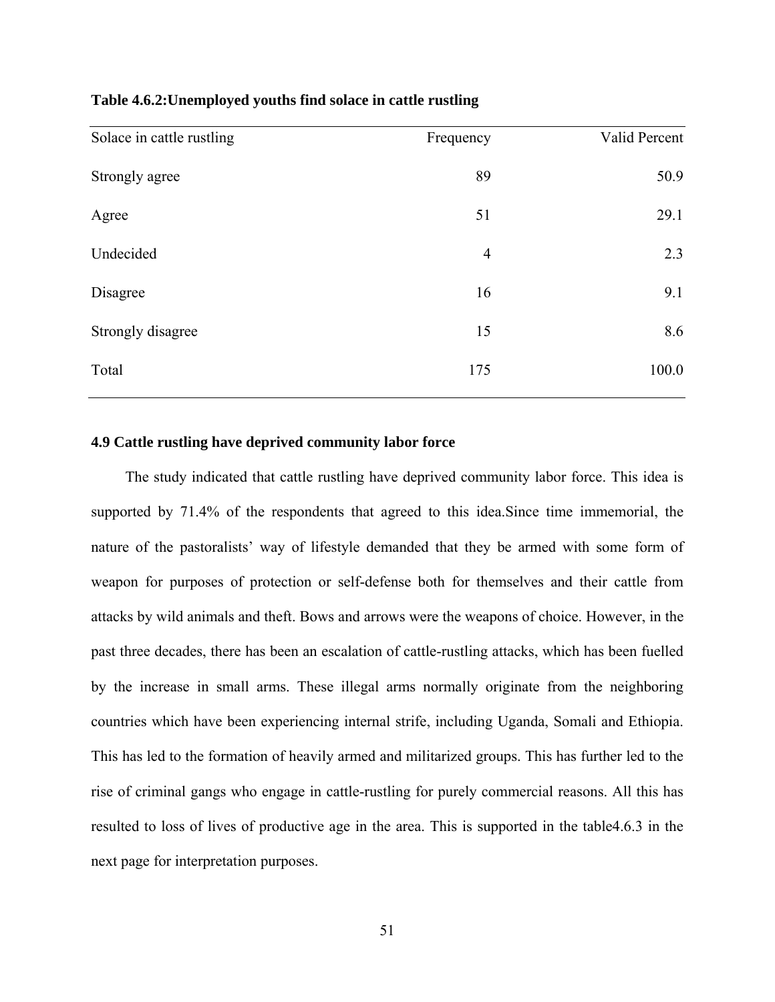|  |  |  |  |  |  |  | Table 4.6.2: Unemployed youths find solace in cattle rustling |  |
|--|--|--|--|--|--|--|---------------------------------------------------------------|--|
|  |  |  |  |  |  |  |                                                               |  |

| Solace in cattle rustling | Frequency      | Valid Percent |
|---------------------------|----------------|---------------|
| Strongly agree            | 89             | 50.9          |
| Agree                     | 51             | 29.1          |
| Undecided                 | $\overline{4}$ | 2.3           |
| Disagree                  | 16             | 9.1           |
| Strongly disagree         | 15             | 8.6           |
| Total                     | 175            | 100.0         |

### **4.9 Cattle rustling have deprived community labor force**

The study indicated that cattle rustling have deprived community labor force. This idea is supported by 71.4% of the respondents that agreed to this idea.Since time immemorial, the nature of the pastoralists' way of lifestyle demanded that they be armed with some form of weapon for purposes of protection or self-defense both for themselves and their cattle from attacks by wild animals and theft. Bows and arrows were the weapons of choice. However, in the past three decades, there has been an escalation of cattle-rustling attacks, which has been fuelled by the increase in small arms. These illegal arms normally originate from the neighboring countries which have been experiencing internal strife, including Uganda, Somali and Ethiopia. This has led to the formation of heavily armed and militarized groups. This has further led to the rise of criminal gangs who engage in cattle-rustling for purely commercial reasons. All this has resulted to loss of lives of productive age in the area. This is supported in the table4.6.3 in the next page for interpretation purposes.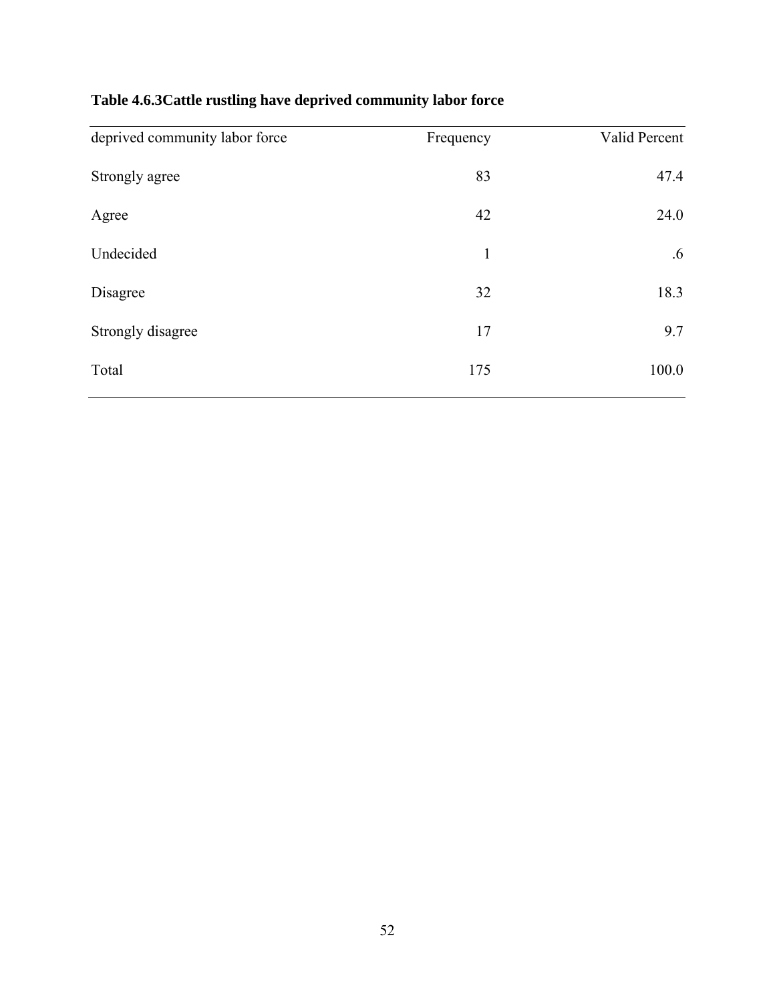# **Table 4.6.3Cattle rustling have deprived community labor force**

| deprived community labor force | Frequency    | Valid Percent   |
|--------------------------------|--------------|-----------------|
| Strongly agree                 | 83           | 47.4            |
| Agree                          | 42           | 24.0            |
| Undecided                      | $\mathbf{1}$ | $.6\phantom{0}$ |
| Disagree                       | 32           | 18.3            |
| Strongly disagree              | 17           | 9.7             |
| Total                          | 175          | 100.0           |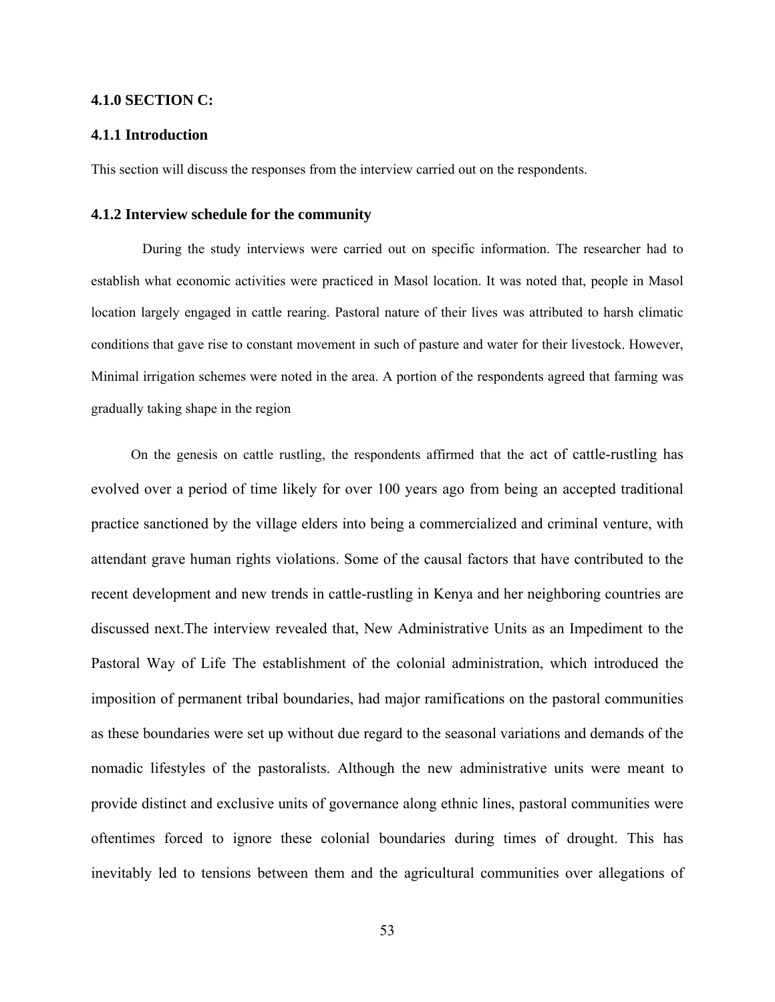#### **4.1.0 SECTION C:**

#### **4.1.1 Introduction**

This section will discuss the responses from the interview carried out on the respondents.

#### **4.1.2 Interview schedule for the community**

During the study interviews were carried out on specific information. The researcher had to establish what economic activities were practiced in Masol location. It was noted that, people in Masol location largely engaged in cattle rearing. Pastoral nature of their lives was attributed to harsh climatic conditions that gave rise to constant movement in such of pasture and water for their livestock. However, Minimal irrigation schemes were noted in the area. A portion of the respondents agreed that farming was gradually taking shape in the region

On the genesis on cattle rustling, the respondents affirmed that the act of cattle-rustling has evolved over a period of time likely for over 100 years ago from being an accepted traditional practice sanctioned by the village elders into being a commercialized and criminal venture, with attendant grave human rights violations. Some of the causal factors that have contributed to the recent development and new trends in cattle-rustling in Kenya and her neighboring countries are discussed next.The interview revealed that, New Administrative Units as an Impediment to the Pastoral Way of Life The establishment of the colonial administration, which introduced the imposition of permanent tribal boundaries, had major ramifications on the pastoral communities as these boundaries were set up without due regard to the seasonal variations and demands of the nomadic lifestyles of the pastoralists. Although the new administrative units were meant to provide distinct and exclusive units of governance along ethnic lines, pastoral communities were oftentimes forced to ignore these colonial boundaries during times of drought. This has inevitably led to tensions between them and the agricultural communities over allegations of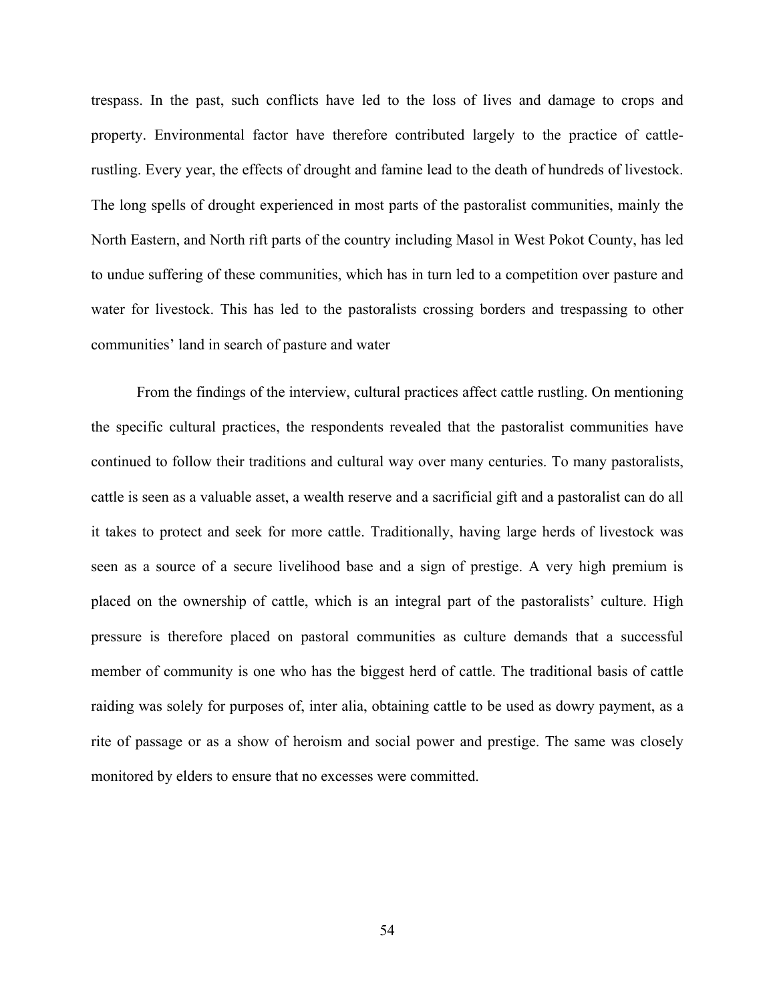trespass. In the past, such conflicts have led to the loss of lives and damage to crops and property. Environmental factor have therefore contributed largely to the practice of cattlerustling. Every year, the effects of drought and famine lead to the death of hundreds of livestock. The long spells of drought experienced in most parts of the pastoralist communities, mainly the North Eastern, and North rift parts of the country including Masol in West Pokot County, has led to undue suffering of these communities, which has in turn led to a competition over pasture and water for livestock. This has led to the pastoralists crossing borders and trespassing to other communities' land in search of pasture and water

From the findings of the interview, cultural practices affect cattle rustling. On mentioning the specific cultural practices, the respondents revealed that the pastoralist communities have continued to follow their traditions and cultural way over many centuries. To many pastoralists, cattle is seen as a valuable asset, a wealth reserve and a sacrificial gift and a pastoralist can do all it takes to protect and seek for more cattle. Traditionally, having large herds of livestock was seen as a source of a secure livelihood base and a sign of prestige. A very high premium is placed on the ownership of cattle, which is an integral part of the pastoralists' culture. High pressure is therefore placed on pastoral communities as culture demands that a successful member of community is one who has the biggest herd of cattle. The traditional basis of cattle raiding was solely for purposes of, inter alia, obtaining cattle to be used as dowry payment, as a rite of passage or as a show of heroism and social power and prestige. The same was closely monitored by elders to ensure that no excesses were committed.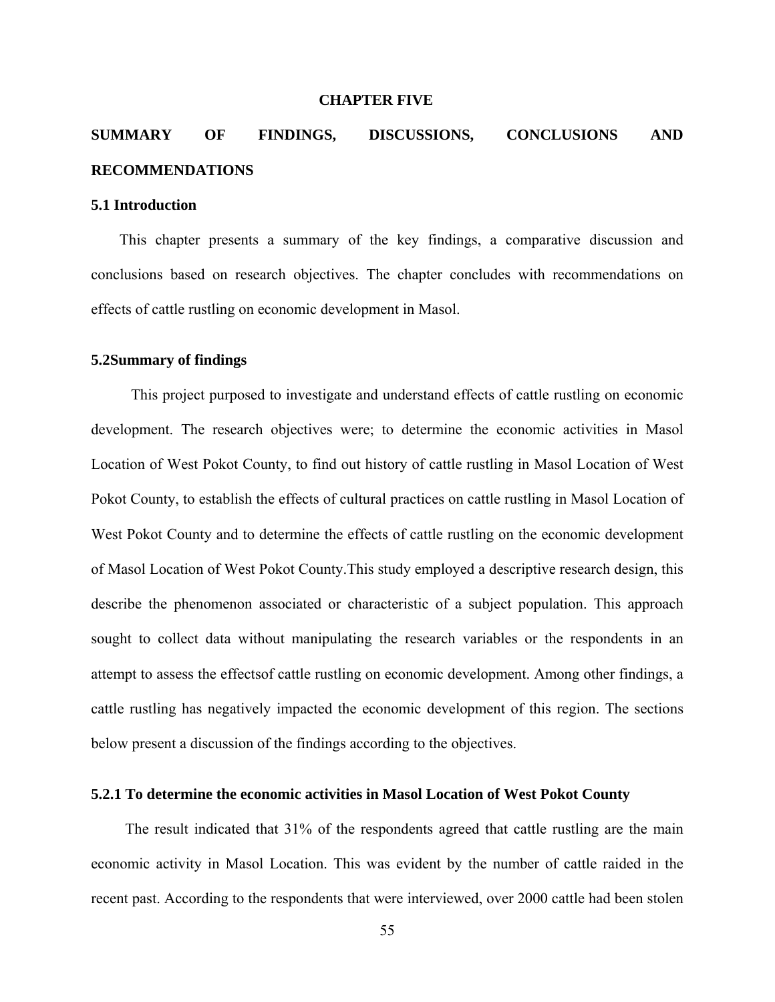#### **CHAPTER FIVE**

# **SUMMARY OF FINDINGS, DISCUSSIONS, CONCLUSIONS AND RECOMMENDATIONS**

#### **5.1 Introduction**

This chapter presents a summary of the key findings, a comparative discussion and conclusions based on research objectives. The chapter concludes with recommendations on effects of cattle rustling on economic development in Masol.

#### **5.2Summary of findings**

This project purposed to investigate and understand effects of cattle rustling on economic development. The research objectives were; to determine the economic activities in Masol Location of West Pokot County, to find out history of cattle rustling in Masol Location of West Pokot County, to establish the effects of cultural practices on cattle rustling in Masol Location of West Pokot County and to determine the effects of cattle rustling on the economic development of Masol Location of West Pokot County.This study employed a descriptive research design, this describe the phenomenon associated or characteristic of a subject population. This approach sought to collect data without manipulating the research variables or the respondents in an attempt to assess the effectsof cattle rustling on economic development. Among other findings, a cattle rustling has negatively impacted the economic development of this region. The sections below present a discussion of the findings according to the objectives.

### **5.2.1 To determine the economic activities in Masol Location of West Pokot County**

The result indicated that 31% of the respondents agreed that cattle rustling are the main economic activity in Masol Location. This was evident by the number of cattle raided in the recent past. According to the respondents that were interviewed, over 2000 cattle had been stolen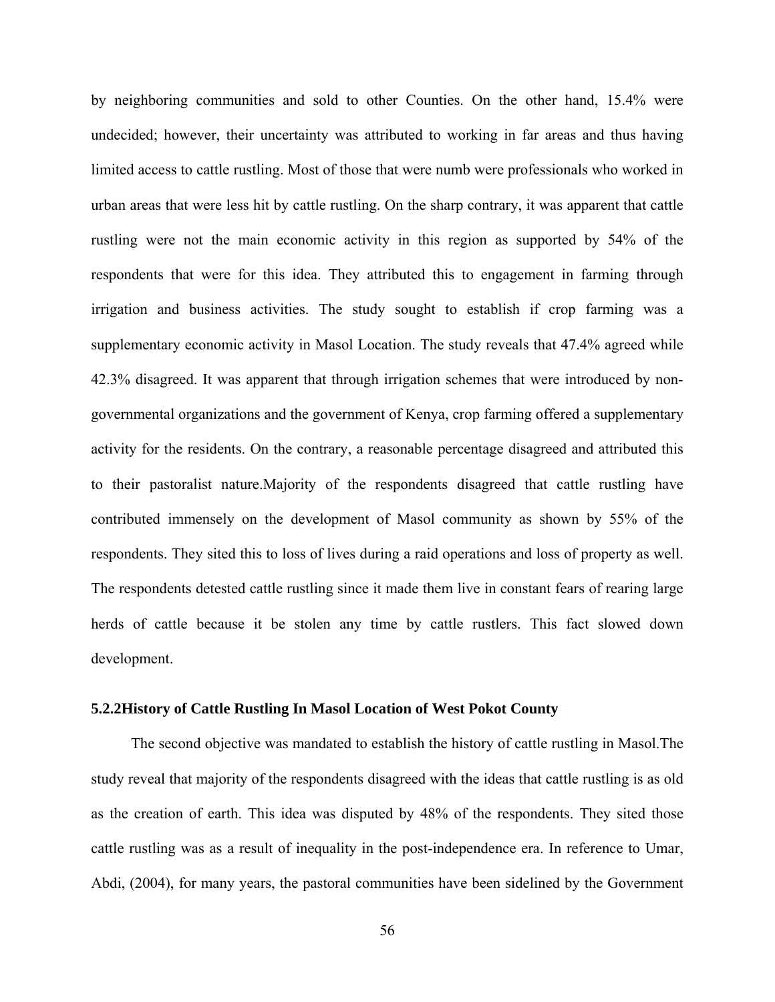by neighboring communities and sold to other Counties. On the other hand, 15.4% were undecided; however, their uncertainty was attributed to working in far areas and thus having limited access to cattle rustling. Most of those that were numb were professionals who worked in urban areas that were less hit by cattle rustling. On the sharp contrary, it was apparent that cattle rustling were not the main economic activity in this region as supported by 54% of the respondents that were for this idea. They attributed this to engagement in farming through irrigation and business activities. The study sought to establish if crop farming was a supplementary economic activity in Masol Location. The study reveals that 47.4% agreed while 42.3% disagreed. It was apparent that through irrigation schemes that were introduced by nongovernmental organizations and the government of Kenya, crop farming offered a supplementary activity for the residents. On the contrary, a reasonable percentage disagreed and attributed this to their pastoralist nature.Majority of the respondents disagreed that cattle rustling have contributed immensely on the development of Masol community as shown by 55% of the respondents. They sited this to loss of lives during a raid operations and loss of property as well. The respondents detested cattle rustling since it made them live in constant fears of rearing large herds of cattle because it be stolen any time by cattle rustlers. This fact slowed down development.

#### **5.2.2History of Cattle Rustling In Masol Location of West Pokot County**

The second objective was mandated to establish the history of cattle rustling in Masol.The study reveal that majority of the respondents disagreed with the ideas that cattle rustling is as old as the creation of earth. This idea was disputed by 48% of the respondents. They sited those cattle rustling was as a result of inequality in the post-independence era. In reference to Umar, Abdi, (2004), for many years, the pastoral communities have been sidelined by the Government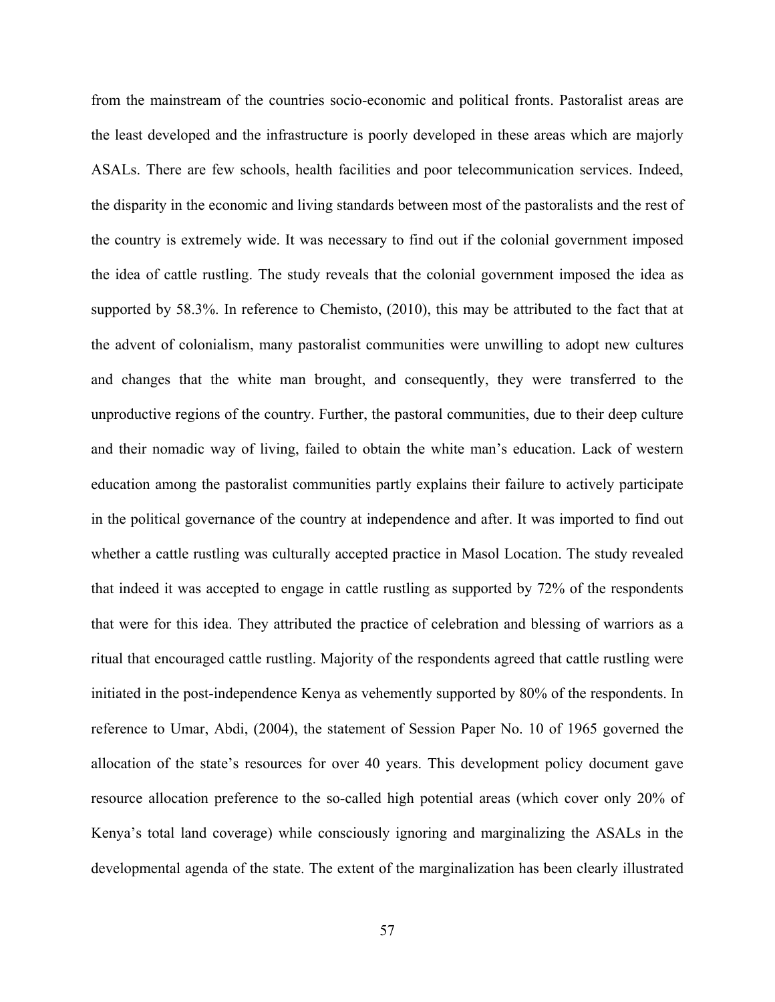from the mainstream of the countries socio-economic and political fronts. Pastoralist areas are the least developed and the infrastructure is poorly developed in these areas which are majorly ASALs. There are few schools, health facilities and poor telecommunication services. Indeed, the disparity in the economic and living standards between most of the pastoralists and the rest of the country is extremely wide. It was necessary to find out if the colonial government imposed the idea of cattle rustling. The study reveals that the colonial government imposed the idea as supported by 58.3%. In reference to Chemisto, (2010), this may be attributed to the fact that at the advent of colonialism, many pastoralist communities were unwilling to adopt new cultures and changes that the white man brought, and consequently, they were transferred to the unproductive regions of the country. Further, the pastoral communities, due to their deep culture and their nomadic way of living, failed to obtain the white man's education. Lack of western education among the pastoralist communities partly explains their failure to actively participate in the political governance of the country at independence and after. It was imported to find out whether a cattle rustling was culturally accepted practice in Masol Location. The study revealed that indeed it was accepted to engage in cattle rustling as supported by 72% of the respondents that were for this idea. They attributed the practice of celebration and blessing of warriors as a ritual that encouraged cattle rustling. Majority of the respondents agreed that cattle rustling were initiated in the post-independence Kenya as vehemently supported by 80% of the respondents. In reference to Umar, Abdi, (2004), the statement of Session Paper No. 10 of 1965 governed the allocation of the state's resources for over 40 years. This development policy document gave resource allocation preference to the so-called high potential areas (which cover only 20% of Kenya's total land coverage) while consciously ignoring and marginalizing the ASALs in the developmental agenda of the state. The extent of the marginalization has been clearly illustrated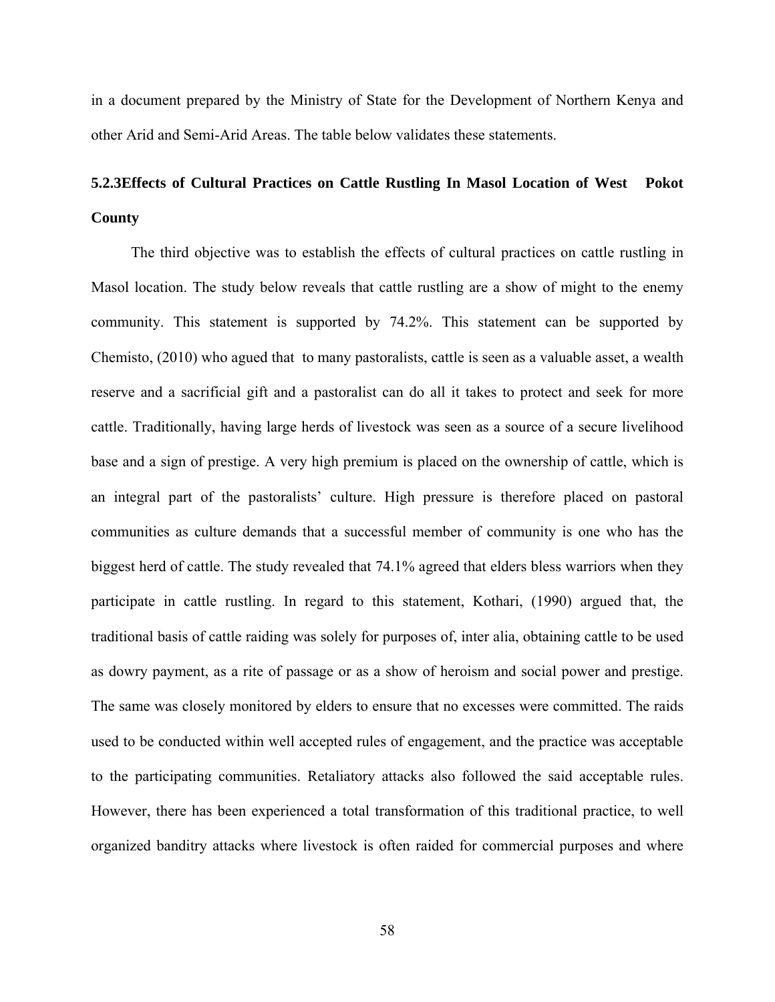in a document prepared by the Ministry of State for the Development of Northern Kenya and other Arid and Semi-Arid Areas. The table below validates these statements.

# **5.2.3Effects of Cultural Practices on Cattle Rustling In Masol Location of West Pokot County**

The third objective was to establish the effects of cultural practices on cattle rustling in Masol location. The study below reveals that cattle rustling are a show of might to the enemy community. This statement is supported by 74.2%. This statement can be supported by Chemisto, (2010) who agued that to many pastoralists, cattle is seen as a valuable asset, a wealth reserve and a sacrificial gift and a pastoralist can do all it takes to protect and seek for more cattle. Traditionally, having large herds of livestock was seen as a source of a secure livelihood base and a sign of prestige. A very high premium is placed on the ownership of cattle, which is an integral part of the pastoralists' culture. High pressure is therefore placed on pastoral communities as culture demands that a successful member of community is one who has the biggest herd of cattle. The study revealed that 74.1% agreed that elders bless warriors when they participate in cattle rustling. In regard to this statement, Kothari, (1990) argued that, the traditional basis of cattle raiding was solely for purposes of, inter alia, obtaining cattle to be used as dowry payment, as a rite of passage or as a show of heroism and social power and prestige. The same was closely monitored by elders to ensure that no excesses were committed. The raids used to be conducted within well accepted rules of engagement, and the practice was acceptable to the participating communities. Retaliatory attacks also followed the said acceptable rules. However, there has been experienced a total transformation of this traditional practice, to well organized banditry attacks where livestock is often raided for commercial purposes and where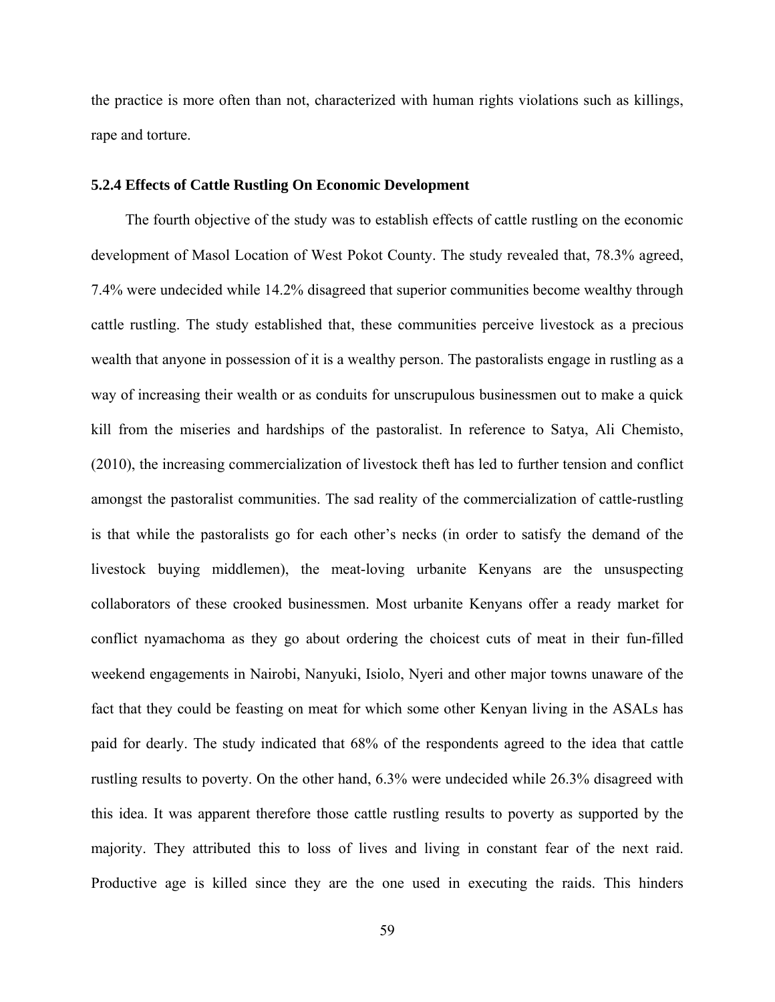the practice is more often than not, characterized with human rights violations such as killings, rape and torture.

#### **5.2.4 Effects of Cattle Rustling On Economic Development**

The fourth objective of the study was to establish effects of cattle rustling on the economic development of Masol Location of West Pokot County. The study revealed that, 78.3% agreed, 7.4% were undecided while 14.2% disagreed that superior communities become wealthy through cattle rustling. The study established that, these communities perceive livestock as a precious wealth that anyone in possession of it is a wealthy person. The pastoralists engage in rustling as a way of increasing their wealth or as conduits for unscrupulous businessmen out to make a quick kill from the miseries and hardships of the pastoralist. In reference to Satya, Ali Chemisto, (2010), the increasing commercialization of livestock theft has led to further tension and conflict amongst the pastoralist communities. The sad reality of the commercialization of cattle-rustling is that while the pastoralists go for each other's necks (in order to satisfy the demand of the livestock buying middlemen), the meat-loving urbanite Kenyans are the unsuspecting collaborators of these crooked businessmen. Most urbanite Kenyans offer a ready market for conflict nyamachoma as they go about ordering the choicest cuts of meat in their fun-filled weekend engagements in Nairobi, Nanyuki, Isiolo, Nyeri and other major towns unaware of the fact that they could be feasting on meat for which some other Kenyan living in the ASALs has paid for dearly. The study indicated that 68% of the respondents agreed to the idea that cattle rustling results to poverty. On the other hand, 6.3% were undecided while 26.3% disagreed with this idea. It was apparent therefore those cattle rustling results to poverty as supported by the majority. They attributed this to loss of lives and living in constant fear of the next raid. Productive age is killed since they are the one used in executing the raids. This hinders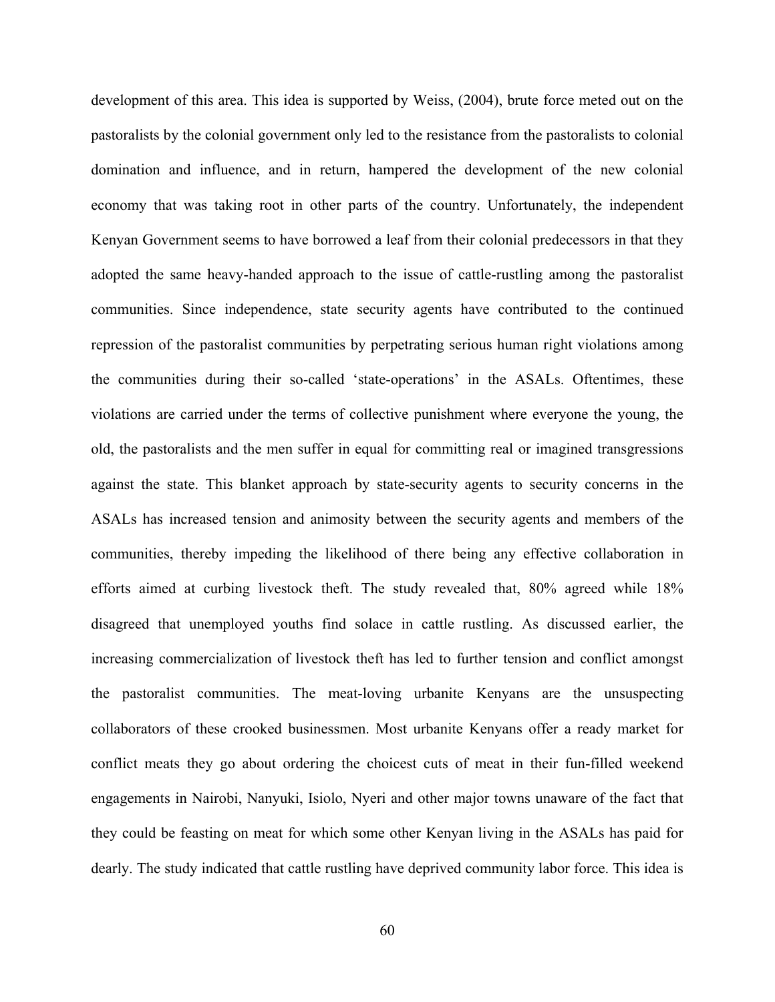development of this area. This idea is supported by Weiss, (2004), brute force meted out on the pastoralists by the colonial government only led to the resistance from the pastoralists to colonial domination and influence, and in return, hampered the development of the new colonial economy that was taking root in other parts of the country. Unfortunately, the independent Kenyan Government seems to have borrowed a leaf from their colonial predecessors in that they adopted the same heavy-handed approach to the issue of cattle-rustling among the pastoralist communities. Since independence, state security agents have contributed to the continued repression of the pastoralist communities by perpetrating serious human right violations among the communities during their so-called 'state-operations' in the ASALs. Oftentimes, these violations are carried under the terms of collective punishment where everyone the young, the old, the pastoralists and the men suffer in equal for committing real or imagined transgressions against the state. This blanket approach by state-security agents to security concerns in the ASALs has increased tension and animosity between the security agents and members of the communities, thereby impeding the likelihood of there being any effective collaboration in efforts aimed at curbing livestock theft. The study revealed that, 80% agreed while 18% disagreed that unemployed youths find solace in cattle rustling. As discussed earlier, the increasing commercialization of livestock theft has led to further tension and conflict amongst the pastoralist communities. The meat-loving urbanite Kenyans are the unsuspecting collaborators of these crooked businessmen. Most urbanite Kenyans offer a ready market for conflict meats they go about ordering the choicest cuts of meat in their fun-filled weekend engagements in Nairobi, Nanyuki, Isiolo, Nyeri and other major towns unaware of the fact that they could be feasting on meat for which some other Kenyan living in the ASALs has paid for dearly. The study indicated that cattle rustling have deprived community labor force. This idea is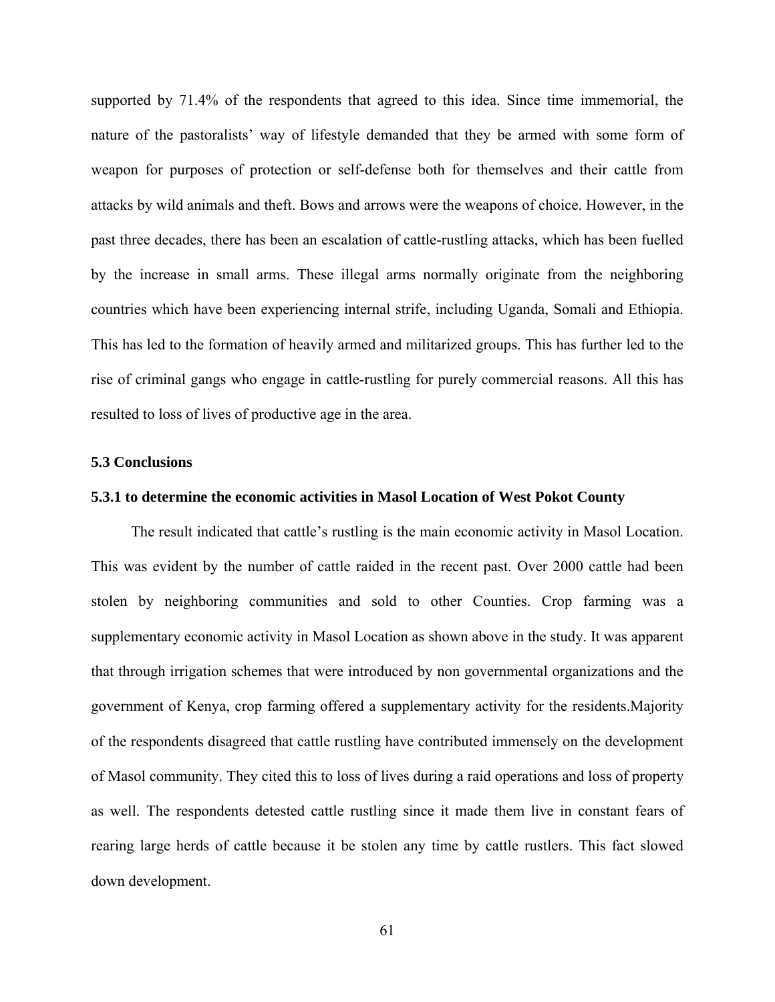supported by 71.4% of the respondents that agreed to this idea. Since time immemorial, the nature of the pastoralists' way of lifestyle demanded that they be armed with some form of weapon for purposes of protection or self-defense both for themselves and their cattle from attacks by wild animals and theft. Bows and arrows were the weapons of choice. However, in the past three decades, there has been an escalation of cattle-rustling attacks, which has been fuelled by the increase in small arms. These illegal arms normally originate from the neighboring countries which have been experiencing internal strife, including Uganda, Somali and Ethiopia. This has led to the formation of heavily armed and militarized groups. This has further led to the rise of criminal gangs who engage in cattle-rustling for purely commercial reasons. All this has resulted to loss of lives of productive age in the area.

### **5.3 Conclusions**

#### **5.3.1 to determine the economic activities in Masol Location of West Pokot County**

The result indicated that cattle's rustling is the main economic activity in Masol Location. This was evident by the number of cattle raided in the recent past. Over 2000 cattle had been stolen by neighboring communities and sold to other Counties. Crop farming was a supplementary economic activity in Masol Location as shown above in the study. It was apparent that through irrigation schemes that were introduced by non governmental organizations and the government of Kenya, crop farming offered a supplementary activity for the residents.Majority of the respondents disagreed that cattle rustling have contributed immensely on the development of Masol community. They cited this to loss of lives during a raid operations and loss of property as well. The respondents detested cattle rustling since it made them live in constant fears of rearing large herds of cattle because it be stolen any time by cattle rustlers. This fact slowed down development.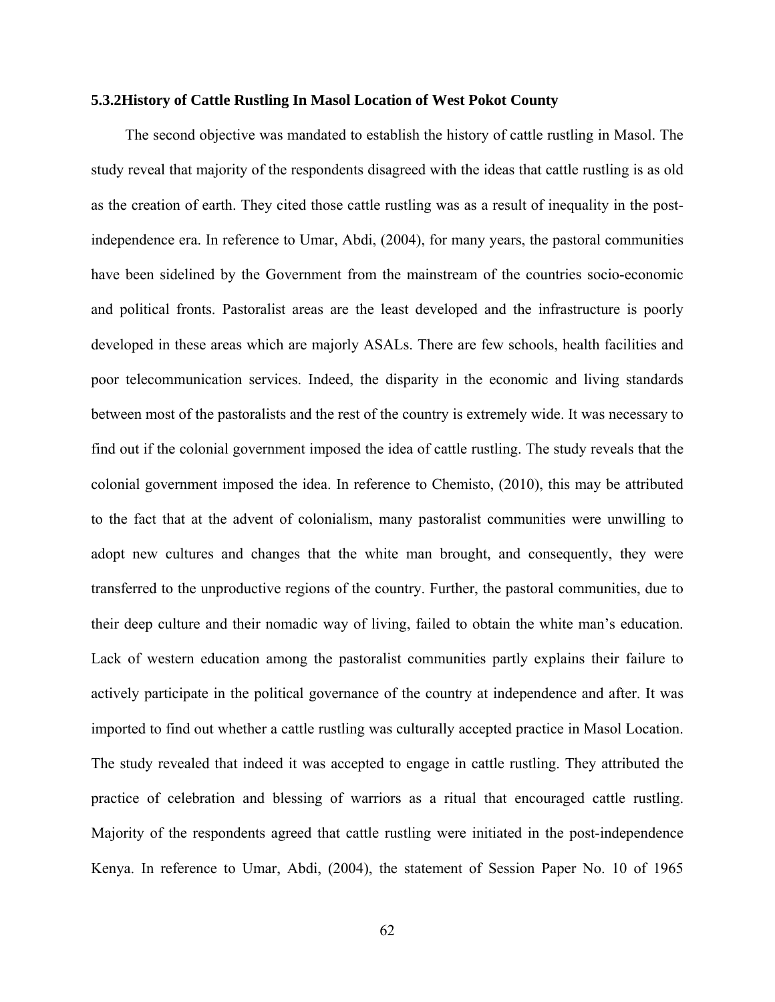#### **5.3.2History of Cattle Rustling In Masol Location of West Pokot County**

The second objective was mandated to establish the history of cattle rustling in Masol. The study reveal that majority of the respondents disagreed with the ideas that cattle rustling is as old as the creation of earth. They cited those cattle rustling was as a result of inequality in the postindependence era. In reference to Umar, Abdi, (2004), for many years, the pastoral communities have been sidelined by the Government from the mainstream of the countries socio-economic and political fronts. Pastoralist areas are the least developed and the infrastructure is poorly developed in these areas which are majorly ASALs. There are few schools, health facilities and poor telecommunication services. Indeed, the disparity in the economic and living standards between most of the pastoralists and the rest of the country is extremely wide. It was necessary to find out if the colonial government imposed the idea of cattle rustling. The study reveals that the colonial government imposed the idea. In reference to Chemisto, (2010), this may be attributed to the fact that at the advent of colonialism, many pastoralist communities were unwilling to adopt new cultures and changes that the white man brought, and consequently, they were transferred to the unproductive regions of the country. Further, the pastoral communities, due to their deep culture and their nomadic way of living, failed to obtain the white man's education. Lack of western education among the pastoralist communities partly explains their failure to actively participate in the political governance of the country at independence and after. It was imported to find out whether a cattle rustling was culturally accepted practice in Masol Location. The study revealed that indeed it was accepted to engage in cattle rustling. They attributed the practice of celebration and blessing of warriors as a ritual that encouraged cattle rustling. Majority of the respondents agreed that cattle rustling were initiated in the post-independence Kenya. In reference to Umar, Abdi, (2004), the statement of Session Paper No. 10 of 1965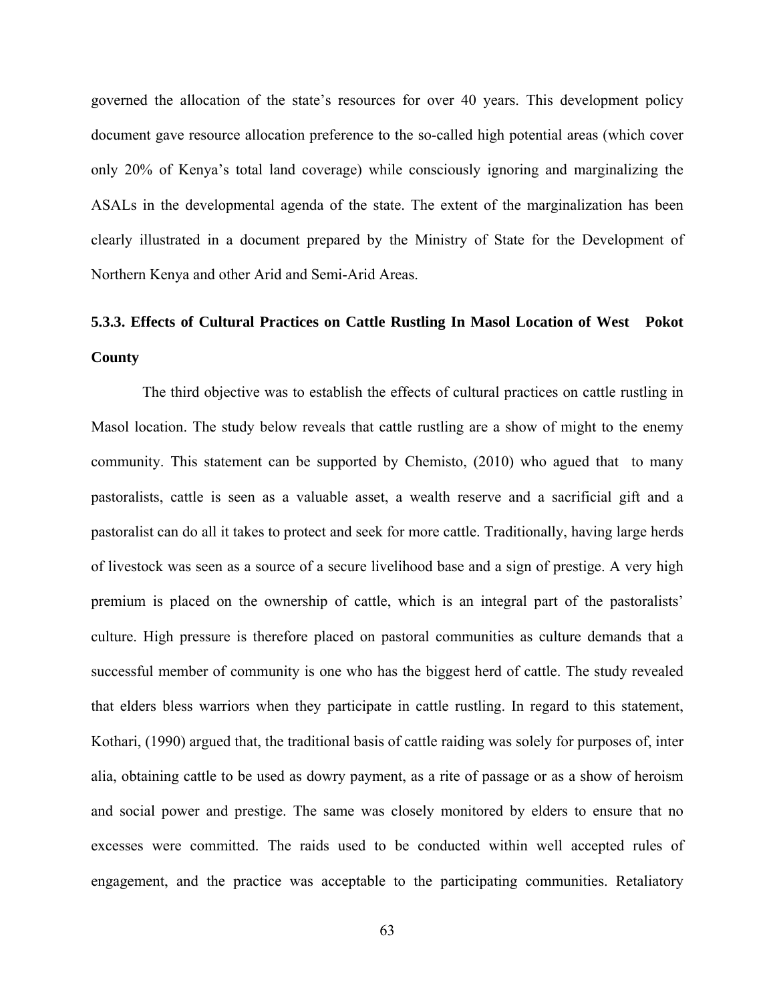governed the allocation of the state's resources for over 40 years. This development policy document gave resource allocation preference to the so-called high potential areas (which cover only 20% of Kenya's total land coverage) while consciously ignoring and marginalizing the ASALs in the developmental agenda of the state. The extent of the marginalization has been clearly illustrated in a document prepared by the Ministry of State for the Development of Northern Kenya and other Arid and Semi-Arid Areas.

# **5.3.3. Effects of Cultural Practices on Cattle Rustling In Masol Location of West Pokot County**

The third objective was to establish the effects of cultural practices on cattle rustling in Masol location. The study below reveals that cattle rustling are a show of might to the enemy community. This statement can be supported by Chemisto, (2010) who agued that to many pastoralists, cattle is seen as a valuable asset, a wealth reserve and a sacrificial gift and a pastoralist can do all it takes to protect and seek for more cattle. Traditionally, having large herds of livestock was seen as a source of a secure livelihood base and a sign of prestige. A very high premium is placed on the ownership of cattle, which is an integral part of the pastoralists' culture. High pressure is therefore placed on pastoral communities as culture demands that a successful member of community is one who has the biggest herd of cattle. The study revealed that elders bless warriors when they participate in cattle rustling. In regard to this statement, Kothari, (1990) argued that, the traditional basis of cattle raiding was solely for purposes of, inter alia, obtaining cattle to be used as dowry payment, as a rite of passage or as a show of heroism and social power and prestige. The same was closely monitored by elders to ensure that no excesses were committed. The raids used to be conducted within well accepted rules of engagement, and the practice was acceptable to the participating communities. Retaliatory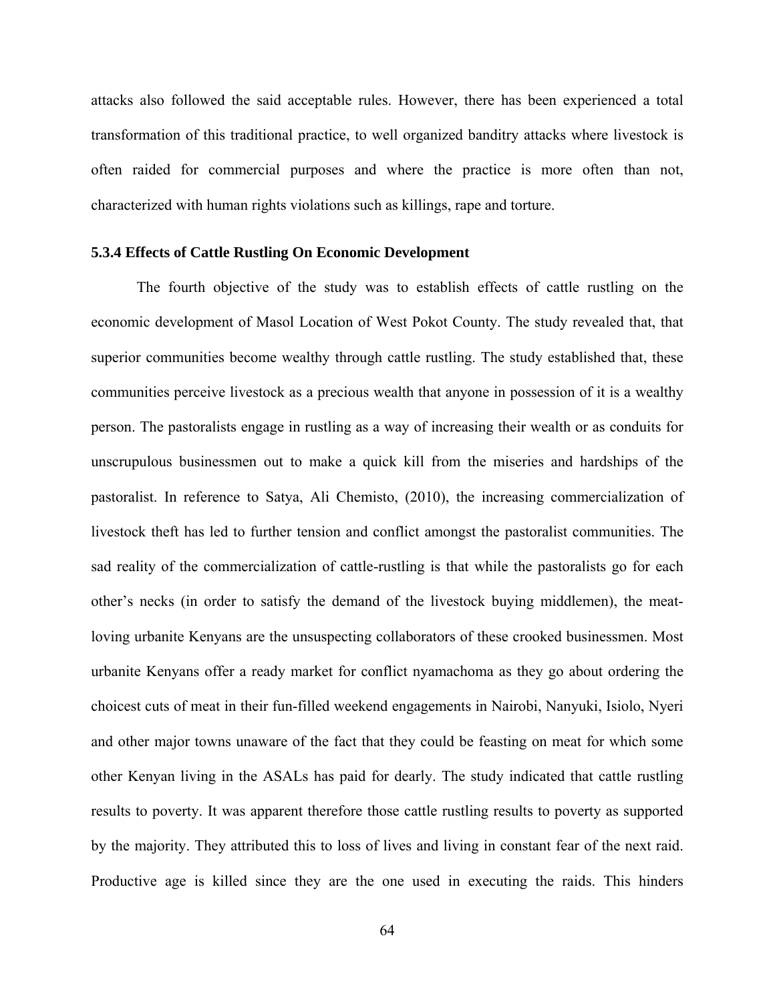attacks also followed the said acceptable rules. However, there has been experienced a total transformation of this traditional practice, to well organized banditry attacks where livestock is often raided for commercial purposes and where the practice is more often than not, characterized with human rights violations such as killings, rape and torture.

#### **5.3.4 Effects of Cattle Rustling On Economic Development**

The fourth objective of the study was to establish effects of cattle rustling on the economic development of Masol Location of West Pokot County. The study revealed that, that superior communities become wealthy through cattle rustling. The study established that, these communities perceive livestock as a precious wealth that anyone in possession of it is a wealthy person. The pastoralists engage in rustling as a way of increasing their wealth or as conduits for unscrupulous businessmen out to make a quick kill from the miseries and hardships of the pastoralist. In reference to Satya, Ali Chemisto, (2010), the increasing commercialization of livestock theft has led to further tension and conflict amongst the pastoralist communities. The sad reality of the commercialization of cattle-rustling is that while the pastoralists go for each other's necks (in order to satisfy the demand of the livestock buying middlemen), the meatloving urbanite Kenyans are the unsuspecting collaborators of these crooked businessmen. Most urbanite Kenyans offer a ready market for conflict nyamachoma as they go about ordering the choicest cuts of meat in their fun-filled weekend engagements in Nairobi, Nanyuki, Isiolo, Nyeri and other major towns unaware of the fact that they could be feasting on meat for which some other Kenyan living in the ASALs has paid for dearly. The study indicated that cattle rustling results to poverty. It was apparent therefore those cattle rustling results to poverty as supported by the majority. They attributed this to loss of lives and living in constant fear of the next raid. Productive age is killed since they are the one used in executing the raids. This hinders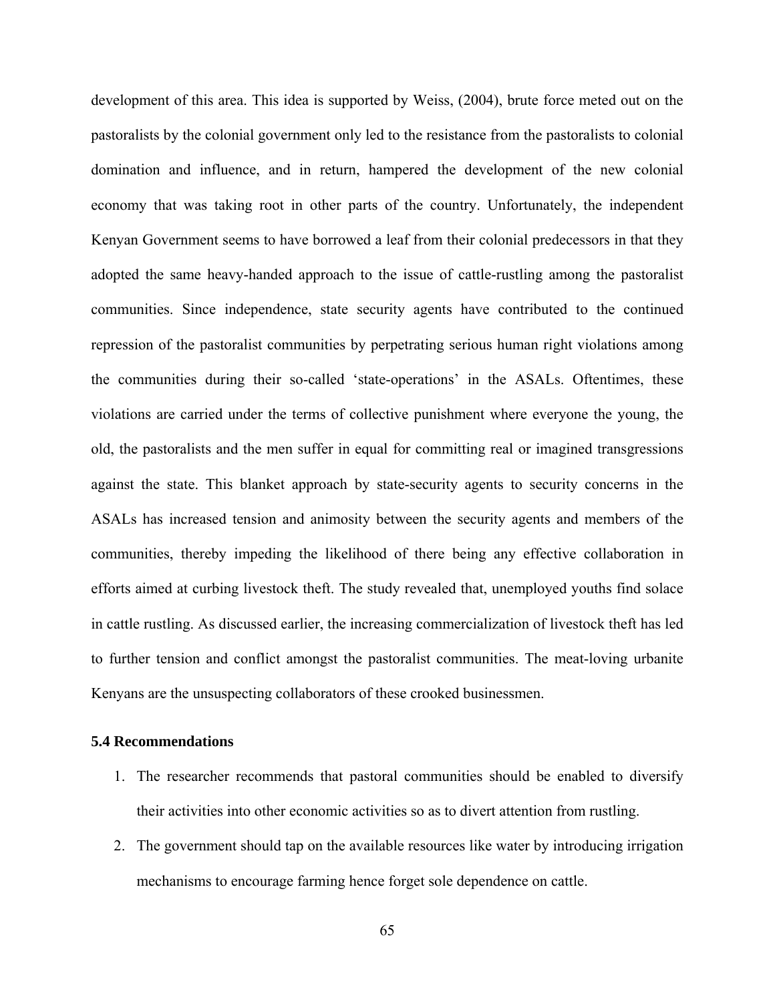development of this area. This idea is supported by Weiss, (2004), brute force meted out on the pastoralists by the colonial government only led to the resistance from the pastoralists to colonial domination and influence, and in return, hampered the development of the new colonial economy that was taking root in other parts of the country. Unfortunately, the independent Kenyan Government seems to have borrowed a leaf from their colonial predecessors in that they adopted the same heavy-handed approach to the issue of cattle-rustling among the pastoralist communities. Since independence, state security agents have contributed to the continued repression of the pastoralist communities by perpetrating serious human right violations among the communities during their so-called 'state-operations' in the ASALs. Oftentimes, these violations are carried under the terms of collective punishment where everyone the young, the old, the pastoralists and the men suffer in equal for committing real or imagined transgressions against the state. This blanket approach by state-security agents to security concerns in the ASALs has increased tension and animosity between the security agents and members of the communities, thereby impeding the likelihood of there being any effective collaboration in efforts aimed at curbing livestock theft. The study revealed that, unemployed youths find solace in cattle rustling. As discussed earlier, the increasing commercialization of livestock theft has led to further tension and conflict amongst the pastoralist communities. The meat-loving urbanite Kenyans are the unsuspecting collaborators of these crooked businessmen.

#### **5.4 Recommendations**

- 1. The researcher recommends that pastoral communities should be enabled to diversify their activities into other economic activities so as to divert attention from rustling.
- 2. The government should tap on the available resources like water by introducing irrigation mechanisms to encourage farming hence forget sole dependence on cattle.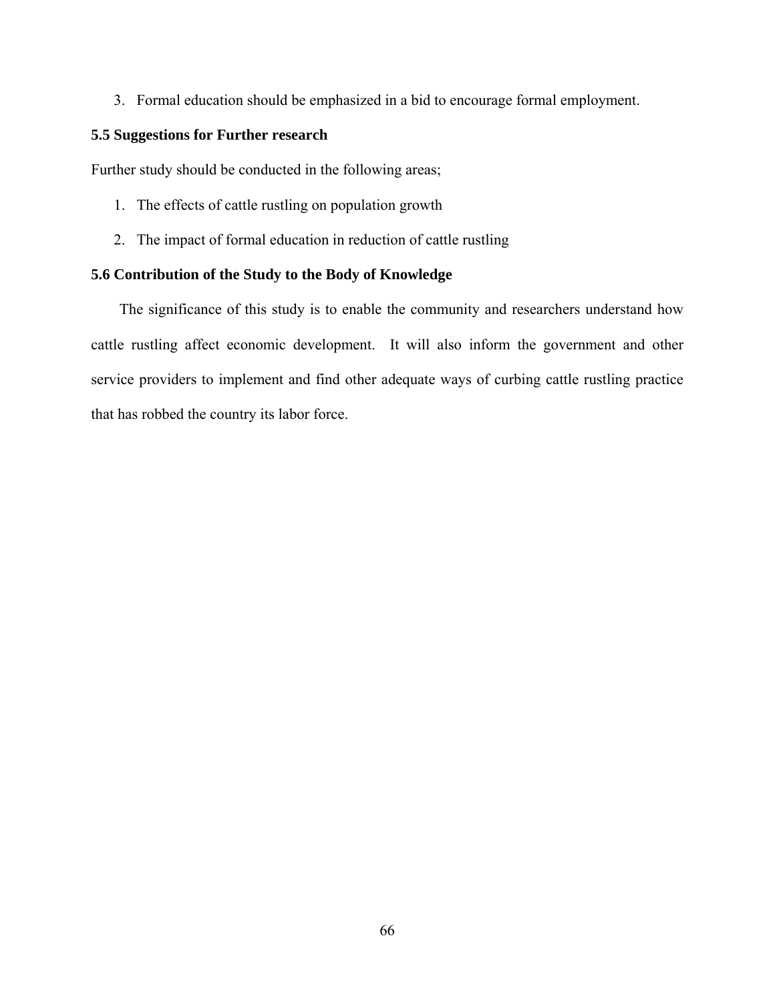3. Formal education should be emphasized in a bid to encourage formal employment.

### **5.5 Suggestions for Further research**

Further study should be conducted in the following areas;

- 1. The effects of cattle rustling on population growth
- 2. The impact of formal education in reduction of cattle rustling

### **5.6 Contribution of the Study to the Body of Knowledge**

The significance of this study is to enable the community and researchers understand how cattle rustling affect economic development. It will also inform the government and other service providers to implement and find other adequate ways of curbing cattle rustling practice that has robbed the country its labor force.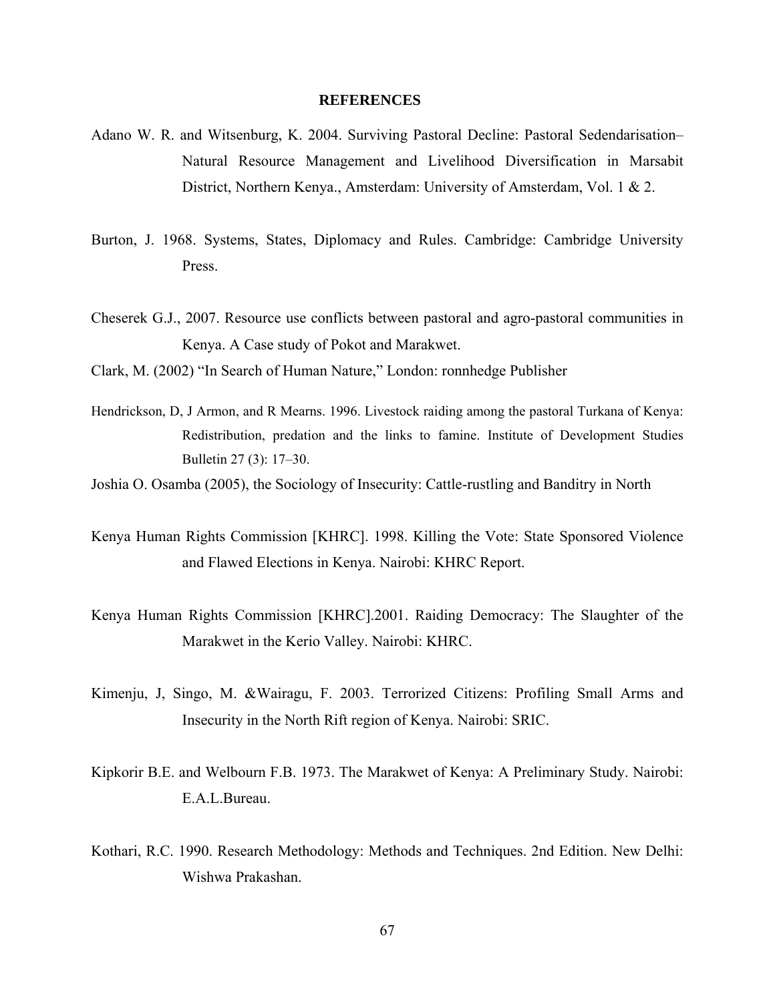#### **REFERENCES**

- Adano W. R. and Witsenburg, K. 2004. Surviving Pastoral Decline: Pastoral Sedendarisation– Natural Resource Management and Livelihood Diversification in Marsabit District, Northern Kenya., Amsterdam: University of Amsterdam, Vol. 1 & 2.
- Burton, J. 1968. Systems, States, Diplomacy and Rules. Cambridge: Cambridge University Press.
- Cheserek G.J., 2007. Resource use conflicts between pastoral and agro-pastoral communities in Kenya. A Case study of Pokot and Marakwet.
- Clark, M. (2002) "In Search of Human Nature," London: ronnhedge Publisher
- Hendrickson, D, J Armon, and R Mearns. 1996. Livestock raiding among the pastoral Turkana of Kenya: Redistribution, predation and the links to famine. Institute of Development Studies Bulletin 27 (3): 17–30.
- Joshia O. Osamba (2005), the Sociology of Insecurity: Cattle-rustling and Banditry in North
- Kenya Human Rights Commission [KHRC]. 1998. Killing the Vote: State Sponsored Violence and Flawed Elections in Kenya. Nairobi: KHRC Report.
- Kenya Human Rights Commission [KHRC].2001. Raiding Democracy: The Slaughter of the Marakwet in the Kerio Valley. Nairobi: KHRC.
- Kimenju, J, Singo, M. &Wairagu, F. 2003. Terrorized Citizens: Profiling Small Arms and Insecurity in the North Rift region of Kenya. Nairobi: SRIC.
- Kipkorir B.E. and Welbourn F.B. 1973. The Marakwet of Kenya: A Preliminary Study. Nairobi: E.A.L.Bureau.
- Kothari, R.C. 1990. Research Methodology: Methods and Techniques. 2nd Edition. New Delhi: Wishwa Prakashan.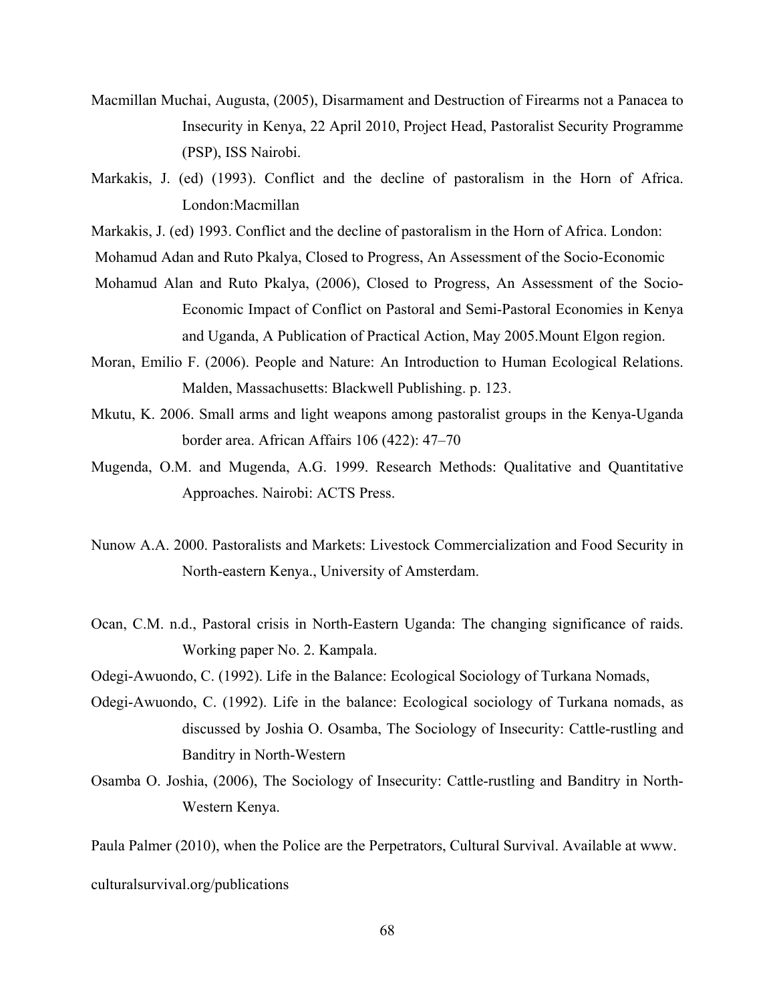- Macmillan Muchai, Augusta, (2005), Disarmament and Destruction of Firearms not a Panacea to Insecurity in Kenya, 22 April 2010, Project Head, Pastoralist Security Programme (PSP), ISS Nairobi.
- Markakis, J. (ed) (1993). Conflict and the decline of pastoralism in the Horn of Africa. London:Macmillan
- Markakis, J. (ed) 1993. Conflict and the decline of pastoralism in the Horn of Africa. London:
- Mohamud Adan and Ruto Pkalya, Closed to Progress, An Assessment of the Socio-Economic
- Mohamud Alan and Ruto Pkalya, (2006), Closed to Progress, An Assessment of the Socio-Economic Impact of Conflict on Pastoral and Semi-Pastoral Economies in Kenya and Uganda, A Publication of Practical Action, May 2005.Mount Elgon region.
- Moran, Emilio F. (2006). People and Nature: An Introduction to Human Ecological Relations. Malden, Massachusetts: Blackwell Publishing. p. 123.
- Mkutu, K. 2006. Small arms and light weapons among pastoralist groups in the Kenya-Uganda border area. African Affairs 106 (422): 47–70
- Mugenda, O.M. and Mugenda, A.G. 1999. Research Methods: Qualitative and Quantitative Approaches. Nairobi: ACTS Press.
- Nunow A.A. 2000. Pastoralists and Markets: Livestock Commercialization and Food Security in North-eastern Kenya., University of Amsterdam.
- Ocan, C.M. n.d., Pastoral crisis in North-Eastern Uganda: The changing significance of raids. Working paper No. 2. Kampala.
- Odegi-Awuondo, C. (1992). Life in the Balance: Ecological Sociology of Turkana Nomads,
- Odegi-Awuondo, C. (1992). Life in the balance: Ecological sociology of Turkana nomads, as discussed by Joshia O. Osamba, The Sociology of Insecurity: Cattle-rustling and Banditry in North-Western
- Osamba O. Joshia, (2006), The Sociology of Insecurity: Cattle-rustling and Banditry in North-Western Kenya.

Paula Palmer (2010), when the Police are the Perpetrators, Cultural Survival. Available at www.

culturalsurvival.org/publications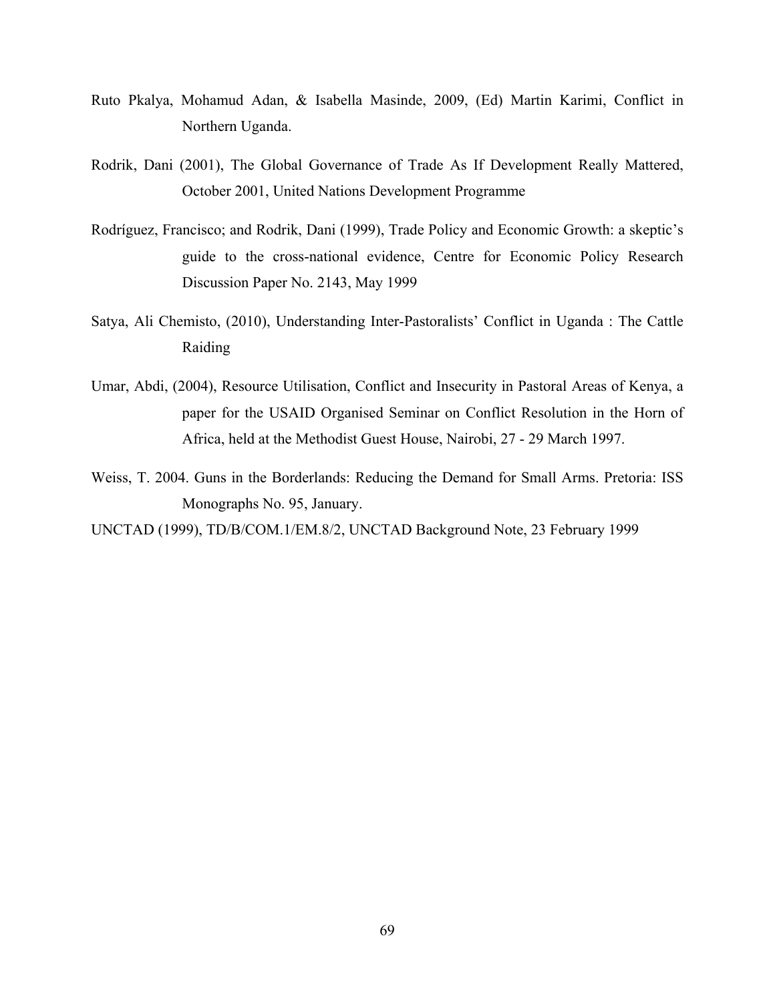- Ruto Pkalya, Mohamud Adan, & Isabella Masinde, 2009, (Ed) Martin Karimi, Conflict in Northern Uganda.
- Rodrik, Dani (2001), The Global Governance of Trade As If Development Really Mattered, October 2001, United Nations Development Programme
- Rodríguez, Francisco; and Rodrik, Dani (1999), Trade Policy and Economic Growth: a skeptic's guide to the cross-national evidence, Centre for Economic Policy Research Discussion Paper No. 2143, May 1999
- Satya, Ali Chemisto, (2010), Understanding Inter-Pastoralists' Conflict in Uganda : The Cattle Raiding
- Umar, Abdi, (2004), Resource Utilisation, Conflict and Insecurity in Pastoral Areas of Kenya, a paper for the USAID Organised Seminar on Conflict Resolution in the Horn of Africa, held at the Methodist Guest House, Nairobi, 27 - 29 March 1997.
- Weiss, T. 2004. Guns in the Borderlands: Reducing the Demand for Small Arms. Pretoria: ISS Monographs No. 95, January.

UNCTAD (1999), TD/B/COM.1/EM.8/2, UNCTAD Background Note, 23 February 1999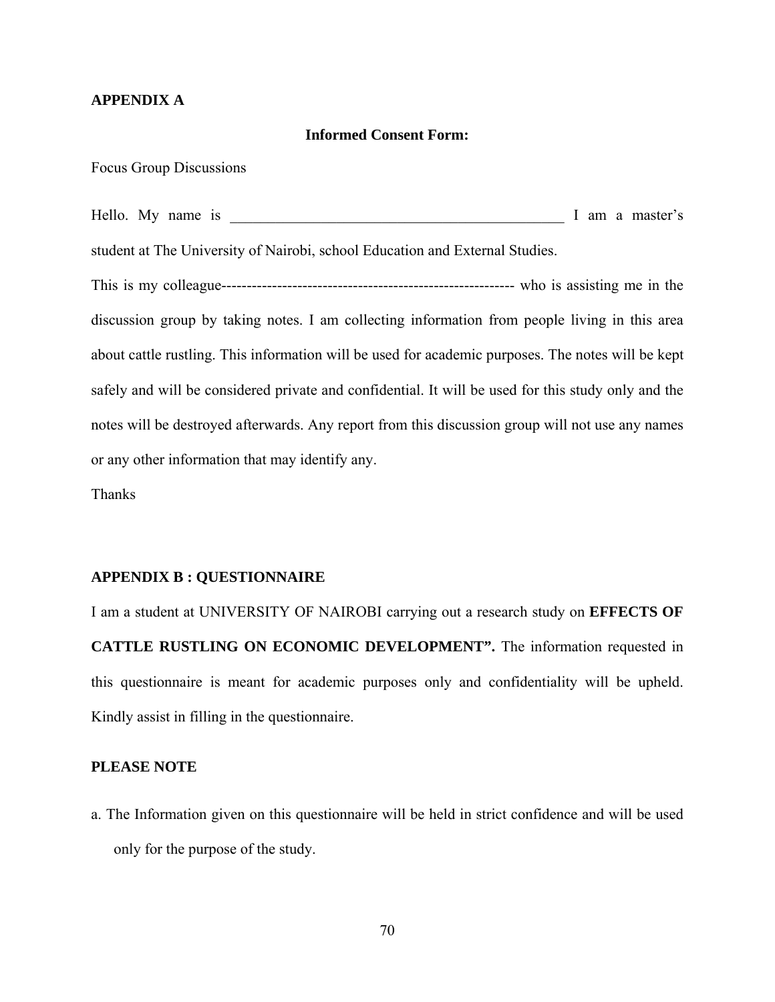#### **APPENDIX A**

#### **Informed Consent Form:**

Focus Group Discussions

Hello. My name is \_\_\_\_\_\_\_\_\_\_\_\_\_\_\_\_\_\_\_\_\_\_\_\_\_\_\_\_\_\_\_\_\_\_\_\_\_\_\_\_\_\_\_\_ I am a master's student at The University of Nairobi, school Education and External Studies.

This is my colleague---------------------------------------------------------- who is assisting me in the discussion group by taking notes. I am collecting information from people living in this area about cattle rustling. This information will be used for academic purposes. The notes will be kept safely and will be considered private and confidential. It will be used for this study only and the notes will be destroyed afterwards. Any report from this discussion group will not use any names or any other information that may identify any.

Thanks

#### **APPENDIX B : QUESTIONNAIRE**

I am a student at UNIVERSITY OF NAIROBI carrying out a research study on **EFFECTS OF CATTLE RUSTLING ON ECONOMIC DEVELOPMENT".** The information requested in this questionnaire is meant for academic purposes only and confidentiality will be upheld. Kindly assist in filling in the questionnaire.

#### **PLEASE NOTE**

a. The Information given on this questionnaire will be held in strict confidence and will be used only for the purpose of the study.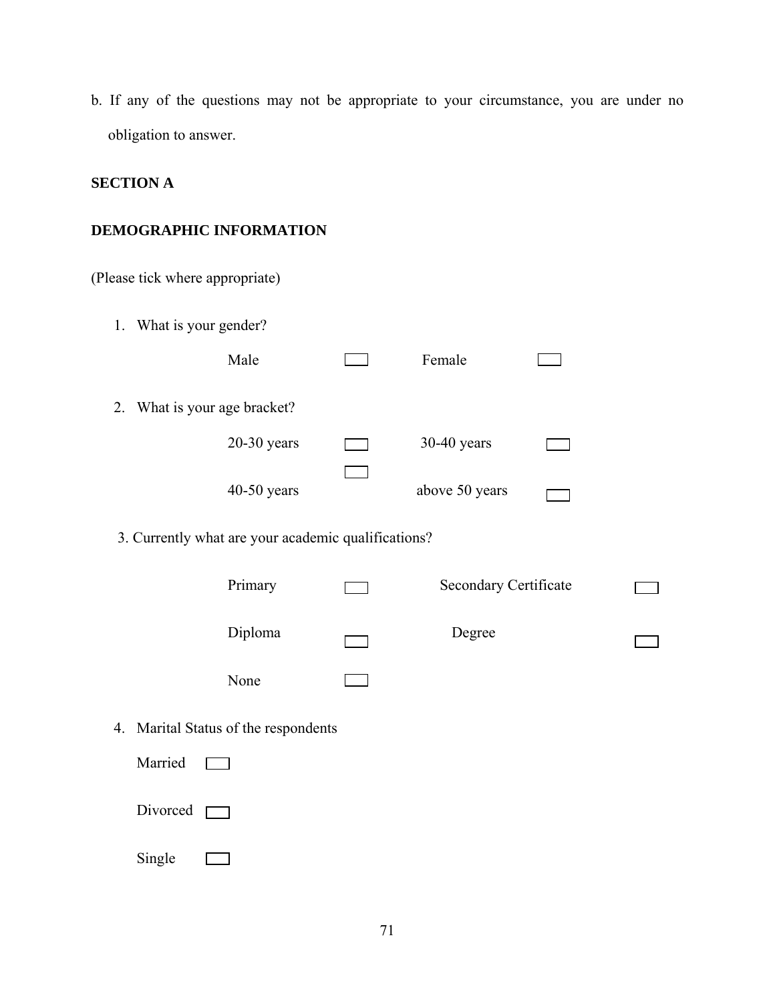b. If any of the questions may not be appropriate to your circumstance, you are under no obligation to answer.

# **SECTION A**

# **DEMOGRAPHIC INFORMATION**

| (Please tick where appropriate) |                                                     |                       |  |
|---------------------------------|-----------------------------------------------------|-----------------------|--|
| 1. What is your gender?         |                                                     |                       |  |
|                                 | Male                                                | Female                |  |
| 2.                              | What is your age bracket?                           |                       |  |
|                                 | $20-30$ years                                       | $30-40$ years         |  |
|                                 | $40-50$ years                                       | above 50 years        |  |
|                                 | 3. Currently what are your academic qualifications? |                       |  |
|                                 | Primary                                             | Secondary Certificate |  |
|                                 | Diploma                                             | Degree                |  |
|                                 | None                                                |                       |  |
|                                 | 4. Marital Status of the respondents                |                       |  |
| Married                         |                                                     |                       |  |
| Divorced                        |                                                     |                       |  |
| Single                          |                                                     |                       |  |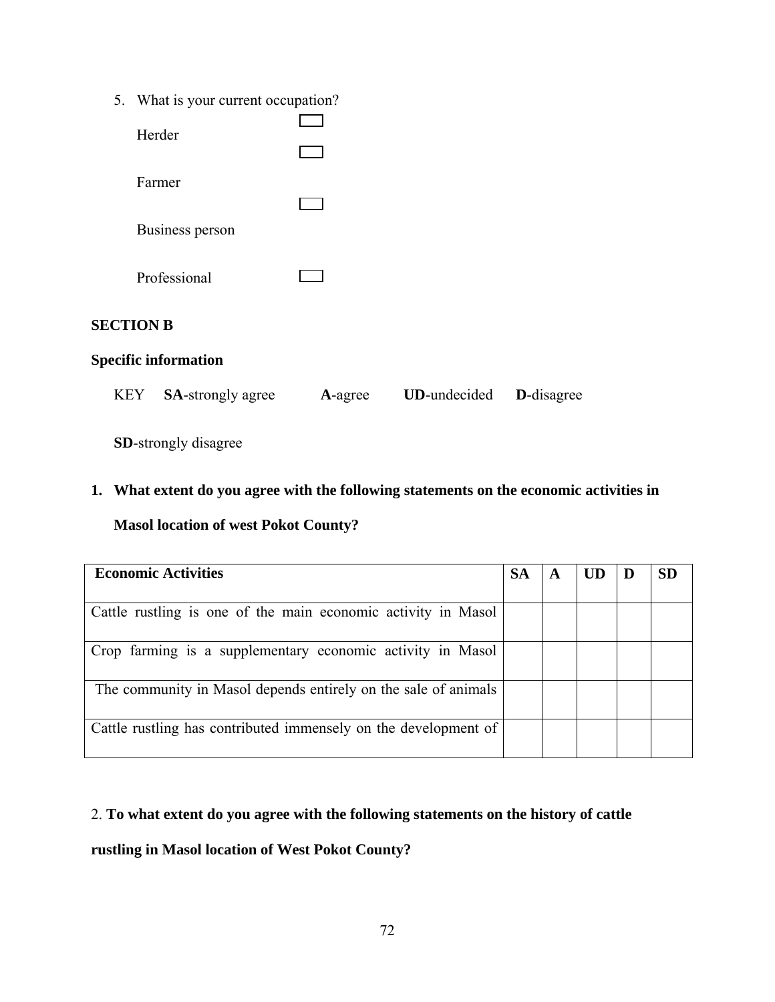| 5.<br>What is your current occupation? |
|----------------------------------------|
|----------------------------------------|

| Herder                      |                          |         |                     |
|-----------------------------|--------------------------|---------|---------------------|
| Farmer                      |                          |         |                     |
| <b>Business person</b>      |                          |         |                     |
| Professional                |                          |         |                     |
| <b>SECTION B</b>            |                          |         |                     |
| <b>Specific information</b> |                          |         |                     |
| <b>KEY</b>                  | <b>SA-strongly agree</b> | A-agree | <b>UD-undecided</b> |

**SD**-strongly disagree

# **1. What extent do you agree with the following statements on the economic activities in**

**D**-disagree

# **Masol location of west Pokot County?**

| <b>Economic Activities</b>                                      |  | A |  | SD |
|-----------------------------------------------------------------|--|---|--|----|
|                                                                 |  |   |  |    |
| Cattle rustling is one of the main economic activity in Masol   |  |   |  |    |
| Crop farming is a supplementary economic activity in Masol      |  |   |  |    |
| The community in Masol depends entirely on the sale of animals  |  |   |  |    |
| Cattle rustling has contributed immensely on the development of |  |   |  |    |

### 2. **To what extent do you agree with the following statements on the history of cattle**

# **rustling in Masol location of West Pokot County?**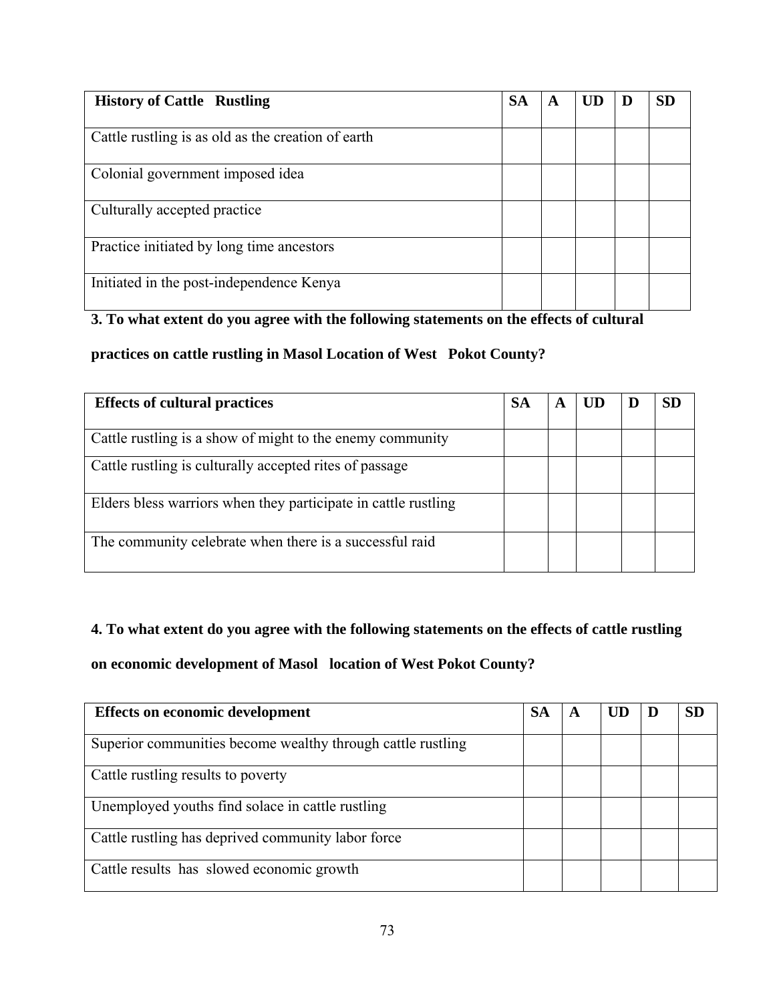| <b>History of Cattle Rustling</b>                  |  | A | UD | Ð | <b>SD</b> |
|----------------------------------------------------|--|---|----|---|-----------|
|                                                    |  |   |    |   |           |
| Cattle rustling is as old as the creation of earth |  |   |    |   |           |
|                                                    |  |   |    |   |           |
| Colonial government imposed idea                   |  |   |    |   |           |
|                                                    |  |   |    |   |           |
| Culturally accepted practice                       |  |   |    |   |           |
|                                                    |  |   |    |   |           |
| Practice initiated by long time ancestors          |  |   |    |   |           |
|                                                    |  |   |    |   |           |
| Initiated in the post-independence Kenya           |  |   |    |   |           |
|                                                    |  |   |    |   |           |

# **3. To what extent do you agree with the following statements on the effects of cultural**

**practices on cattle rustling in Masol Location of West Pokot County?** 

| <b>Effects of cultural practices</b><br><b>SA</b>              |  | A |  | SD |
|----------------------------------------------------------------|--|---|--|----|
|                                                                |  |   |  |    |
| Cattle rustling is a show of might to the enemy community      |  |   |  |    |
| Cattle rustling is culturally accepted rites of passage        |  |   |  |    |
| Elders bless warriors when they participate in cattle rustling |  |   |  |    |
| The community celebrate when there is a successful raid        |  |   |  |    |

# **4. To what extent do you agree with the following statements on the effects of cattle rustling**

**on economic development of Masol location of West Pokot County?** 

| <b>Effects on economic development</b><br><b>SA</b>         |  | A | UD | SD |
|-------------------------------------------------------------|--|---|----|----|
| Superior communities become wealthy through cattle rustling |  |   |    |    |
| Cattle rustling results to poverty                          |  |   |    |    |
| Unemployed youths find solace in cattle rustling            |  |   |    |    |
| Cattle rustling has deprived community labor force          |  |   |    |    |
| Cattle results has slowed economic growth                   |  |   |    |    |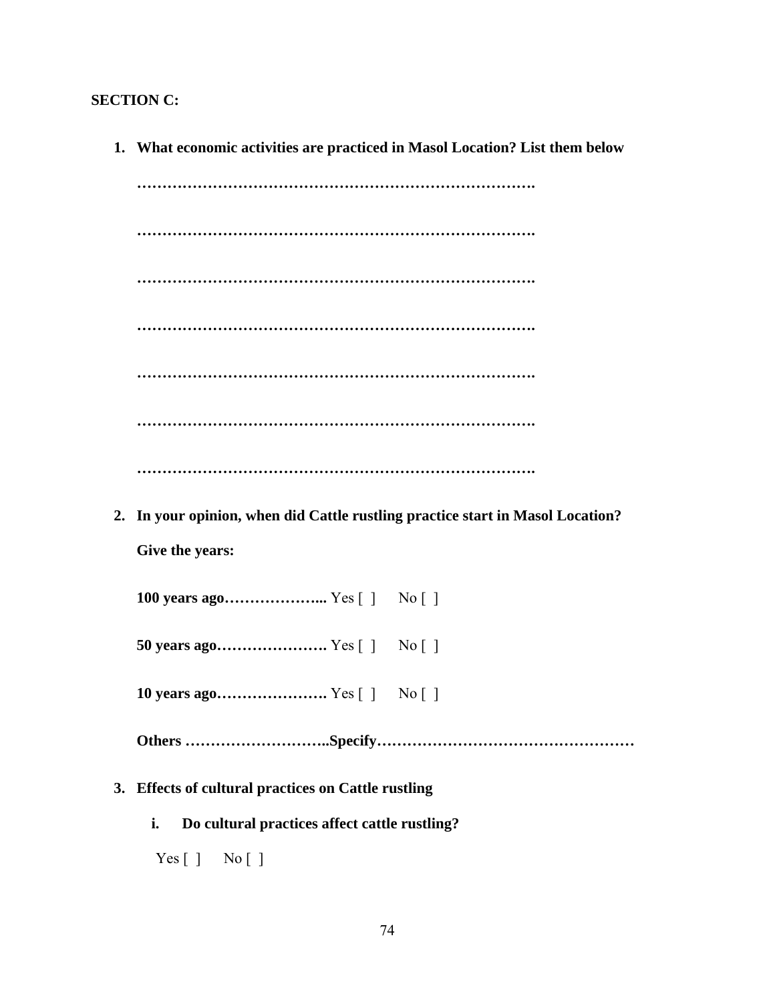### **SECTION C:**

**1. What economic activities are practiced in Masol Location? List them below ……………………………………………………………………. ……………………………………………………………………. ……………………………………………………………………. ……………………………………………………………………. ……………………………………………………………………. ……………………………………………………………………. ……………………………………………………………………. 2. In your opinion, when did Cattle rustling practice start in Masol Location? Give the years: 100 years ago………………...** Yes [ ] No [ ] **50 years ago………………….** Yes [ ] No [ ] **10 years ago………………….** Yes [ ] No [ ] **Others ………………………..Specify…………………………………………… 3. Effects of cultural practices on Cattle rustling i. Do cultural practices affect cattle rustling?** 

 $Yes [ ] No [ ]$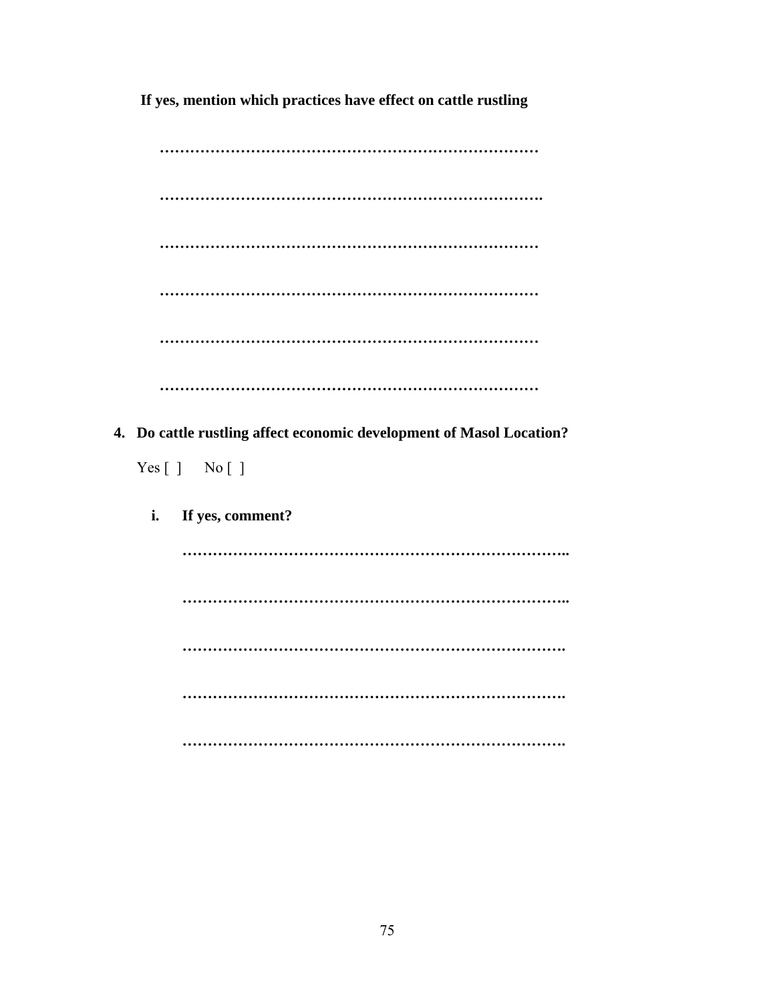**If yes, mention which practices have effect on cattle rustling** 

|    | 4. Do cattle rustling affect economic development of Masol Location? |
|----|----------------------------------------------------------------------|
|    | Yes [ ] No [ ]                                                       |
| i. | If yes, comment?                                                     |
|    |                                                                      |
|    |                                                                      |
|    |                                                                      |
|    |                                                                      |
|    |                                                                      |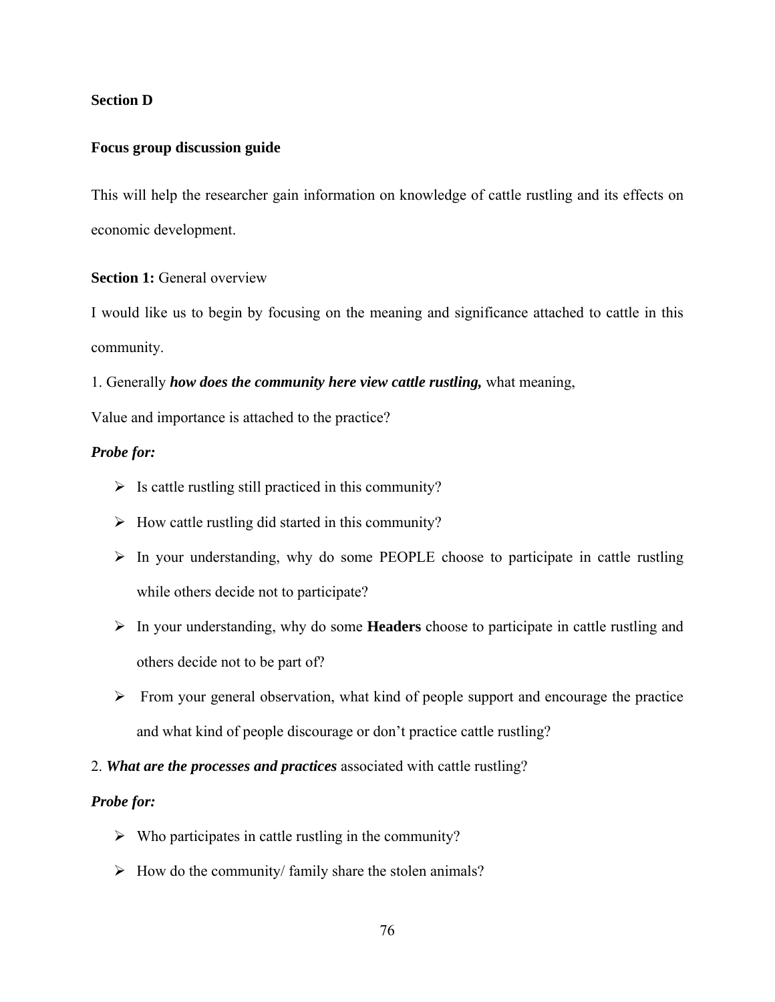### **Section D**

### **Focus group discussion guide**

This will help the researcher gain information on knowledge of cattle rustling and its effects on economic development.

### **Section 1:** General overview

I would like us to begin by focusing on the meaning and significance attached to cattle in this community.

1. Generally *how does the community here view cattle rustling,* what meaning,

Value and importance is attached to the practice?

### *Probe for:*

- $\triangleright$  Is cattle rustling still practiced in this community?
- $\triangleright$  How cattle rustling did started in this community?
- $\triangleright$  In your understanding, why do some PEOPLE choose to participate in cattle rustling while others decide not to participate?
- ¾ In your understanding, why do some **Headers** choose to participate in cattle rustling and others decide not to be part of?
- $\triangleright$  From your general observation, what kind of people support and encourage the practice and what kind of people discourage or don't practice cattle rustling?

### 2. *What are the processes and practices* associated with cattle rustling?

#### *Probe for:*

- $\triangleright$  Who participates in cattle rustling in the community?
- $\triangleright$  How do the community/ family share the stolen animals?